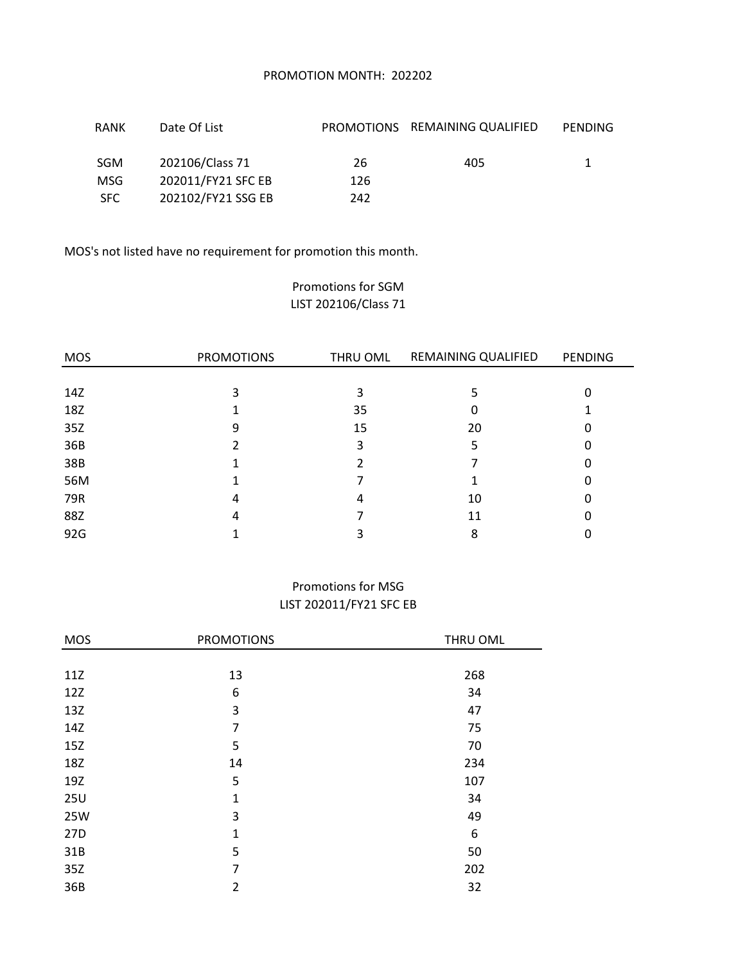## PROMOTION MONTH: 202202

| RANK       | Date Of List       |     | PROMOTIONS REMAINING QUALIFIED | PENDING |
|------------|--------------------|-----|--------------------------------|---------|
| <b>SGM</b> | 202106/Class 71    | 26  | 405                            |         |
| <b>MSG</b> | 202011/FY21 SFC EB | 126 |                                |         |
| <b>SFC</b> | 202102/FY21 SSG EB | 242 |                                |         |

MOS's not listed have no requirement for promotion this month.

# Promotions for SGM LIST 202106/Class 71

| <b>MOS</b> | <b>PROMOTIONS</b> | THRU OML | REMAINING QUALIFIED | <b>PENDING</b> |
|------------|-------------------|----------|---------------------|----------------|
|            |                   |          |                     |                |
| 14Z        | 3                 | 3        | 5                   | Ω              |
| 18Z        |                   | 35       | 0                   |                |
| 35Z        | 9                 | 15       | 20                  |                |
| 36B        |                   | 3        |                     |                |
| 38B        |                   |          |                     |                |
| 56M        |                   |          |                     | O              |
| 79R        | 4                 | 4        | 10                  |                |
| 88Z        | 4                 |          | 11                  |                |
| 92G        |                   |          | 8                   |                |

# Promotions for MSG LIST 202011/FY21 SFC EB

| <b>MOS</b> | <b>PROMOTIONS</b> | THRU OML |
|------------|-------------------|----------|
|            |                   |          |
| 11Z        | 13                | 268      |
| 12Z        | 6                 | 34       |
| 13Z        | 3                 | 47       |
| 14Z        | 7                 | 75       |
| 15Z        | 5                 | 70       |
| 18Z        | 14                | 234      |
| 19Z        | 5                 | 107      |
| <b>25U</b> | $\mathbf{1}$      | 34       |
| 25W        | 3                 | 49       |
| 27D        | $\mathbf{1}$      | 6        |
| 31B        | 5                 | 50       |
| 35Z        | 7                 | 202      |
| 36B        | $\overline{2}$    | 32       |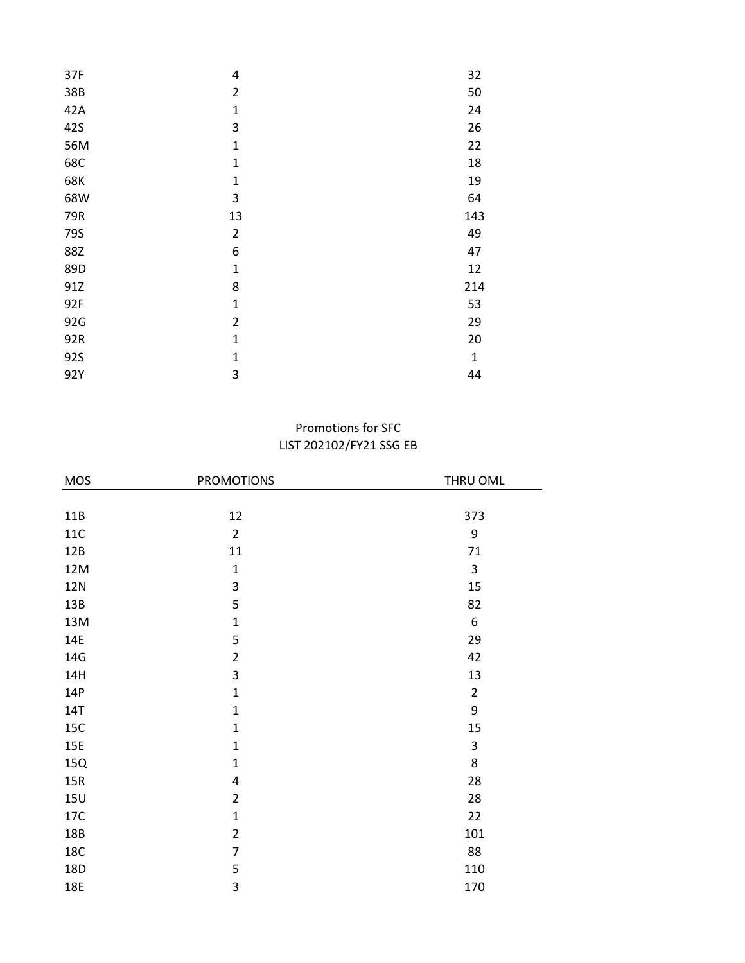| 4              | 32           |
|----------------|--------------|
| $\overline{2}$ | 50           |
| $\mathbf{1}$   | 24           |
| 3              | 26           |
| $\mathbf{1}$   | 22           |
| $\mathbf{1}$   | 18           |
| $\mathbf{1}$   | 19           |
| 3              | 64           |
| 13             | 143          |
| $\overline{2}$ | 49           |
| 6              | 47           |
| $\mathbf 1$    | 12           |
| 8              | 214          |
| $\mathbf{1}$   | 53           |
| $\overline{2}$ | 29           |
| $\mathbf{1}$   | 20           |
| $\mathbf{1}$   | $\mathbf{1}$ |
| 3              | 44           |
|                |              |

# LIST 202102/FY21 SSG EB Promotions for SFC

| <b>MOS</b> | <b>PROMOTIONS</b> | THRU OML       |
|------------|-------------------|----------------|
|            |                   |                |
| 11B        | 12                | 373            |
| $11C$      | $\overline{2}$    | 9              |
| 12B        | 11                | 71             |
| 12M        | $\mathbf 1$       | 3              |
| <b>12N</b> | 3                 | 15             |
| 13B        | 5                 | 82             |
| 13M        | $\mathbf{1}$      | 6              |
| 14E        | 5                 | 29             |
| 14G        | $\overline{2}$    | 42             |
| 14H        | 3                 | 13             |
| 14P        | $\mathbf{1}$      | $\overline{2}$ |
| <b>14T</b> | $\mathbf{1}$      | 9              |
| 15C        | $\mathbf{1}$      | 15             |
| <b>15E</b> | $\mathbf{1}$      | 3              |
| 15Q        | $\mathbf 1$       | 8              |
| 15R        | 4                 | 28             |
| <b>15U</b> | $\overline{2}$    | 28             |
| 17C        | $\mathbf{1}$      | 22             |
| 18B        | $\overline{2}$    | 101            |
| <b>18C</b> | $\overline{7}$    | 88             |
| 18D        | 5                 | 110            |
| 18E        | 3                 | 170            |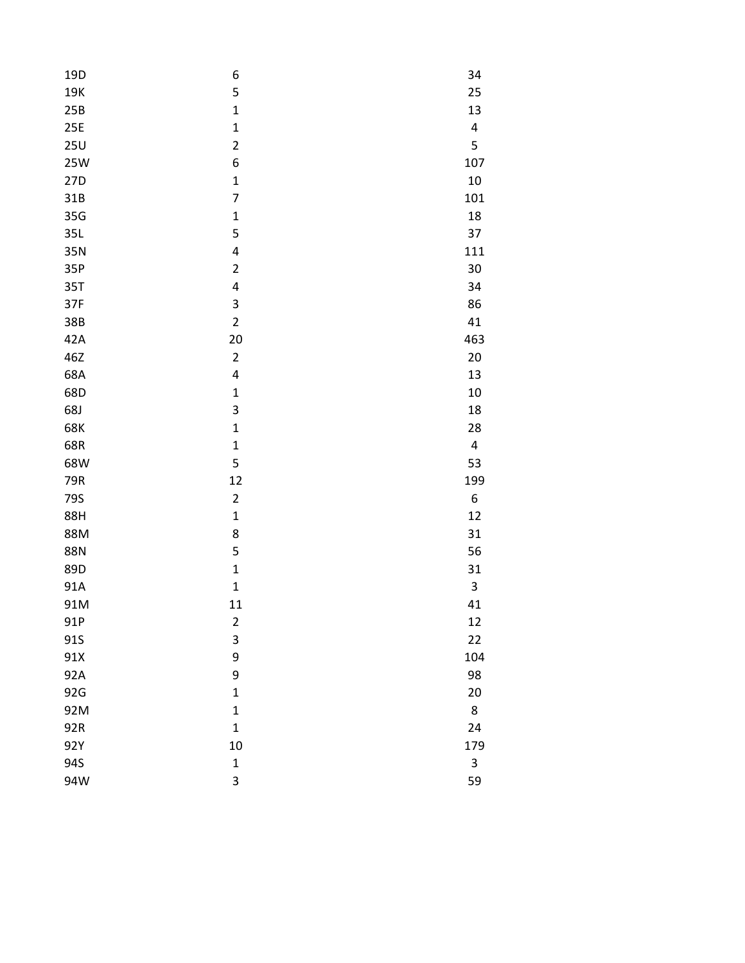| 19 <sub>D</sub> | 6                       | 34        |
|-----------------|-------------------------|-----------|
| 19K             | 5                       | 25        |
| 25B             | $\mathbf{1}$            | 13        |
| 25E             | $\mathbf{1}$            | $\pmb{4}$ |
| 25U             | $\overline{c}$          | 5         |
| <b>25W</b>      | 6                       | 107       |
| 27D             | $\mathbf{1}$            | 10        |
| 31B             | 7                       | 101       |
| 35G             | $\mathbf{1}$            | 18        |
| 35L             | 5                       | 37        |
| 35N             | 4                       | 111       |
| 35P             | $\overline{\mathbf{c}}$ | 30        |
| 35T             | 4                       | 34        |
| 37F             | 3                       | 86        |
| 38B             | $\overline{c}$          | 41        |
| 42A             | 20                      | 463       |
| 46Z             | $\overline{c}$          | 20        |
| 68A             | 4                       | 13        |
| 68D             | $\mathbf{1}$            | 10        |
| 68J             | 3                       | 18        |
| 68K             | $\mathbf{1}$            | 28        |
| 68R             | $\mathbf{1}$            | 4         |
| 68W             | 5                       | 53        |
| 79R             | 12                      | 199       |
| 79S             | $\overline{c}$          | 6         |
| 88H             | $\mathbf{1}$            | 12        |
| 88M             | 8                       | 31        |
| <b>88N</b>      | 5                       | 56        |
| 89D             | $\mathbf{1}$            | 31        |
| 91A             | $\mathbf{1}$            | 3         |
| 91M             | 11                      | 41        |
| 91P             | $\overline{\mathbf{c}}$ | 12        |
| 91S             | 3                       | 22        |
| 91X             | 9                       | 104       |
| 92A             | 9                       | 98        |
| 92G             | $\mathbf{1}$            | 20        |
| 92M             | $\mathbf 1$             | 8         |
| 92R             | $\mathbf{1}$            | 24        |
| 92Y             | 10                      | 179       |
| 94S             | $\mathbf{1}$            | 3         |
| 94W             | 3                       | 59        |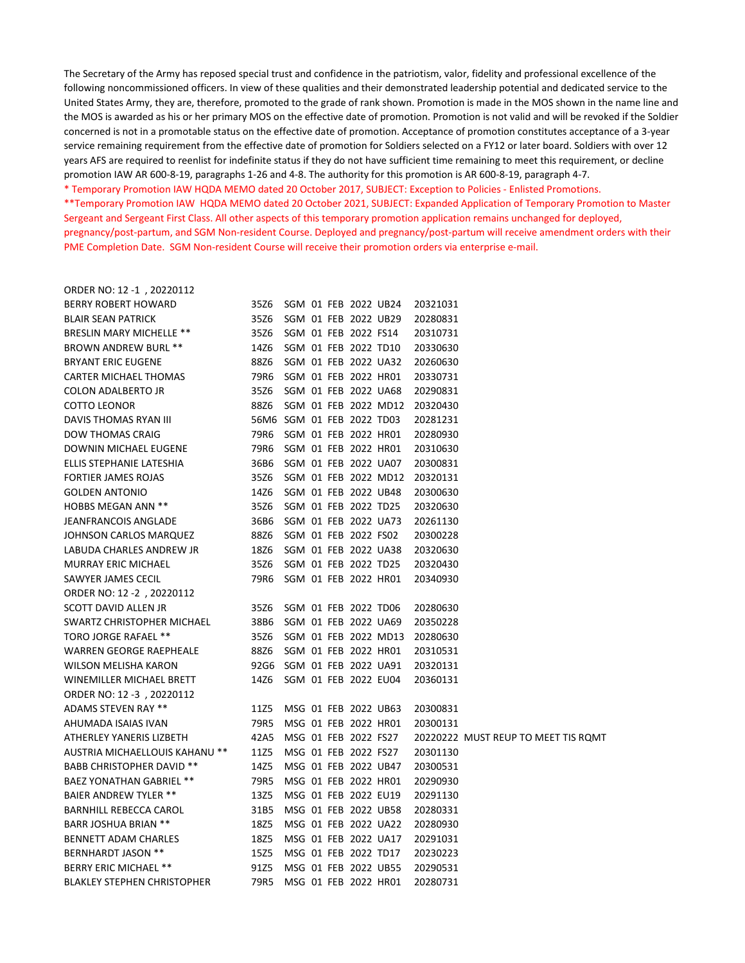The Secretary of the Army has reposed special trust and confidence in the patriotism, valor, fidelity and professional excellence of the following noncommissioned officers. In view of these qualities and their demonstrated leadership potential and dedicated service to the United States Army, they are, therefore, promoted to the grade of rank shown. Promotion is made in the MOS shown in the name line and the MOS is awarded as his or her primary MOS on the effective date of promotion. Promotion is not valid and will be revoked if the Soldier concerned is not in a promotable status on the effective date of promotion. Acceptance of promotion constitutes acceptance of a 3-year service remaining requirement from the effective date of promotion for Soldiers selected on a FY12 or later board. Soldiers with over 12 years AFS are required to reenlist for indefinite status if they do not have sufficient time remaining to meet this requirement, or decline promotion IAW AR 600-8-19, paragraphs 1-26 and 4-8. The authority for this promotion is AR 600-8-19, paragraph 4-7.

\* Temporary Promotion IAW HQDA MEMO dated 20 October 2017, SUBJECT: Exception to Policies - Enlisted Promotions.

\*\*Temporary Promotion IAW HQDA MEMO dated 20 October 2021, SUBJECT: Expanded Application of Temporary Promotion to Master Sergeant and Sergeant First Class. All other aspects of this temporary promotion application remains unchanged for deployed, pregnancy/post-partum, and SGM Non-resident Course. Deployed and pregnancy/post-partum will receive amendment orders with their PME Completion Date. SGM Non-resident Course will receive their promotion orders via enterprise e-mail.

ORDER NO: 12 -1 , 20220112

| <b>BERRY ROBERT HOWARD</b>         | 35Z6                      |  |                      | SGM 01 FEB 2022 UB24      | 20321031 |                                     |
|------------------------------------|---------------------------|--|----------------------|---------------------------|----------|-------------------------------------|
| <b>BLAIR SEAN PATRICK</b>          | 35Z6                      |  |                      | SGM 01 FEB 2022 UB29      | 20280831 |                                     |
| <b>BRESLIN MARY MICHELLE **</b>    | 35Z6                      |  | SGM 01 FEB 2022 FS14 |                           | 20310731 |                                     |
| <b>BROWN ANDREW BURL **</b>        | 14Z6                      |  |                      | SGM 01 FEB 2022 TD10      | 20330630 |                                     |
| <b>BRYANT ERIC EUGENE</b>          | 88Z6                      |  |                      | SGM 01 FEB 2022 UA32      | 20260630 |                                     |
| CARTER MICHAEL THOMAS              | 79R6                      |  |                      | SGM 01 FEB 2022 HR01      | 20330731 |                                     |
| <b>COLON ADALBERTO JR</b>          | 35Z6                      |  |                      | SGM 01 FEB 2022 UA68      | 20290831 |                                     |
| <b>COTTO LEONOR</b>                | 88Z6                      |  |                      | SGM 01 FEB 2022 MD12      | 20320430 |                                     |
| DAVIS THOMAS RYAN III              | 56M6 SGM 01 FEB 2022 TD03 |  |                      |                           | 20281231 |                                     |
| <b>DOW THOMAS CRAIG</b>            | 79R6                      |  |                      | SGM 01 FEB 2022 HR01      | 20280930 |                                     |
| DOWNIN MICHAEL EUGENE              | 79R6                      |  |                      | SGM 01 FEB 2022 HR01      | 20310630 |                                     |
| ELLIS STEPHANIE LATESHIA           | 36B6                      |  |                      | SGM 01 FEB 2022 UA07      | 20300831 |                                     |
| FORTIER JAMES ROJAS                | 35Z6                      |  |                      | SGM 01 FEB 2022 MD12      | 20320131 |                                     |
| <b>GOLDEN ANTONIO</b>              | 14Z6                      |  |                      | SGM 01 FEB 2022 UB48      | 20300630 |                                     |
| <b>HOBBS MEGAN ANN **</b>          | 35Z6                      |  |                      | SGM 01 FEB 2022 TD25      | 20320630 |                                     |
| <b>JEANFRANCOIS ANGLADE</b>        | 36B6                      |  |                      | SGM 01 FEB 2022 UA73      | 20261130 |                                     |
| JOHNSON CARLOS MARQUEZ             | 88Z6                      |  | SGM 01 FEB 2022 FS02 |                           | 20300228 |                                     |
| LABUDA CHARLES ANDREW JR           | 18Z6                      |  |                      | SGM 01 FEB 2022 UA38      | 20320630 |                                     |
| <b>MURRAY ERIC MICHAEL</b>         | 35Z6                      |  |                      | SGM 01 FEB 2022 TD25      | 20320430 |                                     |
| SAWYER JAMES CECIL                 | 79R6                      |  |                      | SGM 01 FEB 2022 HR01      | 20340930 |                                     |
| ORDER NO: 12 -2, 20220112          |                           |  |                      |                           |          |                                     |
| SCOTT DAVID ALLEN JR               | 35Z6                      |  |                      | SGM 01 FEB 2022 TD06      | 20280630 |                                     |
| SWARTZ CHRISTOPHER MICHAEL         | 38B6                      |  |                      | SGM 01 FEB 2022 UA69      | 20350228 |                                     |
| TORO JORGE RAFAEL **               | 35Z6                      |  |                      | SGM 01 FEB 2022 MD13      | 20280630 |                                     |
| <b>WARREN GEORGE RAEPHEALE</b>     | 88Z6                      |  |                      | SGM 01 FEB 2022 HR01      | 20310531 |                                     |
| <b>WILSON MELISHA KARON</b>        |                           |  |                      | 92G6 SGM 01 FEB 2022 UA91 | 20320131 |                                     |
| WINEMILLER MICHAEL BRETT           | 14Z6                      |  |                      | SGM 01 FEB 2022 EU04      | 20360131 |                                     |
| ORDER NO: 12 -3, 20220112          |                           |  |                      |                           |          |                                     |
| ADAMS STEVEN RAY **                | 11Z5                      |  |                      | MSG 01 FEB 2022 UB63      | 20300831 |                                     |
| AHUMADA ISAIAS IVAN                | 79R5                      |  |                      | MSG 01 FEB 2022 HR01      | 20300131 |                                     |
| ATHERLEY YANERIS LIZBETH           | 42A5                      |  | MSG 01 FEB 2022 FS27 |                           |          | 20220222 MUST REUP TO MEET TIS ROMT |
| AUSTRIA MICHAELLOUIS KAHANU **     | 11Z5                      |  | MSG 01 FEB 2022 FS27 |                           | 20301130 |                                     |
| <b>BABB CHRISTOPHER DAVID **</b>   | 14Z5                      |  |                      | MSG 01 FEB 2022 UB47      | 20300531 |                                     |
| <b>BAEZ YONATHAN GABRIEL **</b>    | 79R5                      |  |                      | MSG 01 FEB 2022 HR01      | 20290930 |                                     |
| <b>BAIER ANDREW TYLER **</b>       | 13Z5                      |  |                      | MSG 01 FEB 2022 EU19      | 20291130 |                                     |
| BARNHILL REBECCA CAROL             | 31B5                      |  |                      | MSG 01 FEB 2022 UB58      | 20280331 |                                     |
| <b>BARR JOSHUA BRIAN **</b>        | 18Z5                      |  |                      | MSG 01 FEB 2022 UA22      | 20280930 |                                     |
| BENNETT ADAM CHARLES               | 18Z5                      |  |                      | MSG 01 FEB 2022 UA17      | 20291031 |                                     |
| <b>BERNHARDT JASON **</b>          | 15Z5                      |  |                      | MSG 01 FEB 2022 TD17      | 20230223 |                                     |
| <b>BERRY ERIC MICHAEL **</b>       | 91Z5                      |  |                      | MSG 01 FEB 2022 UB55      | 20290531 |                                     |
| <b>BLAKLEY STEPHEN CHRISTOPHER</b> | 79R5                      |  |                      | MSG 01 FEB 2022 HR01      | 20280731 |                                     |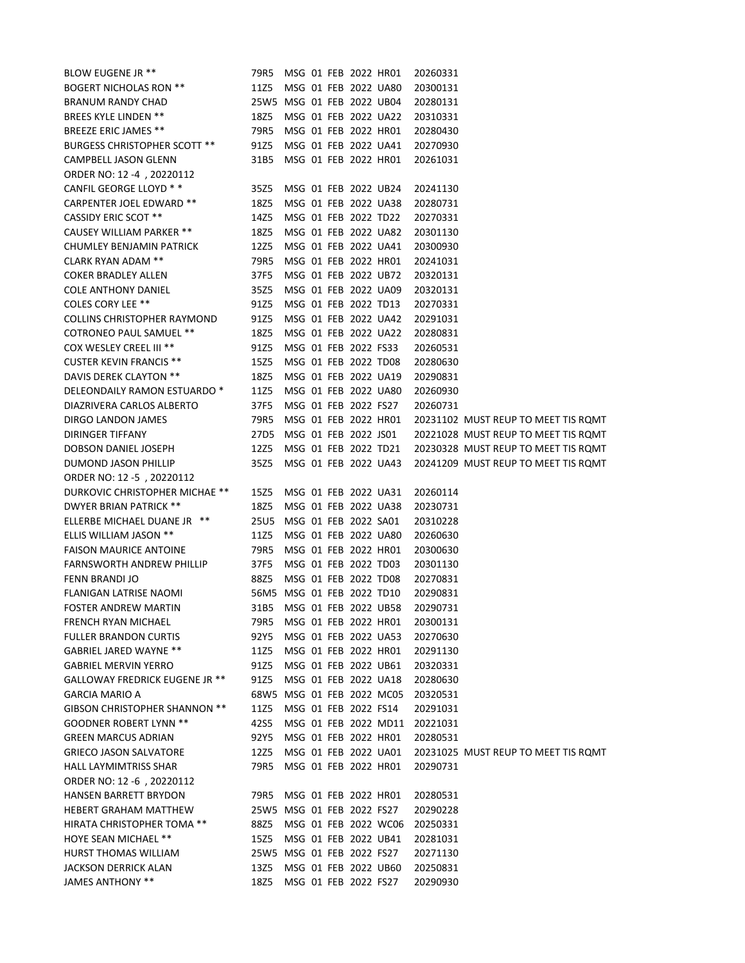| BLOW EUGENE JR **                       | 79R5                      |  | MSG 01 FEB 2022 HR01 |                      | 20260331 |                                     |
|-----------------------------------------|---------------------------|--|----------------------|----------------------|----------|-------------------------------------|
| BOGERT NICHOLAS RON **                  | 11Z5                      |  |                      | MSG 01 FEB 2022 UA80 | 20300131 |                                     |
| BRANUM RANDY CHAD                       | 25W5 MSG 01 FEB 2022 UB04 |  |                      |                      | 20280131 |                                     |
| BREES KYLE LINDEN **                    | 18Z5                      |  |                      | MSG 01 FEB 2022 UA22 | 20310331 |                                     |
| BREEZE ERIC JAMES **                    | 79R5                      |  |                      | MSG 01 FEB 2022 HR01 | 20280430 |                                     |
| <b>BURGESS CHRISTOPHER SCOTT **</b>     | 91Z5                      |  |                      | MSG 01 FEB 2022 UA41 | 20270930 |                                     |
| CAMPBELL JASON GLENN                    | 31B5                      |  |                      | MSG 01 FEB 2022 HR01 | 20261031 |                                     |
| ORDER NO: 12 -4, 20220112               |                           |  |                      |                      |          |                                     |
| CANFIL GEORGE LLOYD * *                 | 35Z5                      |  |                      | MSG 01 FEB 2022 UB24 | 20241130 |                                     |
| CARPENTER JOEL EDWARD **                | 18Z5                      |  |                      | MSG 01 FEB 2022 UA38 | 20280731 |                                     |
| <b>CASSIDY ERIC SCOT **</b>             | 14Z5                      |  | MSG 01 FEB 2022 TD22 |                      | 20270331 |                                     |
| <b>CAUSEY WILLIAM PARKER **</b>         | 18Z5                      |  |                      | MSG 01 FEB 2022 UA82 | 20301130 |                                     |
| CHUMLEY BENJAMIN PATRICK                | 12Z5                      |  |                      | MSG 01 FEB 2022 UA41 | 20300930 |                                     |
| CLARK RYAN ADAM **                      | 79R5                      |  |                      | MSG 01 FEB 2022 HR01 | 20241031 |                                     |
| COKER BRADLEY ALLEN                     | 37F5                      |  |                      | MSG 01 FEB 2022 UB72 | 20320131 |                                     |
| COLE ANTHONY DANIEL                     | 35Z5                      |  |                      | MSG 01 FEB 2022 UA09 | 20320131 |                                     |
| <b>COLES CORY LEE **</b>                | 91Z5                      |  | MSG 01 FEB 2022 TD13 |                      | 20270331 |                                     |
| COLLINS CHRISTOPHER RAYMOND             | 91Z5                      |  |                      | MSG 01 FEB 2022 UA42 | 20291031 |                                     |
| <b>COTRONEO PAUL SAMUEL **</b>          | 18Z5                      |  |                      | MSG 01 FEB 2022 UA22 | 20280831 |                                     |
| COX WESLEY CREEL III **                 | 91Z5                      |  | MSG 01 FEB 2022 FS33 |                      | 20260531 |                                     |
| <b>CUSTER KEVIN FRANCIS **</b>          | 15Z5                      |  | MSG 01 FEB 2022 TD08 |                      | 20280630 |                                     |
| DAVIS DEREK CLAYTON **                  | 18Z5                      |  |                      | MSG 01 FEB 2022 UA19 | 20290831 |                                     |
| DELEONDAILY RAMON ESTUARDO <sup>*</sup> | 11Z5                      |  |                      | MSG 01 FEB 2022 UA80 | 20260930 |                                     |
| DIAZRIVERA CARLOS ALBERTO               | 37F5                      |  | MSG 01 FEB 2022 FS27 |                      | 20260731 |                                     |
| DIRGO LANDON JAMES                      | 79R5                      |  | MSG 01 FEB 2022 HR01 |                      |          | 20231102 MUST REUP TO MEET TIS ROMT |
| DIRINGER TIFFANY                        | 27D5                      |  | MSG 01 FEB 2022 JS01 |                      |          | 20221028 MUST REUP TO MEET TIS ROMT |
| DOBSON DANIEL JOSEPH                    | 12Z5                      |  | MSG 01 FEB 2022 TD21 |                      |          | 20230328 MUST REUP TO MEET TIS ROMT |
| DUMOND JASON PHILLIP                    | 35Z5                      |  | MSG 01 FEB 2022 UA43 |                      |          | 20241209 MUST REUP TO MEET TIS ROMT |
| ORDER NO: 12 -5, 20220112               |                           |  |                      |                      |          |                                     |
| DURKOVIC CHRISTOPHER MICHAE **          | 15Z5                      |  | MSG 01 FEB 2022 UA31 |                      | 20260114 |                                     |
| DWYER BRIAN PATRICK **                  | 18Z5                      |  |                      | MSG 01 FEB 2022 UA38 | 20230731 |                                     |
| ELLERBE MICHAEL DUANE JR **             | 25U5                      |  | MSG 01 FEB 2022 SA01 |                      | 20310228 |                                     |
| <b>ELLIS WILLIAM JASON **</b>           | 11Z5                      |  |                      | MSG 01 FEB 2022 UA80 | 20260630 |                                     |
| <b>FAISON MAURICE ANTOINE</b>           | 79R5                      |  | MSG 01 FEB 2022 HR01 |                      | 20300630 |                                     |
| <b>FARNSWORTH ANDREW PHILLIP</b>        | 37F5                      |  | MSG 01 FEB 2022 TD03 |                      | 20301130 |                                     |
| FENN BRANDI JO                          | 88Z5                      |  | MSG 01 FEB 2022 TD08 |                      | 20270831 |                                     |
| FLANIGAN LATRISE NAOMI                  | 56M5 MSG 01 FEB 2022 TD10 |  |                      |                      | 20290831 |                                     |
| FOSTER ANDREW MARTIN                    | 31B5                      |  | MSG 01 FEB 2022 UB58 |                      | 20290731 |                                     |
| FRENCH RYAN MICHAEL                     | 79R5                      |  |                      | MSG 01 FEB 2022 HR01 | 20300131 |                                     |
| FULLER BRANDON CURTIS                   | 92Y5                      |  |                      | MSG 01 FEB 2022 UA53 | 20270630 |                                     |
| GABRIEL JARED WAYNE **                  | 11Z5                      |  |                      | MSG 01 FEB 2022 HR01 | 20291130 |                                     |
| <b>GABRIEL MERVIN YERRO</b>             | 91Z5                      |  |                      | MSG 01 FEB 2022 UB61 | 20320331 |                                     |
| GALLOWAY FREDRICK EUGENE JR **          | 91Z5                      |  |                      | MSG 01 FEB 2022 UA18 | 20280630 |                                     |
| GARCIA MARIO A                          | 68W5 MSG 01 FEB 2022 MC05 |  |                      |                      | 20320531 |                                     |
| GIBSON CHRISTOPHER SHANNON **           | 11Z5                      |  | MSG 01 FEB 2022 FS14 |                      | 20291031 |                                     |
| GOODNER ROBERT LYNN **                  | 42S5                      |  |                      | MSG 01 FEB 2022 MD11 | 20221031 |                                     |
| <b>GREEN MARCUS ADRIAN</b>              | 92Y5                      |  |                      | MSG 01 FEB 2022 HR01 | 20280531 |                                     |
| <b>GRIECO JASON SALVATORE</b>           | 12Z5                      |  |                      | MSG 01 FEB 2022 UA01 |          | 20231025 MUST REUP TO MEET TIS ROMT |
| HALL LAYMIMTRISS SHAR                   | 79R5                      |  |                      | MSG 01 FEB 2022 HR01 | 20290731 |                                     |
| ORDER NO: 12 -6, 20220112               |                           |  |                      |                      |          |                                     |
| HANSEN BARRETT BRYDON                   | 79R5 MSG 01 FEB 2022 HR01 |  |                      |                      | 20280531 |                                     |
| HEBERT GRAHAM MATTHEW                   | 25W5 MSG 01 FEB 2022 FS27 |  |                      |                      | 20290228 |                                     |
| HIRATA CHRISTOPHER TOMA **              | 88Z5                      |  |                      | MSG 01 FEB 2022 WC06 | 20250331 |                                     |
| <b>HOYE SEAN MICHAEL **</b>             | 15Z5                      |  |                      | MSG 01 FEB 2022 UB41 | 20281031 |                                     |
| HURST THOMAS WILLIAM                    | 25W5 MSG 01 FEB 2022 FS27 |  |                      |                      | 20271130 |                                     |
| JACKSON DERRICK ALAN                    | 13Z5                      |  |                      | MSG 01 FEB 2022 UB60 | 20250831 |                                     |
| JAMES ANTHONY **                        | 18Z5                      |  | MSG 01 FEB 2022 FS27 |                      | 20290930 |                                     |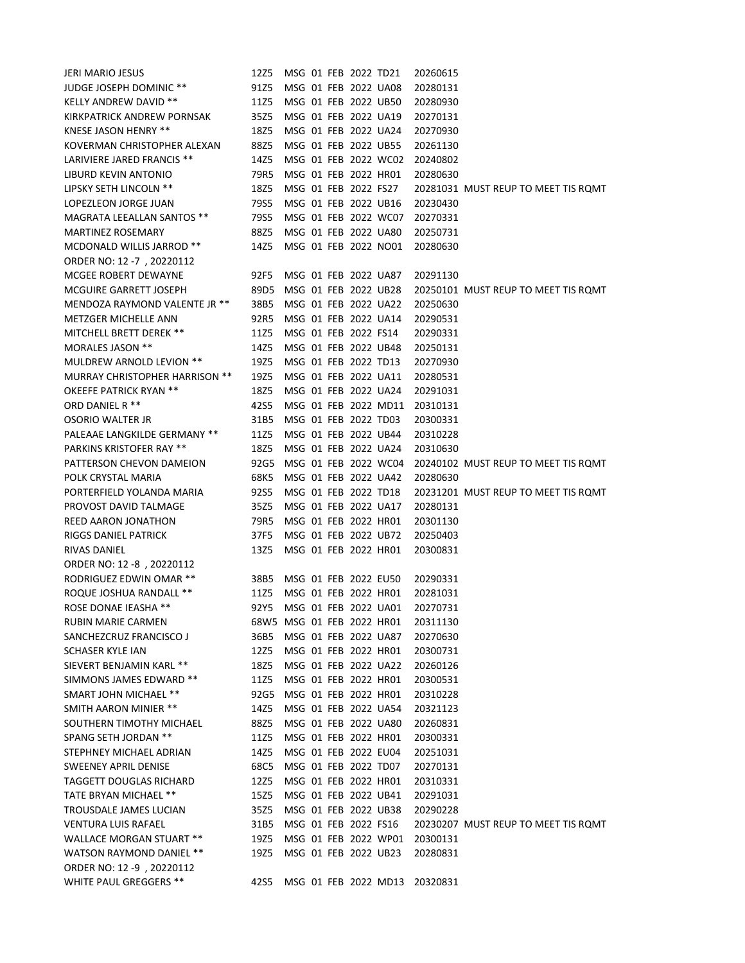| JERI MARIO JESUS                      | 12Z5                      |  | MSG 01 FEB 2022 TD21 |                                              | 20260615                      |                                     |
|---------------------------------------|---------------------------|--|----------------------|----------------------------------------------|-------------------------------|-------------------------------------|
| <b>JUDGE JOSEPH DOMINIC **</b>        | 91Z5                      |  |                      | MSG 01 FEB 2022 UA08                         | 20280131                      |                                     |
| <b>KELLY ANDREW DAVID **</b>          | 11Z5                      |  |                      | MSG 01 FEB 2022 UB50                         | 20280930                      |                                     |
| KIRKPATRICK ANDREW PORNSAK            | 35Z5                      |  |                      | MSG 01 FEB 2022 UA19                         | 20270131                      |                                     |
| KNESE JASON HENRY **                  | 18Z5                      |  |                      | MSG 01 FEB 2022 UA24                         | 20270930                      |                                     |
| KOVERMAN CHRISTOPHER ALEXAN           | 88Z5                      |  |                      | MSG 01 FEB 2022 UB55                         | 20261130                      |                                     |
| LARIVIERE JARED FRANCIS **            | 14Z5                      |  |                      | MSG 01 FEB 2022 WC02                         | 20240802                      |                                     |
| LIBURD KEVIN ANTONIO                  | 79R5                      |  |                      | MSG 01 FEB 2022 HR01                         | 20280630                      |                                     |
| LIPSKY SETH LINCOLN **                | 18Z5                      |  | MSG 01 FEB 2022 FS27 |                                              |                               | 20281031 MUST REUP TO MEET TIS ROMT |
| LOPEZLEON JORGE JUAN                  | 79S5                      |  |                      | MSG 01 FEB 2022 UB16                         | 20230430                      |                                     |
| MAGRATA LEEALLAN SANTOS **            | 79S5                      |  |                      | MSG 01 FEB 2022 WC07                         | 20270331                      |                                     |
| <b>MARTINEZ ROSEMARY</b>              | 88Z5                      |  |                      | MSG 01 FEB 2022 UA80                         | 20250731                      |                                     |
| MCDONALD WILLIS JARROD **             | 14Z5                      |  |                      | MSG 01 FEB 2022 NO01                         | 20280630                      |                                     |
| ORDER NO: 12 -7, 20220112             |                           |  |                      |                                              |                               |                                     |
| MCGEE ROBERT DEWAYNE                  | 92F5                      |  |                      | MSG 01 FEB 2022 UA87                         | 20291130                      |                                     |
| <b>MCGUIRE GARRETT JOSEPH</b>         | 89D5                      |  |                      | MSG 01 FEB 2022 UB28                         |                               | 20250101 MUST REUP TO MEET TIS ROMT |
| MENDOZA RAYMOND VALENTE JR **         | 38B5                      |  |                      | MSG 01 FEB 2022 UA22                         | 20250630                      |                                     |
| METZGER MICHELLE ANN                  | 92R5                      |  |                      | MSG 01 FEB 2022 UA14                         | 20290531                      |                                     |
|                                       |                           |  |                      |                                              |                               |                                     |
| <b>MITCHELL BRETT DEREK **</b>        | 11Z5                      |  | MSG 01 FEB 2022 FS14 |                                              | 20290331                      |                                     |
| MORALES JASON **                      | 14Z5                      |  |                      | MSG 01 FEB 2022 UB48                         | 20250131                      |                                     |
| MULDREW ARNOLD LEVION **              | 19Z5                      |  |                      | MSG 01 FEB 2022 TD13                         | 20270930                      |                                     |
| <b>MURRAY CHRISTOPHER HARRISON **</b> | 19Z5                      |  |                      | MSG 01 FEB 2022 UA11                         | 20280531                      |                                     |
| OKEEFE PATRICK RYAN **                | 18Z5                      |  |                      | MSG 01 FEB 2022 UA24                         | 20291031                      |                                     |
| ORD DANIEL R **                       | 42S5                      |  |                      | MSG 01 FEB 2022 MD11                         | 20310131                      |                                     |
| <b>OSORIO WALTER JR</b>               | 31B5                      |  |                      | MSG 01 FEB 2022 TD03                         | 20300331                      |                                     |
| PALEAAE LANGKILDE GERMANY **          | 11Z5                      |  |                      | MSG 01 FEB 2022 UB44                         | 20310228                      |                                     |
| <b>PARKINS KRISTOFER RAY **</b>       | 18Z5                      |  |                      | MSG 01 FEB 2022 UA24                         | 20310630                      |                                     |
| PATTERSON CHEVON DAMEION              | 92G5                      |  |                      | MSG 01 FEB 2022 WC04                         |                               | 20240102 MUST REUP TO MEET TIS ROMT |
| POLK CRYSTAL MARIA                    | 68K5                      |  |                      | MSG 01 FEB 2022 UA42                         | 20280630                      |                                     |
| PORTERFIELD YOLANDA MARIA             | 92S5                      |  |                      | MSG 01 FEB 2022 TD18                         |                               | 20231201 MUST REUP TO MEET TIS ROMT |
| PROVOST DAVID TALMAGE                 | 35Z5                      |  |                      | MSG 01 FEB 2022 UA17                         | 20280131                      |                                     |
| REED AARON JONATHON                   | 79R5                      |  |                      | MSG 01 FEB 2022 HR01                         | 20301130                      |                                     |
| RIGGS DANIEL PATRICK                  | 37F5                      |  |                      | MSG 01 FEB 2022 UB72                         | 20250403                      |                                     |
| <b>RIVAS DANIEL</b>                   | 13Z5                      |  |                      | MSG 01 FEB 2022 HR01                         | 20300831                      |                                     |
| ORDER NO: 12 -8, 20220112             |                           |  |                      |                                              |                               |                                     |
| RODRIGUEZ EDWIN OMAR **               | 38B5                      |  |                      | MSG 01 FEB 2022 EU50                         | 20290331                      |                                     |
| ROQUE JOSHUA RANDALL **               | 11Z5                      |  |                      | MSG 01 FEB 2022 HR01                         | 20281031                      |                                     |
| <b>ROSE DONAE IEASHA **</b>           | 92Y5                      |  |                      | MSG 01 FEB 2022 UA01                         | 20270731                      |                                     |
| RUBIN MARIE CARMEN                    | 68W5 MSG 01 FEB 2022 HR01 |  |                      |                                              | 20311130                      |                                     |
| SANCHEZCRUZ FRANCISCO J               | 36B5                      |  |                      | MSG 01 FEB 2022 UA87                         | 20270630                      |                                     |
| SCHASER KYLE IAN                      | 12Z5                      |  |                      | MSG 01 FEB 2022 HR01                         | 20300731                      |                                     |
| SIEVERT BENJAMIN KARL **              | 18Z5                      |  |                      | MSG 01 FEB 2022 UA22                         | 20260126                      |                                     |
| SIMMONS JAMES EDWARD **               | 11Z5                      |  |                      | MSG 01 FEB 2022 HR01                         | 20300531                      |                                     |
| SMART JOHN MICHAEL **                 | 92G5                      |  |                      | MSG 01 FEB 2022 HR01                         | 20310228                      |                                     |
| SMITH AARON MINIER **                 | 14Z5                      |  |                      | MSG 01 FEB 2022 UA54                         | 20321123                      |                                     |
| SOUTHERN TIMOTHY MICHAEL              | 88Z5                      |  |                      | MSG 01 FEB 2022 UA80                         | 20260831                      |                                     |
| SPANG SETH JORDAN **                  | 11Z5                      |  |                      | MSG 01 FEB 2022 HR01                         | 20300331                      |                                     |
| STEPHNEY MICHAEL ADRIAN               | 14Z5                      |  |                      | MSG 01 FEB 2022 EU04                         | 20251031                      |                                     |
| <b>SWEENEY APRIL DENISE</b>           | 68C5                      |  |                      | MSG 01 FEB 2022 TD07                         | 20270131                      |                                     |
| TAGGETT DOUGLAS RICHARD               | 12Z5                      |  |                      | MSG 01 FEB 2022 HR01                         | 20310331                      |                                     |
|                                       |                           |  |                      |                                              |                               |                                     |
| TATE BRYAN MICHAEL **                 | 15Z5                      |  |                      | MSG 01 FEB 2022 UB41<br>MSG 01 FEB 2022 UB38 | 20291031                      |                                     |
| TROUSDALE JAMES LUCIAN                | 35Z5                      |  |                      |                                              | 20290228                      |                                     |
| <b>VENTURA LUIS RAFAEL</b>            | 31B5                      |  | MSG 01 FEB 2022 FS16 |                                              |                               | 20230207 MUST REUP TO MEET TIS ROMT |
| <b>WALLACE MORGAN STUART **</b>       | 19Z5                      |  |                      | MSG 01 FEB 2022 WP01                         | 20300131                      |                                     |
| WATSON RAYMOND DANIEL **              | 19Z5                      |  |                      | MSG 01 FEB 2022 UB23                         | 20280831                      |                                     |
| ORDER NO: 12 -9, 20220112             |                           |  |                      |                                              |                               |                                     |
| WHITE PAUL GREGGERS **                | 42S5                      |  |                      |                                              | MSG 01 FEB 2022 MD13 20320831 |                                     |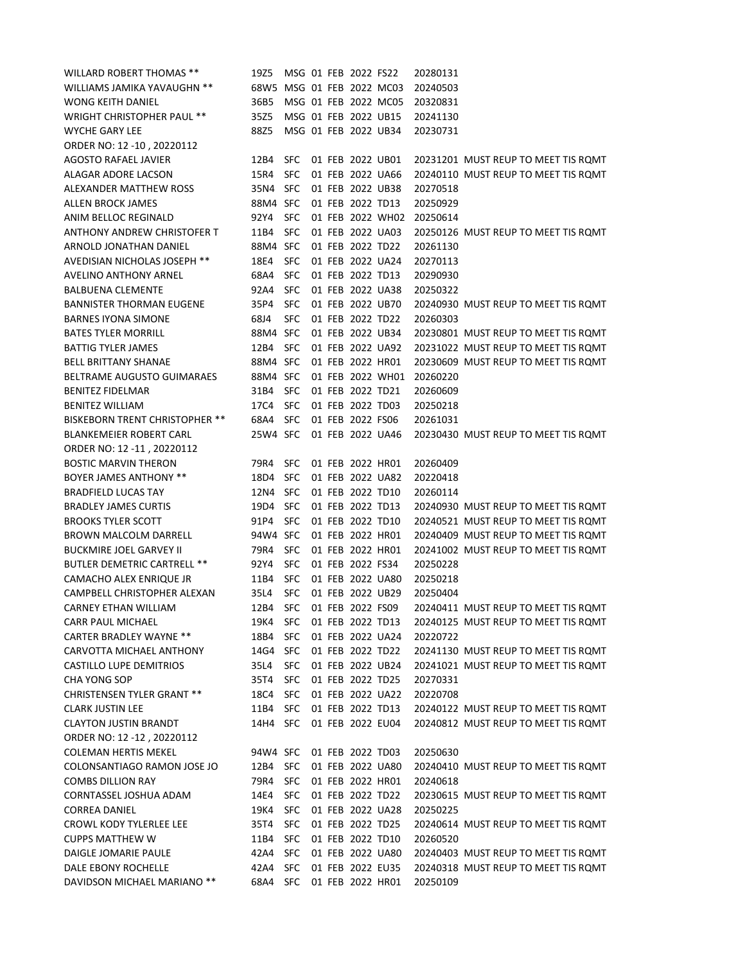| <b>WILLARD ROBERT THOMAS **</b>       | 19Z5                      |            |  | MSG 01 FEB 2022 FS22 |                      | 20280131 |                                     |
|---------------------------------------|---------------------------|------------|--|----------------------|----------------------|----------|-------------------------------------|
| WILLIAMS JAMIKA YAVAUGHN **           | 68W5 MSG 01 FEB 2022 MC03 |            |  |                      |                      | 20240503 |                                     |
| WONG KEITH DANIEL                     | 36B5                      |            |  |                      | MSG 01 FEB 2022 MC05 | 20320831 |                                     |
| <b>WRIGHT CHRISTOPHER PAUL **</b>     | 35Z5                      |            |  | MSG 01 FEB 2022 UB15 |                      | 20241130 |                                     |
| WYCHE GARY LEE                        | 88Z5                      |            |  | MSG 01 FEB 2022 UB34 |                      | 20230731 |                                     |
| ORDER NO: 12 -10, 20220112            |                           |            |  |                      |                      |          |                                     |
| AGOSTO RAFAEL JAVIER                  | 12B4                      | <b>SFC</b> |  | 01 FEB 2022 UB01     |                      |          | 20231201 MUST REUP TO MEET TIS ROMT |
| ALAGAR ADORE LACSON                   | 15R4                      | <b>SFC</b> |  | 01 FEB 2022 UA66     |                      |          | 20240110 MUST REUP TO MEET TIS ROMT |
| ALEXANDER MATTHEW ROSS                | 35N4 SFC                  |            |  | 01 FEB 2022 UB38     |                      | 20270518 |                                     |
| <b>ALLEN BROCK JAMES</b>              | 88M4 SFC                  |            |  | 01 FEB 2022 TD13     |                      | 20250929 |                                     |
| <b>ANIM BELLOC REGINALD</b>           | 92Y4                      | - SFC      |  |                      | 01 FEB 2022 WH02     | 20250614 |                                     |
| ANTHONY ANDREW CHRISTOFER T           | 11B4                      | <b>SFC</b> |  | 01 FEB 2022 UA03     |                      |          | 20250126 MUST REUP TO MEET TIS ROMT |
| ARNOLD JONATHAN DANIEL                | 88M4 SFC                  |            |  | 01 FEB 2022 TD22     |                      | 20261130 |                                     |
| AVEDISIAN NICHOLAS JOSEPH **          | 18E4                      | <b>SFC</b> |  | 01 FEB 2022 UA24     |                      | 20270113 |                                     |
| AVELINO ANTHONY ARNEL                 | 68A4                      | <b>SFC</b> |  | 01 FEB 2022 TD13     |                      | 20290930 |                                     |
| <b>BALBUENA CLEMENTE</b>              | 92A4                      | <b>SFC</b> |  | 01 FEB 2022 UA38     |                      | 20250322 |                                     |
| <b>BANNISTER THORMAN EUGENE</b>       | 35P4                      | <b>SFC</b> |  | 01 FEB 2022 UB70     |                      |          | 20240930 MUST REUP TO MEET TIS ROMT |
| <b>BARNES IYONA SIMONE</b>            | 68J4                      | <b>SFC</b> |  | 01 FEB 2022 TD22     |                      | 20260303 |                                     |
| <b>BATES TYLER MORRILL</b>            | 88M4 SFC                  |            |  | 01 FEB 2022 UB34     |                      |          | 20230801 MUST REUP TO MEET TIS ROMT |
| BATTIG TYLER JAMES                    | 12B4                      | <b>SFC</b> |  | 01 FEB 2022 UA92     |                      |          | 20231022 MUST REUP TO MEET TIS ROMT |
| BELL BRITTANY SHANAE                  | 88M4 SFC                  |            |  | 01 FEB 2022 HR01     |                      |          | 20230609 MUST REUP TO MEET TIS ROMT |
| BELTRAME AUGUSTO GUIMARAES            | 88M4 SFC                  |            |  |                      | 01 FEB 2022 WH01     | 20260220 |                                     |
| <b>BENITEZ FIDELMAR</b>               | 31B4                      | <b>SFC</b> |  | 01 FEB 2022 TD21     |                      | 20260609 |                                     |
| <b>BENITEZ WILLIAM</b>                | 17C4                      | <b>SFC</b> |  | 01 FEB 2022 TD03     |                      | 20250218 |                                     |
| <b>BISKEBORN TRENT CHRISTOPHER **</b> | 68A4                      | <b>SFC</b> |  | 01 FEB 2022 FS06     |                      | 20261031 |                                     |
| <b>BLANKEMEIER ROBERT CARL</b>        | 25W4 SFC                  |            |  | 01 FEB 2022 UA46     |                      |          | 20230430 MUST REUP TO MEET TIS ROMT |
| ORDER NO: 12 -11, 20220112            |                           |            |  |                      |                      |          |                                     |
| <b>BOSTIC MARVIN THERON</b>           | 79R4                      | <b>SFC</b> |  | 01 FEB 2022 HR01     |                      | 20260409 |                                     |
| <b>BOYER JAMES ANTHONY **</b>         | 18D4                      | <b>SFC</b> |  | 01 FEB 2022 UA82     |                      | 20220418 |                                     |
| <b>BRADFIELD LUCAS TAY</b>            | 12N4 SFC                  |            |  | 01 FEB 2022 TD10     |                      | 20260114 |                                     |
| <b>BRADLEY JAMES CURTIS</b>           | 19D4 SFC                  |            |  | 01 FEB 2022 TD13     |                      |          | 20240930 MUST REUP TO MEET TIS ROMT |
| <b>BROOKS TYLER SCOTT</b>             | 91P4                      | <b>SFC</b> |  | 01 FEB 2022 TD10     |                      |          | 20240521 MUST REUP TO MEET TIS ROMT |
| BROWN MALCOLM DARRELL                 | 94W4 SFC                  |            |  | 01 FEB 2022 HR01     |                      |          | 20240409 MUST REUP TO MEET TIS ROMT |
| <b>BUCKMIRE JOEL GARVEY II</b>        | 79R4 SFC                  |            |  | 01 FEB 2022 HR01     |                      |          | 20241002 MUST REUP TO MEET TIS ROMT |
| <b>BUTLER DEMETRIC CARTRELL **</b>    | 92Y4                      | <b>SFC</b> |  | 01 FEB 2022 FS34     |                      | 20250228 |                                     |
| CAMACHO ALEX ENRIQUE JR               | 11B4                      | <b>SFC</b> |  | 01 FEB 2022 UA80     |                      | 20250218 |                                     |
| CAMPBELL CHRISTOPHER ALEXAN           | 35L4                      | SFC        |  | 01 FEB 2022 UB29     |                      | 20250404 |                                     |
| <b>CARNEY ETHAN WILLIAM</b>           | 12B4                      | <b>SFC</b> |  | 01 FEB 2022 FS09     |                      |          | 20240411 MUST REUP TO MEET TIS ROMT |
| CARR PAUL MICHAEL                     | 19K4 SFC                  |            |  | 01 FEB 2022 TD13     |                      |          | 20240125 MUST REUP TO MEET TIS ROMT |
| <b>CARTER BRADLEY WAYNE **</b>        | 18B4                      | <b>SFC</b> |  | 01 FEB 2022 UA24     |                      | 20220722 |                                     |
| CARVOTTA MICHAEL ANTHONY              | 14G4 SFC                  |            |  | 01 FEB 2022 TD22     |                      |          | 20241130 MUST REUP TO MEET TIS ROMT |
| <b>CASTILLO LUPE DEMITRIOS</b>        | 35L4                      | <b>SFC</b> |  | 01 FEB 2022 UB24     |                      |          | 20241021 MUST REUP TO MEET TIS ROMT |
| CHA YONG SOP                          | 35T4                      | <b>SFC</b> |  | 01 FEB 2022 TD25     |                      | 20270331 |                                     |
| <b>CHRISTENSEN TYLER GRANT **</b>     | 18C4 SFC                  |            |  |                      | 01 FEB 2022 UA22     | 20220708 |                                     |
| <b>CLARK JUSTIN LEE</b>               | 11B4 SFC                  |            |  | 01 FEB 2022 TD13     |                      |          | 20240122 MUST REUP TO MEET TIS ROMT |
| <b>CLAYTON JUSTIN BRANDT</b>          | 14H4 SFC                  |            |  | 01 FEB 2022 EU04     |                      |          | 20240812 MUST REUP TO MEET TIS ROMT |
| ORDER NO: 12 -12, 20220112            |                           |            |  |                      |                      |          |                                     |
| <b>COLEMAN HERTIS MEKEL</b>           | 94W4 SFC                  |            |  | 01 FEB 2022 TD03     |                      | 20250630 |                                     |
| COLONSANTIAGO RAMON JOSE JO           | 12B4 SFC                  |            |  | 01 FEB 2022 UA80     |                      |          | 20240410 MUST REUP TO MEET TIS ROMT |
| <b>COMBS DILLION RAY</b>              | 79R4                      | <b>SFC</b> |  | 01 FEB 2022 HR01     |                      | 20240618 |                                     |
| CORNTASSEL JOSHUA ADAM                | 14E4                      | <b>SFC</b> |  | 01 FEB 2022 TD22     |                      |          | 20230615 MUST REUP TO MEET TIS ROMT |
| <b>CORREA DANIEL</b>                  | 19K4                      | <b>SFC</b> |  | 01 FEB 2022 UA28     |                      | 20250225 |                                     |
| CROWL KODY TYLERLEE LEE               | 35T4                      | <b>SFC</b> |  | 01 FEB 2022 TD25     |                      |          | 20240614 MUST REUP TO MEET TIS ROMT |
| <b>CUPPS MATTHEW W</b>                | 11B4                      | <b>SFC</b> |  | 01 FEB 2022 TD10     |                      | 20260520 |                                     |
| DAIGLE JOMARIE PAULE                  | 42A4                      | <b>SFC</b> |  |                      | 01 FEB 2022 UA80     |          | 20240403 MUST REUP TO MEET TIS ROMT |
| DALE EBONY ROCHELLE                   | 42A4                      | <b>SFC</b> |  | 01 FEB 2022 EU35     |                      |          | 20240318 MUST REUP TO MEET TIS ROMT |
| DAVIDSON MICHAEL MARIANO **           | 68A4 SFC                  |            |  | 01 FEB 2022 HR01     |                      | 20250109 |                                     |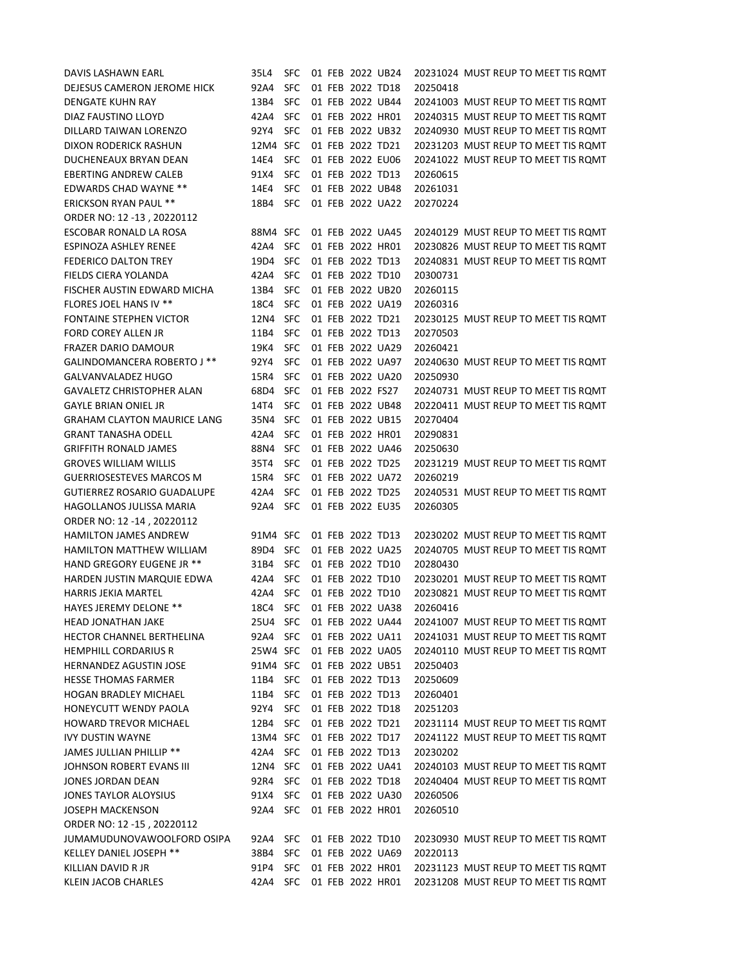| DAVIS LASHAWN EARL                                           | 35L4                 | <b>SFC</b>        |  | 01 FEB 2022 UB24 |                  |          | 20231024 MUST REUP TO MEET TIS ROMT |
|--------------------------------------------------------------|----------------------|-------------------|--|------------------|------------------|----------|-------------------------------------|
| DEJESUS CAMERON JEROME HICK                                  | 92A4                 | <b>SFC</b>        |  | 01 FEB 2022 TD18 |                  | 20250418 |                                     |
| DENGATE KUHN RAY                                             | 13B4                 | <b>SFC</b>        |  | 01 FEB 2022 UB44 |                  |          | 20241003 MUST REUP TO MEET TIS ROMT |
| DIAZ FAUSTINO LLOYD                                          | 42A4                 | <b>SFC</b>        |  | 01 FEB 2022 HR01 |                  |          | 20240315 MUST REUP TO MEET TIS ROMT |
| DILLARD TAIWAN LORENZO                                       | 92Y4                 | <b>SFC</b>        |  | 01 FEB 2022 UB32 |                  |          | 20240930 MUST REUP TO MEET TIS ROMT |
| DIXON RODERICK RASHUN                                        | 12M4 SFC             |                   |  | 01 FEB 2022 TD21 |                  |          | 20231203 MUST REUP TO MEET TIS ROMT |
| DUCHENEAUX BRYAN DEAN                                        | 14E4                 | <b>SFC</b>        |  | 01 FEB 2022 EU06 |                  |          | 20241022 MUST REUP TO MEET TIS ROMT |
| EBERTING ANDREW CALEB                                        | 91X4                 | <b>SFC</b>        |  | 01 FEB 2022 TD13 |                  | 20260615 |                                     |
| <b>EDWARDS CHAD WAYNE **</b>                                 | 14E4                 | <b>SFC</b>        |  |                  | 01 FEB 2022 UB48 | 20261031 |                                     |
| <b>ERICKSON RYAN PAUL **</b>                                 | 18B4                 | <b>SFC</b>        |  |                  | 01 FEB 2022 UA22 | 20270224 |                                     |
| ORDER NO: 12 -13, 20220112                                   |                      |                   |  |                  |                  |          |                                     |
| ESCOBAR RONALD LA ROSA                                       | 88M4 SFC             |                   |  | 01 FEB 2022 UA45 |                  |          | 20240129 MUST REUP TO MEET TIS ROMT |
| ESPINOZA ASHLEY RENEE                                        | 42A4                 | <b>SFC</b>        |  | 01 FEB 2022 HR01 |                  |          | 20230826 MUST REUP TO MEET TIS ROMT |
| <b>FEDERICO DALTON TREY</b>                                  | 19D4                 | <b>SFC</b>        |  | 01 FEB 2022 TD13 |                  |          | 20240831 MUST REUP TO MEET TIS ROMT |
| FIELDS CIERA YOLANDA                                         | 42A4                 | <b>SFC</b>        |  | 01 FEB 2022 TD10 |                  | 20300731 |                                     |
| FISCHER AUSTIN EDWARD MICHA                                  | 13B4                 | <b>SFC</b>        |  | 01 FEB 2022 UB20 |                  | 20260115 |                                     |
| <b>FLORES JOEL HANS IV **</b>                                | 18C4                 | <b>SFC</b>        |  | 01 FEB 2022 UA19 |                  | 20260316 |                                     |
| FONTAINE STEPHEN VICTOR                                      | 12N4 SFC             |                   |  | 01 FEB 2022 TD21 |                  |          | 20230125 MUST REUP TO MEET TIS ROMT |
| FORD COREY ALLEN JR                                          | 11B4                 | <b>SFC</b>        |  | 01 FEB 2022 TD13 |                  | 20270503 |                                     |
| <b>FRAZER DARIO DAMOUR</b>                                   | 19K4                 | <b>SFC</b>        |  | 01 FEB 2022 UA29 |                  | 20260421 |                                     |
| GALINDOMANCERA ROBERTO J **                                  | 92Y4                 | <b>SFC</b>        |  | 01 FEB 2022 UA97 |                  |          | 20240630 MUST REUP TO MEET TIS ROMT |
| GALVANVALADEZ HUGO                                           | 15R4                 | <b>SFC</b>        |  |                  | 01 FEB 2022 UA20 | 20250930 |                                     |
| <b>GAVALETZ CHRISTOPHER ALAN</b>                             | 68D4                 | <b>SFC</b>        |  | 01 FEB 2022 FS27 |                  |          | 20240731 MUST REUP TO MEET TIS ROMT |
| <b>GAYLE BRIAN ONIEL JR</b>                                  | 14T4                 | <b>SFC</b>        |  | 01 FEB 2022 UB48 |                  |          | 20220411 MUST REUP TO MEET TIS ROMT |
| <b>GRAHAM CLAYTON MAURICE LANG</b>                           | 35N4                 | <b>SFC</b>        |  | 01 FEB 2022 UB15 |                  | 20270404 |                                     |
| GRANT TANASHA ODELL                                          | 42A4                 | <b>SFC</b>        |  | 01 FEB 2022 HR01 |                  | 20290831 |                                     |
| GRIFFITH RONALD JAMES                                        | 88N4                 | <b>SFC</b>        |  |                  | 01 FEB 2022 UA46 | 20250630 |                                     |
| <b>GROVES WILLIAM WILLIS</b>                                 | 35T4                 | <b>SFC</b>        |  | 01 FEB 2022 TD25 |                  |          | 20231219 MUST REUP TO MEET TIS ROMT |
| GUERRIOSESTEVES MARCOS M                                     | 15R4                 | <b>SFC</b>        |  |                  | 01 FEB 2022 UA72 | 20260219 |                                     |
| GUTIERREZ ROSARIO GUADALUPE                                  | 42A4                 | <b>SFC</b>        |  | 01 FEB 2022 TD25 |                  |          | 20240531 MUST REUP TO MEET TIS ROMT |
| HAGOLLANOS JULISSA MARIA                                     | 92A4                 | <b>SFC</b>        |  | 01 FEB 2022 EU35 |                  | 20260305 |                                     |
| ORDER NO: 12 -14, 20220112                                   |                      |                   |  |                  |                  |          |                                     |
| HAMILTON JAMES ANDREW                                        | 91M4 SFC             |                   |  | 01 FEB 2022 TD13 |                  |          | 20230202 MUST REUP TO MEET TIS ROMT |
| <b>HAMILTON MATTHEW WILLIAM</b>                              | 89D4 SFC             |                   |  |                  | 01 FEB 2022 UA25 |          | 20240705 MUST REUP TO MEET TIS ROMT |
| <b>HAND GREGORY EUGENE JR **</b>                             | 31B4                 | <b>SFC</b>        |  | 01 FEB 2022 TD10 |                  | 20280430 |                                     |
| HARDEN JUSTIN MARQUIE EDWA                                   | 42A4                 | <b>SFC</b>        |  | 01 FEB 2022 TD10 |                  |          | 20230201 MUST REUP TO MEET TIS ROMT |
| <b>HARRIS JEKIA MARTEL</b>                                   | 42A4                 | <b>SFC</b>        |  | 01 FEB 2022 TD10 |                  |          | 20230821 MUST REUP TO MEET TIS ROMT |
| HAYES JEREMY DELONE **                                       | 18C4                 | <b>SFC</b>        |  |                  | 01 FEB 2022 UA38 | 20260416 |                                     |
| HEAD JONATHAN JAKE                                           | 25U4 SFC             |                   |  |                  | 01 FEB 2022 UA44 |          | 20241007 MUST REUP TO MEET TIS ROMT |
| HECTOR CHANNEL BERTHELINA                                    | 92A4 SFC             |                   |  |                  | 01 FEB 2022 UA11 |          | 20241031 MUST REUP TO MEET TIS ROMT |
| <b>HEMPHILL CORDARIUS R</b>                                  | 25W4 SFC             |                   |  |                  | 01 FEB 2022 UA05 |          | 20240110 MUST REUP TO MEET TIS ROMT |
| <b>HERNANDEZ AGUSTIN JOSE</b>                                | 91M4 SFC             |                   |  |                  | 01 FEB 2022 UB51 | 20250403 |                                     |
| <b>HESSE THOMAS FARMER</b>                                   | 11B4 SFC             |                   |  | 01 FEB 2022 TD13 |                  | 20250609 |                                     |
| <b>HOGAN BRADLEY MICHAEL</b>                                 | 11B4                 | SFC               |  | 01 FEB 2022 TD13 |                  | 20260401 |                                     |
| HONEYCUTT WENDY PAOLA                                        | 92Y4 SFC             |                   |  | 01 FEB 2022 TD18 |                  | 20251203 |                                     |
| <b>HOWARD TREVOR MICHAEL</b>                                 | 12B4 SFC             |                   |  | 01 FEB 2022 TD21 |                  |          | 20231114 MUST REUP TO MEET TIS ROMT |
| <b>IVY DUSTIN WAYNE</b>                                      | 13M4 SFC             |                   |  | 01 FEB 2022 TD17 |                  |          | 20241122 MUST REUP TO MEET TIS ROMT |
| JAMES JULLIAN PHILLIP **                                     | 42A4 SFC             |                   |  | 01 FEB 2022 TD13 |                  | 20230202 |                                     |
| JOHNSON ROBERT EVANS III                                     | 12N4 SFC             |                   |  |                  | 01 FEB 2022 UA41 |          | 20240103 MUST REUP TO MEET TIS ROMT |
| JONES JORDAN DEAN                                            | 92R4 SFC             |                   |  | 01 FEB 2022 TD18 |                  |          | 20240404 MUST REUP TO MEET TIS ROMT |
| JONES TAYLOR ALOYSIUS                                        | 91X4 SFC<br>92A4 SFC |                   |  |                  | 01 FEB 2022 UA30 | 20260506 |                                     |
| <b>JOSEPH MACKENSON</b>                                      |                      |                   |  |                  | 01 FEB 2022 HR01 | 20260510 |                                     |
| ORDER NO: 12 -15, 20220112                                   |                      |                   |  |                  |                  |          |                                     |
| JUMAMUDUNOVAWOOLFORD OSIPA<br><b>KELLEY DANIEL JOSEPH **</b> | 92A4<br>38B4         | SFC<br><b>SFC</b> |  | 01 FEB 2022 TD10 | 01 FEB 2022 UA69 | 20220113 | 20230930 MUST REUP TO MEET TIS ROMT |
| KILLIAN DAVID R JR                                           | 91P4                 | SFC               |  |                  | 01 FEB 2022 HR01 |          | 20231123 MUST REUP TO MEET TIS ROMT |
| <b>KLEIN JACOB CHARLES</b>                                   | 42A4 SFC             |                   |  |                  | 01 FEB 2022 HR01 |          | 20231208 MUST REUP TO MEET TIS ROMT |
|                                                              |                      |                   |  |                  |                  |          |                                     |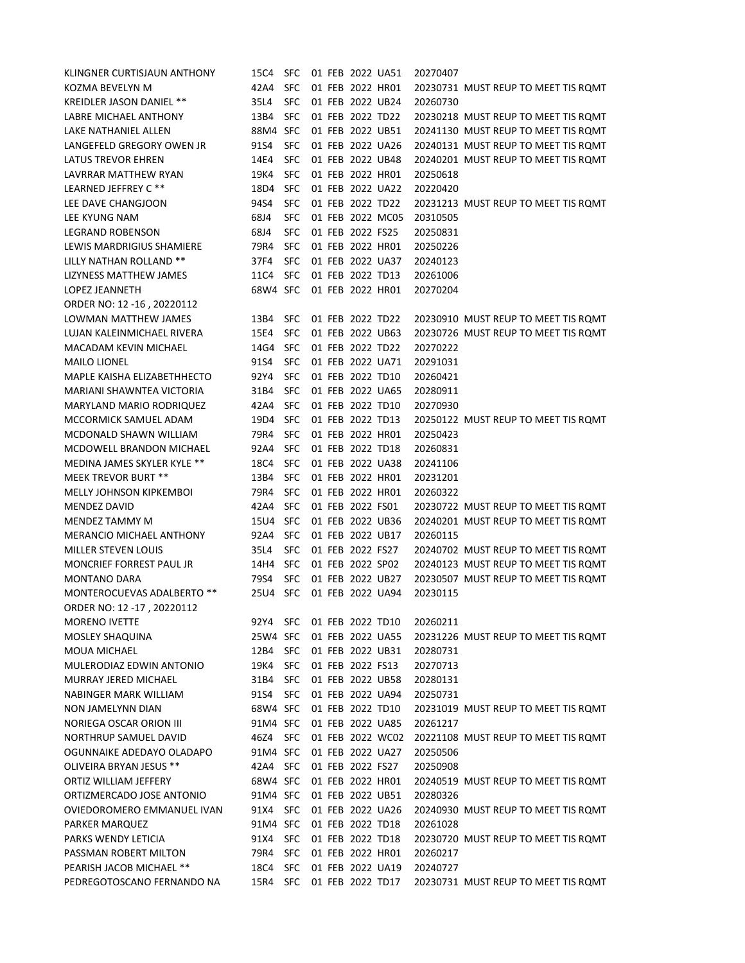| KLINGNER CURTISJAUN ANTHONY     | 15C4                      | SFC.       |  | 01 FEB 2022 UA51 |                  | 20270407 |                                     |
|---------------------------------|---------------------------|------------|--|------------------|------------------|----------|-------------------------------------|
| KOZMA BEVELYN M                 | 42A4                      | SFC.       |  | 01 FEB 2022 HR01 |                  |          | 20230731 MUST REUP TO MEET TIS ROMT |
| <b>KREIDLER JASON DANIEL **</b> | 35L4                      | <b>SFC</b> |  | 01 FEB 2022 UB24 |                  | 20260730 |                                     |
| LABRE MICHAEL ANTHONY           | 13B4                      | SFC        |  | 01 FEB 2022 TD22 |                  |          | 20230218 MUST REUP TO MEET TIS ROMT |
| LAKE NATHANIEL ALLEN            | 88M4 SFC                  |            |  | 01 FEB 2022 UB51 |                  |          | 20241130 MUST REUP TO MEET TIS ROMT |
| LANGEFELD GREGORY OWEN JR       | 91S4                      | <b>SFC</b> |  |                  | 01 FEB 2022 UA26 |          | 20240131 MUST REUP TO MEET TIS ROMT |
| <b>LATUS TREVOR EHREN</b>       | 14E4                      | <b>SFC</b> |  |                  | 01 FEB 2022 UB48 |          | 20240201 MUST REUP TO MEET TIS ROMT |
| LAVRRAR MATTHEW RYAN            | 19K4                      | SFC.       |  | 01 FEB 2022 HR01 |                  | 20250618 |                                     |
| LEARNED JEFFREY C **            | 18D4                      | SFC.       |  |                  | 01 FEB 2022 UA22 | 20220420 |                                     |
| LEE DAVE CHANGJOON              | 94S4                      | <b>SFC</b> |  | 01 FEB 2022 TD22 |                  |          | 20231213 MUST REUP TO MEET TIS ROMT |
| LEE KYUNG NAM                   | 68J4                      | <b>SFC</b> |  |                  | 01 FEB 2022 MC05 | 20310505 |                                     |
| <b>LEGRAND ROBENSON</b>         | 68J4                      | <b>SFC</b> |  | 01 FEB 2022 FS25 |                  | 20250831 |                                     |
| LEWIS MARDRIGIUS SHAMIERE       | 79R4                      | SFC        |  | 01 FEB 2022 HR01 |                  | 20250226 |                                     |
| LILLY NATHAN ROLLAND **         | 37F4                      | <b>SFC</b> |  | 01 FEB 2022 UA37 |                  | 20240123 |                                     |
| LIZYNESS MATTHEW JAMES          | 11C4                      | <b>SFC</b> |  | 01 FEB 2022 TD13 |                  | 20261006 |                                     |
| <b>LOPEZ JEANNETH</b>           | 68W4 SFC                  |            |  | 01 FEB 2022 HR01 |                  | 20270204 |                                     |
| ORDER NO: 12 -16, 20220112      |                           |            |  |                  |                  |          |                                     |
| LOWMAN MATTHEW JAMES            | 13B4                      | SFC.       |  | 01 FEB 2022 TD22 |                  |          | 20230910 MUST REUP TO MEET TIS ROMT |
| LUJAN KALEINMICHAEL RIVERA      | 15E4                      | SFC.       |  | 01 FEB 2022 UB63 |                  |          | 20230726 MUST REUP TO MEET TIS ROMT |
| <b>MACADAM KEVIN MICHAEL</b>    | 14G4                      | <b>SFC</b> |  | 01 FEB 2022 TD22 |                  | 20270222 |                                     |
| <b>MAILO LIONEL</b>             | 91S4                      | SFC        |  | 01 FEB 2022 UA71 |                  | 20291031 |                                     |
| MAPLE KAISHA ELIZABETHHECTO     | 92Y4                      | SFC        |  | 01 FEB 2022 TD10 |                  | 20260421 |                                     |
| MARIANI SHAWNTEA VICTORIA       | 31B4                      | SFC.       |  | 01 FEB 2022 UA65 |                  | 20280911 |                                     |
| MARYLAND MARIO RODRIQUEZ        | 42A4                      | <b>SFC</b> |  | 01 FEB 2022 TD10 |                  | 20270930 |                                     |
| MCCORMICK SAMUEL ADAM           | 19D4                      | <b>SFC</b> |  | 01 FEB 2022 TD13 |                  |          | 20250122 MUST REUP TO MEET TIS ROMT |
| MCDONALD SHAWN WILLIAM          | 79R4                      | <b>SFC</b> |  | 01 FEB 2022 HR01 |                  | 20250423 |                                     |
| MCDOWELL BRANDON MICHAEL        | 92A4                      | <b>SFC</b> |  | 01 FEB 2022 TD18 |                  | 20260831 |                                     |
| MEDINA JAMES SKYLER KYLE **     | 18C4                      | <b>SFC</b> |  |                  | 01 FEB 2022 UA38 | 20241106 |                                     |
| <b>MEEK TREVOR BURT **</b>      | 13B4                      | <b>SFC</b> |  | 01 FEB 2022 HR01 |                  | 20231201 |                                     |
| <b>MELLY JOHNSON KIPKEMBOI</b>  | 79R4                      | <b>SFC</b> |  | 01 FEB 2022 HR01 |                  | 20260322 |                                     |
| MENDEZ DAVID                    | 42A4                      | SFC        |  | 01 FEB 2022 FS01 |                  |          | 20230722 MUST REUP TO MEET TIS ROMT |
| MENDEZ TAMMY M                  | 15U4                      | <b>SFC</b> |  | 01 FEB 2022 UB36 |                  |          | 20240201 MUST REUP TO MEET TIS ROMT |
| MERANCIO MICHAEL ANTHONY        | 92A4 SFC                  |            |  | 01 FEB 2022 UB17 |                  | 20260115 |                                     |
| <b>MILLER STEVEN LOUIS</b>      | 35L4                      | <b>SFC</b> |  | 01 FEB 2022 FS27 |                  |          | 20240702 MUST REUP TO MEET TIS ROMT |
| MONCRIEF FORREST PAUL JR        | 14H4                      | <b>SFC</b> |  | 01 FEB 2022 SP02 |                  |          | 20240123 MUST REUP TO MEET TIS ROMT |
| MONTANO DARA                    | 79S4                      | <b>SFC</b> |  | 01 FEB 2022 UB27 |                  |          | 20230507 MUST REUP TO MEET TIS ROMT |
| MONTEROCUEVAS ADALBERTO **      | 25U4 SFC                  |            |  |                  | 01 FEB 2022 UA94 | 20230115 |                                     |
| ORDER NO: 12 -17, 20220112      |                           |            |  |                  |                  |          |                                     |
| <b>MORENO IVETTE</b>            | 92Y4 SFC 01 FEB 2022 TD10 |            |  |                  |                  | 20260211 |                                     |
| MOSLEY SHAQUINA                 | 25W4 SFC                  |            |  |                  | 01 FEB 2022 UA55 |          | 20231226 MUST REUP TO MEET TIS ROMT |
| <b>MOUA MICHAEL</b>             | 12B4 SFC                  |            |  |                  | 01 FEB 2022 UB31 | 20280731 |                                     |
| MULERODIAZ EDWIN ANTONIO        | 19K4                      | SFC        |  | 01 FEB 2022 FS13 |                  | 20270713 |                                     |
| MURRAY JERED MICHAEL            | 31B4                      | SFC        |  |                  | 01 FEB 2022 UB58 | 20280131 |                                     |
| NABINGER MARK WILLIAM           | 91S4                      | SFC        |  |                  | 01 FEB 2022 UA94 | 20250731 |                                     |
| NON JAMELYNN DIAN               | 68W4 SFC                  |            |  | 01 FEB 2022 TD10 |                  |          | 20231019 MUST REUP TO MEET TIS ROMT |
| NORIEGA OSCAR ORION III         | 91M4 SFC                  |            |  |                  | 01 FEB 2022 UA85 | 20261217 |                                     |
| NORTHRUP SAMUEL DAVID           | 46Z4 SFC                  |            |  |                  | 01 FEB 2022 WC02 |          | 20221108 MUST REUP TO MEET TIS ROMT |
| OGUNNAIKE ADEDAYO OLADAPO       | 91M4 SFC                  |            |  |                  | 01 FEB 2022 UA27 | 20250506 |                                     |
| OLIVEIRA BRYAN JESUS **         | 42A4 SFC                  |            |  | 01 FEB 2022 FS27 |                  | 20250908 |                                     |
| ORTIZ WILLIAM JEFFERY           | 68W4 SFC                  |            |  | 01 FEB 2022 HR01 |                  |          | 20240519 MUST REUP TO MEET TIS ROMT |
| ORTIZMERCADO JOSE ANTONIO       | 91M4 SFC                  |            |  |                  | 01 FEB 2022 UB51 | 20280326 |                                     |
|                                 |                           | 91X4 SFC   |  |                  | 01 FEB 2022 UA26 |          | 20240930 MUST REUP TO MEET TIS ROMT |
| OVIEDOROMERO EMMANUEL IVAN      |                           |            |  |                  |                  |          |                                     |
| PARKER MARQUEZ                  | 91M4 SFC                  |            |  | 01 FEB 2022 TD18 |                  | 20261028 |                                     |
| PARKS WENDY LETICIA             | 91X4 SFC                  |            |  | 01 FEB 2022 TD18 |                  |          | 20230720 MUST REUP TO MEET TIS ROMT |
| PASSMAN ROBERT MILTON           | 79R4                      | <b>SFC</b> |  | 01 FEB 2022 HR01 |                  | 20260217 |                                     |
| PEARISH JACOB MICHAEL **        | 18C4                      | SFC        |  |                  | 01 FEB 2022 UA19 | 20240727 |                                     |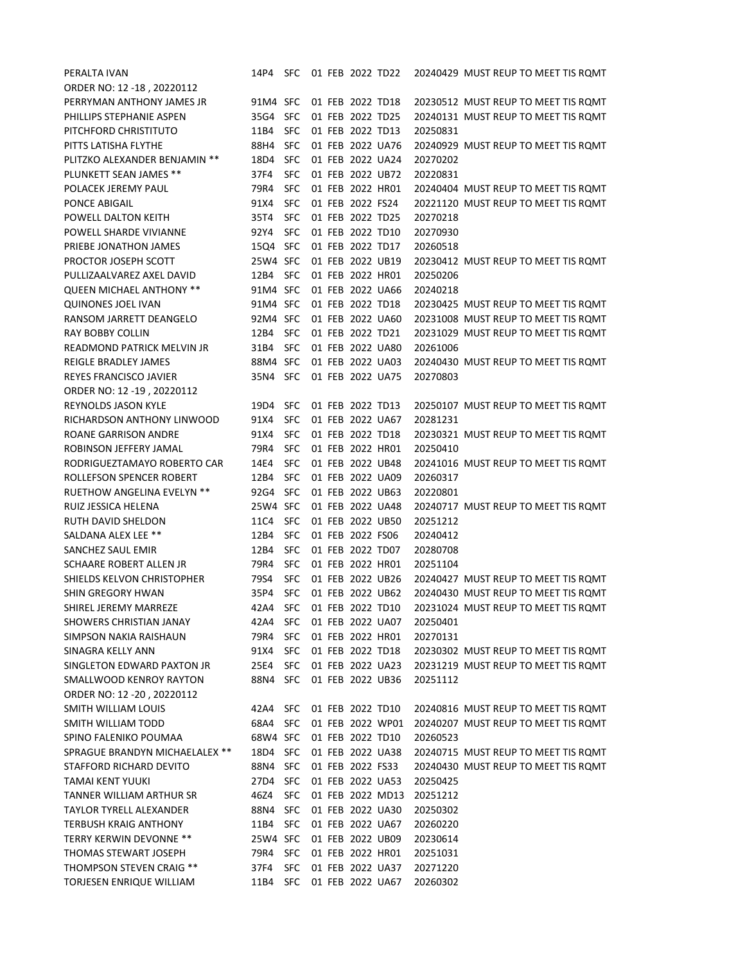| PERALTA IVAN                      | 14P4     | SFC        |  | 01 FEB 2022 TD22 |                  |          | 20240429 MUST REUP TO MEET TIS ROMT |
|-----------------------------------|----------|------------|--|------------------|------------------|----------|-------------------------------------|
| ORDER NO: 12 -18, 20220112        |          |            |  |                  |                  |          |                                     |
| PERRYMAN ANTHONY JAMES JR         | 91M4 SFC |            |  | 01 FEB 2022 TD18 |                  |          | 20230512 MUST REUP TO MEET TIS ROMT |
| PHILLIPS STEPHANIE ASPEN          | 35G4 SFC |            |  | 01 FEB 2022 TD25 |                  |          | 20240131 MUST REUP TO MEET TIS ROMT |
| PITCHFORD CHRISTITUTO             | 11B4     | SFC        |  | 01 FEB 2022 TD13 |                  | 20250831 |                                     |
| PITTS LATISHA FLYTHE              | 88H4     | SFC        |  |                  | 01 FEB 2022 UA76 |          | 20240929 MUST REUP TO MEET TIS ROMT |
| PLITZKO ALEXANDER BENJAMIN **     | 18D4     | <b>SFC</b> |  |                  | 01 FEB 2022 UA24 | 20270202 |                                     |
| PLUNKETT SEAN JAMES **            | 37F4     | <b>SFC</b> |  |                  | 01 FEB 2022 UB72 | 20220831 |                                     |
| POLACEK JEREMY PAUL               | 79R4     | <b>SFC</b> |  | 01 FEB 2022 HR01 |                  |          | 20240404 MUST REUP TO MEET TIS ROMT |
| PONCE ABIGAIL                     | 91X4     | <b>SFC</b> |  | 01 FEB 2022 FS24 |                  |          | 20221120 MUST REUP TO MEET TIS ROMT |
| POWELL DALTON KEITH               | 35T4     | <b>SFC</b> |  | 01 FEB 2022 TD25 |                  | 20270218 |                                     |
| POWELL SHARDE VIVIANNE            | 92Y4     | <b>SFC</b> |  | 01 FEB 2022 TD10 |                  | 20270930 |                                     |
| PRIEBE JONATHON JAMES             | 15Q4 SFC |            |  | 01 FEB 2022 TD17 |                  | 20260518 |                                     |
| PROCTOR JOSEPH SCOTT              | 25W4 SFC |            |  | 01 FEB 2022 UB19 |                  |          | 20230412 MUST REUP TO MEET TIS ROMT |
| PULLIZAALVAREZ AXEL DAVID         | 12B4 SFC |            |  | 01 FEB 2022 HR01 |                  | 20250206 |                                     |
| <b>QUEEN MICHAEL ANTHONY **</b>   | 91M4 SFC |            |  |                  | 01 FEB 2022 UA66 | 20240218 |                                     |
| <b>QUINONES JOEL IVAN</b>         | 91M4 SFC |            |  | 01 FEB 2022 TD18 |                  |          | 20230425 MUST REUP TO MEET TIS ROMT |
| RANSOM JARRETT DEANGELO           | 92M4 SFC |            |  |                  | 01 FEB 2022 UA60 |          | 20231008 MUST REUP TO MEET TIS ROMT |
| <b>RAY BOBBY COLLIN</b>           | 12B4 SFC |            |  | 01 FEB 2022 TD21 |                  |          | 20231029 MUST REUP TO MEET TIS ROMT |
| <b>READMOND PATRICK MELVIN JR</b> | 31B4     | <b>SFC</b> |  |                  | 01 FEB 2022 UA80 | 20261006 |                                     |
| REIGLE BRADLEY JAMES              | 88M4 SFC |            |  |                  | 01 FEB 2022 UA03 |          | 20240430 MUST REUP TO MEET TIS ROMT |
| REYES FRANCISCO JAVIER            | 35N4 SFC |            |  |                  | 01 FEB 2022 UA75 | 20270803 |                                     |
| ORDER NO: 12 -19, 20220112        |          |            |  |                  |                  |          |                                     |
| REYNOLDS JASON KYLE               | 19D4     | SFC.       |  | 01 FEB 2022 TD13 |                  |          | 20250107 MUST REUP TO MEET TIS ROMT |
| RICHARDSON ANTHONY LINWOOD        | 91X4     | <b>SFC</b> |  |                  | 01 FEB 2022 UA67 | 20281231 |                                     |
| ROANE GARRISON ANDRE              | 91X4     | <b>SFC</b> |  | 01 FEB 2022 TD18 |                  |          | 20230321 MUST REUP TO MEET TIS ROMT |
| ROBINSON JEFFERY JAMAL            | 79R4     | <b>SFC</b> |  | 01 FEB 2022 HR01 |                  | 20250410 |                                     |
| RODRIGUEZTAMAYO ROBERTO CAR       | 14E4     | <b>SFC</b> |  |                  | 01 FEB 2022 UB48 |          | 20241016 MUST REUP TO MEET TIS ROMT |
| ROLLEFSON SPENCER ROBERT          | 12B4     | <b>SFC</b> |  |                  | 01 FEB 2022 UA09 | 20260317 |                                     |
| RUETHOW ANGELINA EVELYN **        | 92G4     | <b>SFC</b> |  |                  | 01 FEB 2022 UB63 | 20220801 |                                     |
| RUIZ JESSICA HELENA               | 25W4 SFC |            |  |                  | 01 FEB 2022 UA48 |          | 20240717 MUST REUP TO MEET TIS ROMT |
| RUTH DAVID SHELDON                | 11C4     | <b>SFC</b> |  |                  | 01 FEB 2022 UB50 | 20251212 |                                     |
| SALDANA ALEX LEE **               | 12B4     | <b>SFC</b> |  | 01 FEB 2022 FS06 |                  | 20240412 |                                     |
| SANCHEZ SAUL EMIR                 | 12B4     | <b>SFC</b> |  | 01 FEB 2022 TD07 |                  | 20280708 |                                     |
| SCHAARE ROBERT ALLEN JR           | 79R4     | <b>SFC</b> |  |                  | 01 FEB 2022 HR01 | 20251104 |                                     |
| SHIELDS KELVON CHRISTOPHER        | 79S4     | <b>SFC</b> |  |                  | 01 FEB 2022 UB26 |          | 20240427 MUST REUP TO MEET TIS ROMT |
| <b>SHIN GREGORY HWAN</b>          | 35P4     | <b>SFC</b> |  |                  | 01 FEB 2022 UB62 |          | 20240430 MUST REUP TO MEET TIS ROMT |
| SHIREL JEREMY MARREZE             | 42A4     | <b>SFC</b> |  | 01 FEB 2022 TD10 |                  |          | 20231024 MUST REUP TO MEET TIS ROMT |
| SHOWERS CHRISTIAN JANAY           | 42A4 SFC |            |  |                  | 01 FEB 2022 UA07 | 20250401 |                                     |
| SIMPSON NAKIA RAISHAUN            | 79R4     | <b>SFC</b> |  |                  | 01 FEB 2022 HR01 | 20270131 |                                     |
| SINAGRA KELLY ANN                 | 91X4     | SFC        |  | 01 FEB 2022 TD18 |                  |          | 20230302 MUST REUP TO MEET TIS ROMT |
| SINGLETON EDWARD PAXTON JR        | 25E4     | SFC        |  |                  | 01 FEB 2022 UA23 |          | 20231219 MUST REUP TO MEET TIS ROMT |
| SMALLWOOD KENROY RAYTON           | 88N4 SFC |            |  |                  | 01 FEB 2022 UB36 | 20251112 |                                     |
| ORDER NO: 12 -20, 20220112        |          |            |  |                  |                  |          |                                     |
| SMITH WILLIAM LOUIS               | 42A4 SFC |            |  | 01 FEB 2022 TD10 |                  |          | 20240816 MUST REUP TO MEET TIS ROMT |
| SMITH WILLIAM TODD                | 68A4 SFC |            |  |                  | 01 FEB 2022 WP01 |          | 20240207 MUST REUP TO MEET TIS ROMT |
| SPINO FALENIKO POUMAA             | 68W4 SFC |            |  |                  | 01 FEB 2022 TD10 | 20260523 |                                     |
| SPRAGUE BRANDYN MICHAELALEX **    | 18D4 SFC |            |  |                  | 01 FEB 2022 UA38 |          | 20240715 MUST REUP TO MEET TIS ROMT |
| STAFFORD RICHARD DEVITO           | 88N4 SFC |            |  | 01 FEB 2022 FS33 |                  |          | 20240430 MUST REUP TO MEET TIS ROMT |
| TAMAI KENT YUUKI                  | 27D4 SFC |            |  |                  | 01 FEB 2022 UA53 | 20250425 |                                     |
| TANNER WILLIAM ARTHUR SR          | 46Z4     | <b>SFC</b> |  |                  | 01 FEB 2022 MD13 | 20251212 |                                     |
| TAYLOR TYRELL ALEXANDER           | 88N4 SFC |            |  |                  | 01 FEB 2022 UA30 | 20250302 |                                     |
| <b>TERBUSH KRAIG ANTHONY</b>      | 11B4 SFC |            |  |                  | 01 FEB 2022 UA67 | 20260220 |                                     |
| TERRY KERWIN DEVONNE **           | 25W4 SFC |            |  |                  | 01 FEB 2022 UB09 | 20230614 |                                     |
| THOMAS STEWART JOSEPH             | 79R4     | <b>SFC</b> |  |                  | 01 FEB 2022 HR01 | 20251031 |                                     |
| THOMPSON STEVEN CRAIG **          | 37F4     | <b>SFC</b> |  |                  | 01 FEB 2022 UA37 | 20271220 |                                     |
| TORJESEN ENRIQUE WILLIAM          | 11B4     | SFC        |  |                  | 01 FEB 2022 UA67 | 20260302 |                                     |
|                                   |          |            |  |                  |                  |          |                                     |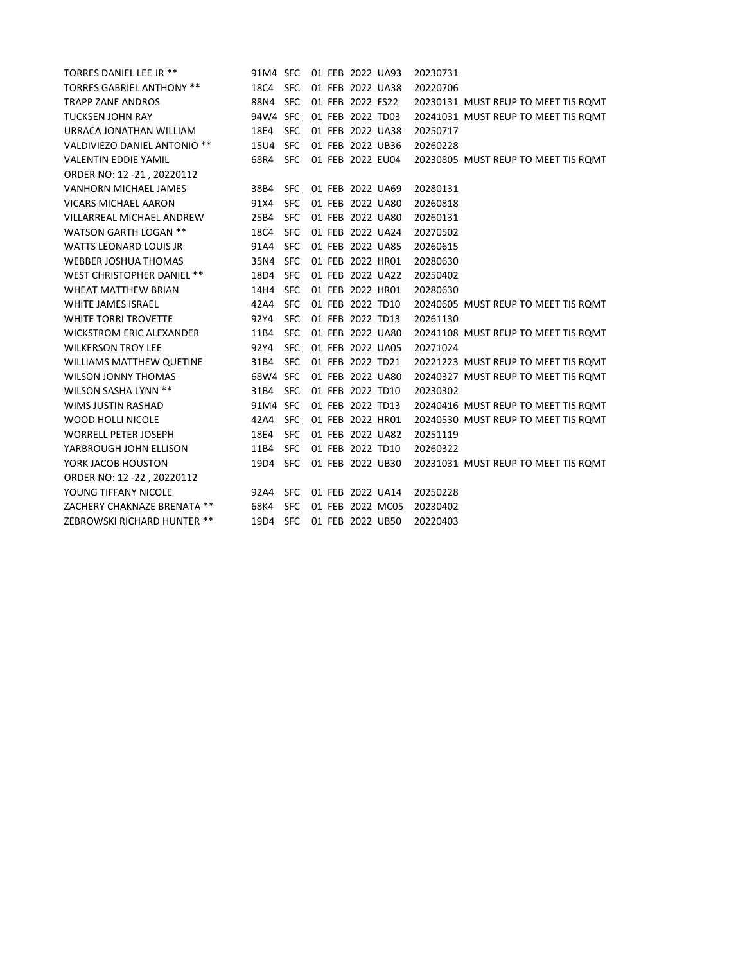| TORRES DANIEL LEE JR **           | 91M4 SFC |            |  | 01 FEB 2022 UA93 |                  | 20230731                            |
|-----------------------------------|----------|------------|--|------------------|------------------|-------------------------------------|
| <b>TORRES GABRIEL ANTHONY **</b>  | 18C4 SFC |            |  |                  | 01 FEB 2022 UA38 | 20220706                            |
| <b>TRAPP ZANE ANDROS</b>          | 88N4     | <b>SFC</b> |  | 01 FEB 2022 FS22 |                  | 20230131 MUST REUP TO MEET TIS ROMT |
| <b>TUCKSEN JOHN RAY</b>           | 94W4 SFC |            |  | 01 FEB 2022 TD03 |                  | 20241031 MUST REUP TO MEET TIS ROMT |
| URRACA JONATHAN WILLIAM           | 18E4     | <b>SFC</b> |  | 01 FEB 2022 UA38 |                  | 20250717                            |
| VALDIVIEZO DANIEL ANTONIO **      | 15U4     | <b>SFC</b> |  |                  | 01 FEB 2022 UB36 | 20260228                            |
| <b>VALENTIN EDDIE YAMIL</b>       | 68R4 SFC |            |  |                  | 01 FEB 2022 EU04 | 20230805 MUST REUP TO MEET TIS ROMT |
| ORDER NO: 12 -21, 20220112        |          |            |  |                  |                  |                                     |
| VANHORN MICHAEL JAMES             | 38B4     | <b>SFC</b> |  | 01 FEB 2022 UA69 |                  | 20280131                            |
| <b>VICARS MICHAEL AARON</b>       | 91X4     | <b>SFC</b> |  |                  | 01 FEB 2022 UA80 | 20260818                            |
| VILLARREAL MICHAEL ANDREW         | 25B4     | <b>SFC</b> |  |                  | 01 FEB 2022 UA80 | 20260131                            |
| <b>WATSON GARTH LOGAN **</b>      | 18C4     | <b>SFC</b> |  |                  | 01 FEB 2022 UA24 | 20270502                            |
| <b>WATTS LEONARD LOUIS JR</b>     | 91A4     | <b>SFC</b> |  |                  | 01 FEB 2022 UA85 | 20260615                            |
| <b>WEBBER JOSHUA THOMAS</b>       | 35N4 SFC |            |  | 01 FEB 2022 HR01 |                  | 20280630                            |
| <b>WEST CHRISTOPHER DANIEL **</b> | 18D4 SFC |            |  |                  | 01 FEB 2022 UA22 | 20250402                            |
| <b>WHEAT MATTHEW BRIAN</b>        | 14H4     | <b>SFC</b> |  |                  | 01 FEB 2022 HR01 | 20280630                            |
| <b>WHITE JAMES ISRAEL</b>         | 42A4     | SFC        |  | 01 FEB 2022 TD10 |                  | 20240605 MUST REUP TO MEET TIS ROMT |
| <b>WHITE TORRI TROVETTE</b>       | 92Y4     | <b>SFC</b> |  | 01 FEB 2022 TD13 |                  | 20261130                            |
| <b>WICKSTROM ERIC ALEXANDER</b>   | 11B4     | <b>SFC</b> |  |                  | 01 FEB 2022 UA80 | 20241108 MUST REUP TO MEET TIS ROMT |
| <b>WILKERSON TROY LEE</b>         | 92Y4     | SFC        |  |                  | 01 FEB 2022 UA05 | 20271024                            |
| <b>WILLIAMS MATTHEW QUETINE</b>   | 31B4     | <b>SFC</b> |  | 01 FEB 2022 TD21 |                  | 20221223 MUST REUP TO MEET TIS ROMT |
| <b>WILSON JONNY THOMAS</b>        | 68W4 SFC |            |  |                  | 01 FEB 2022 UA80 | 20240327 MUST REUP TO MEET TIS ROMT |
| WILSON SASHA LYNN **              | 31B4     | <b>SFC</b> |  | 01 FEB 2022 TD10 |                  | 20230302                            |
| <b>WIMS JUSTIN RASHAD</b>         | 91M4 SFC |            |  | 01 FEB 2022 TD13 |                  | 20240416 MUST REUP TO MEET TIS ROMT |
| <b>WOOD HOLLI NICOLE</b>          | 42A4     | <b>SFC</b> |  | 01 FEB 2022 HR01 |                  | 20240530 MUST REUP TO MEET TIS ROMT |
| <b>WORRELL PETER JOSEPH</b>       | 18E4     | <b>SFC</b> |  |                  | 01 FEB 2022 UA82 | 20251119                            |
| YARBROUGH JOHN ELLISON            | 11B4     | <b>SFC</b> |  | 01 FEB 2022 TD10 |                  | 20260322                            |
| YORK JACOB HOUSTON                | 19D4 SFC |            |  |                  | 01 FEB 2022 UB30 | 20231031 MUST REUP TO MEET TIS ROMT |
| ORDER NO: 12 -22, 20220112        |          |            |  |                  |                  |                                     |
| YOUNG TIFFANY NICOLE              | 92A4     | <b>SFC</b> |  |                  | 01 FEB 2022 UA14 | 20250228                            |
| ZACHERY CHAKNAZE BRENATA **       | 68K4     | <b>SFC</b> |  |                  | 01 FEB 2022 MC05 | 20230402                            |
| ZEBROWSKI RICHARD HUNTER **       | 19D4     | SFC        |  |                  | 01 FEB 2022 UB50 | 20220403                            |
|                                   |          |            |  |                  |                  |                                     |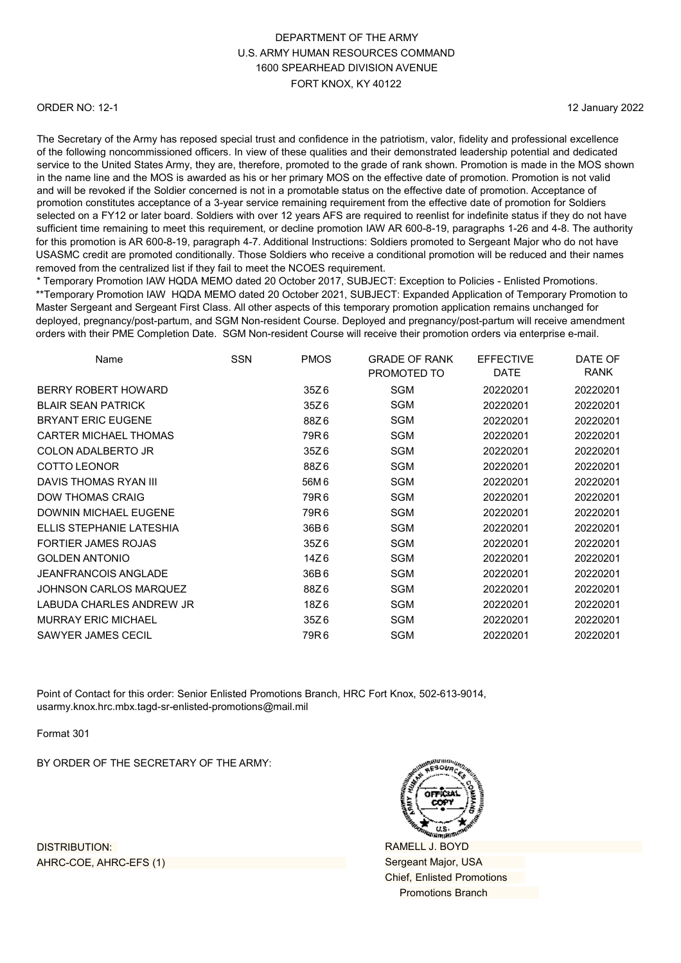#### ORDER NO: 12-1

12 January 2022

The Secretary of the Army has reposed special trust and confidence in the patriotism, valor, fidelity and professional excellence of the following noncommissioned officers. In view of these qualities and their demonstrated leadership potential and dedicated service to the United States Army, they are, therefore, promoted to the grade of rank shown. Promotion is made in the MOS shown in the name line and the MOS is awarded as his or her primary MOS on the effective date of promotion. Promotion is not valid and will be revoked if the Soldier concerned is not in a promotable status on the effective date of promotion. Acceptance of promotion constitutes acceptance of a 3-year service remaining requirement from the effective date of promotion for Soldiers selected on a FY12 or later board. Soldiers with over 12 years AFS are required to reenlist for indefinite status if they do not have sufficient time remaining to meet this requirement, or decline promotion IAW AR 600-8-19, paragraphs 1-26 and 4-8. The authority for this promotion is AR 600-8-19, paragraph 4-7. Additional Instructions: Soldiers promoted to Sergeant Major who do not have USASMC credit are promoted conditionally. Those Soldiers who receive a conditional promotion will be reduced and their names removed from the centralized list if they fail to meet the NCOES requirement.

\* Temporary Promotion IAW HQDA MEMO dated 20 October 2017, SUBJECT: Exception to Policies - Enlisted Promotions. \*\*Temporary Promotion IAW HQDA MEMO dated 20 October 2021, SUBJECT: Expanded Application of Temporary Promotion to Master Sergeant and Sergeant First Class. All other aspects of this temporary promotion application remains unchanged for deployed, pregnancy/post-partum, and SGM Non-resident Course. Deployed and pregnancy/post-partum will receive amendment orders with their PME Completion Date. SGM Non-resident Course will receive their promotion orders via enterprise e-mail.

| Name                         | <b>SSN</b> | <b>PMOS</b> | <b>GRADE OF RANK</b><br>PROMOTED TO | <b>EFFECTIVE</b><br><b>DATE</b> | DATE OF<br><b>RANK</b> |
|------------------------------|------------|-------------|-------------------------------------|---------------------------------|------------------------|
| BERRY ROBERT HOWARD          |            | 35Z6        | <b>SGM</b>                          | 20220201                        | 20220201               |
|                              |            |             |                                     |                                 |                        |
| <b>BLAIR SEAN PATRICK</b>    |            | 35Z6        | <b>SGM</b>                          | 20220201                        | 20220201               |
| <b>BRYANT ERIC EUGENE</b>    |            | 88Z6        | SGM                                 | 20220201                        | 20220201               |
| <b>CARTER MICHAEL THOMAS</b> |            | 79R6        | SGM                                 | 20220201                        | 20220201               |
| COLON ADALBERTO JR           |            | 35Z6        | <b>SGM</b>                          | 20220201                        | 20220201               |
| <b>COTTO LEONOR</b>          |            | 88Z6        | SGM                                 | 20220201                        | 20220201               |
| DAVIS THOMAS RYAN III        |            | 56M 6       | <b>SGM</b>                          | 20220201                        | 20220201               |
| <b>DOW THOMAS CRAIG</b>      |            | 79R6        | SGM                                 | 20220201                        | 20220201               |
| DOWNIN MICHAEL EUGENE        |            | 79R6        | <b>SGM</b>                          | 20220201                        | 20220201               |
| ELLIS STEPHANIE LATESHIA     |            | 36B6        | SGM                                 | 20220201                        | 20220201               |
| <b>FORTIER JAMES ROJAS</b>   |            | 35Z6        | <b>SGM</b>                          | 20220201                        | 20220201               |
| <b>GOLDEN ANTONIO</b>        |            | 14Z6        | SGM                                 | 20220201                        | 20220201               |
| <b>JEANFRANCOIS ANGLADE</b>  |            | 36B6        | <b>SGM</b>                          | 20220201                        | 20220201               |
| JOHNSON CARLOS MARQUEZ       |            | 88Z6        | <b>SGM</b>                          | 20220201                        | 20220201               |
| LABUDA CHARLES ANDREW JR     |            | 18Z6        | <b>SGM</b>                          | 20220201                        | 20220201               |
| <b>MURRAY ERIC MICHAEL</b>   |            | 35Z6        | SGM                                 | 20220201                        | 20220201               |
| SAWYER JAMES CECIL           |            | 79R 6       | SGM                                 | 20220201                        | 20220201               |
|                              |            |             |                                     |                                 |                        |

Point of Contact for this order: Senior Enlisted Promotions Branch, HRC Fort Knox, 502-613-9014, [usarmy.knox.hrc.mbx.tagd-sr-enlisted-promotions@mail.mil](mailto:usarmy.knox.hrc.mbx.tagd-sr-enlisted-promotions@mail.mil)

Format 301

BY ORDER OF THE SECRETARY OF THE ARMY:

DISTRIBUTION: AHRC-COE, AHRC-EFS (1)



RAMELL J. BOYD Sergeant Major, USA Chief, Enlisted Promotions Promotions Branch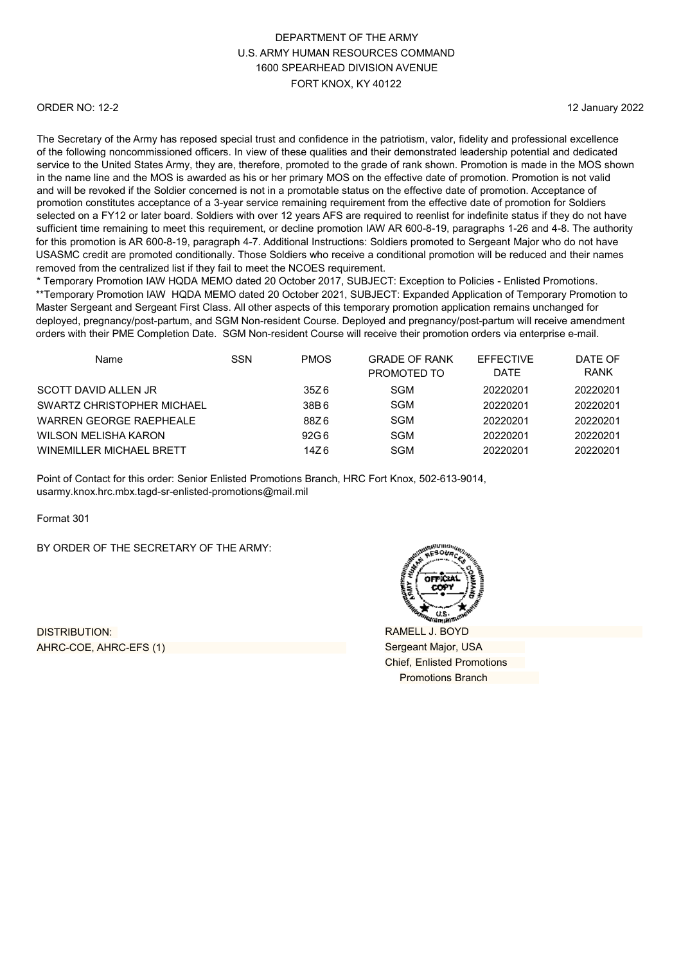#### ORDER NO: 12-2

12 January 2022

The Secretary of the Army has reposed special trust and confidence in the patriotism, valor, fidelity and professional excellence of the following noncommissioned officers. In view of these qualities and their demonstrated leadership potential and dedicated service to the United States Army, they are, therefore, promoted to the grade of rank shown. Promotion is made in the MOS shown in the name line and the MOS is awarded as his or her primary MOS on the effective date of promotion. Promotion is not valid and will be revoked if the Soldier concerned is not in a promotable status on the effective date of promotion. Acceptance of promotion constitutes acceptance of a 3-year service remaining requirement from the effective date of promotion for Soldiers selected on a FY12 or later board. Soldiers with over 12 years AFS are required to reenlist for indefinite status if they do not have sufficient time remaining to meet this requirement, or decline promotion IAW AR 600-8-19, paragraphs 1-26 and 4-8. The authority for this promotion is AR 600-8-19, paragraph 4-7. Additional Instructions: Soldiers promoted to Sergeant Major who do not have USASMC credit are promoted conditionally. Those Soldiers who receive a conditional promotion will be reduced and their names removed from the centralized list if they fail to meet the NCOES requirement.

\* Temporary Promotion IAW HQDA MEMO dated 20 October 2017, SUBJECT: Exception to Policies - Enlisted Promotions. \*\*Temporary Promotion IAW HQDA MEMO dated 20 October 2021, SUBJECT: Expanded Application of Temporary Promotion to Master Sergeant and Sergeant First Class. All other aspects of this temporary promotion application remains unchanged for deployed, pregnancy/post-partum, and SGM Non-resident Course. Deployed and pregnancy/post-partum will receive amendment orders with their PME Completion Date. SGM Non-resident Course will receive their promotion orders via enterprise e-mail.

| Name                       | SSN | <b>PMOS</b> | <b>GRADE OF RANK</b><br>PROMOTED TO | <b>EFFECTIVE</b><br><b>DATE</b> | DATE OF<br><b>RANK</b> |
|----------------------------|-----|-------------|-------------------------------------|---------------------------------|------------------------|
| SCOTT DAVID ALLEN JR       |     | 35Z 6       | SGM                                 | 20220201                        | 20220201               |
| SWARTZ CHRISTOPHER MICHAEL |     | 38B6        | <b>SGM</b>                          | 20220201                        | 20220201               |
| WARREN GEORGE RAEPHEALE    |     | 88Z 6       | SGM                                 | 20220201                        | 20220201               |
| WILSON MELISHA KARON       |     | 92G 6       | <b>SGM</b>                          | 20220201                        | 20220201               |
| WINEMILLER MICHAEL BRETT   |     | 14Z 6       | <b>SGM</b>                          | 20220201                        | 20220201               |

Point of Contact for this order: Senior Enlisted Promotions Branch, HRC Fort Knox, 502-613-9014, [usarmy.knox.hrc.mbx.tagd-sr-enlisted-promotions@mail.mil](mailto:usarmy.knox.hrc.mbx.tagd-sr-enlisted-promotions@mail.mil)

Format 301

BY ORDER OF THE SECRETARY OF THE ARMY:

DISTRIBUTION: AHRC-COE, AHRC-EFS (1)



RAMELL J. BOYD Sergeant Major, USA Chief, Enlisted Promotions Promotions Branch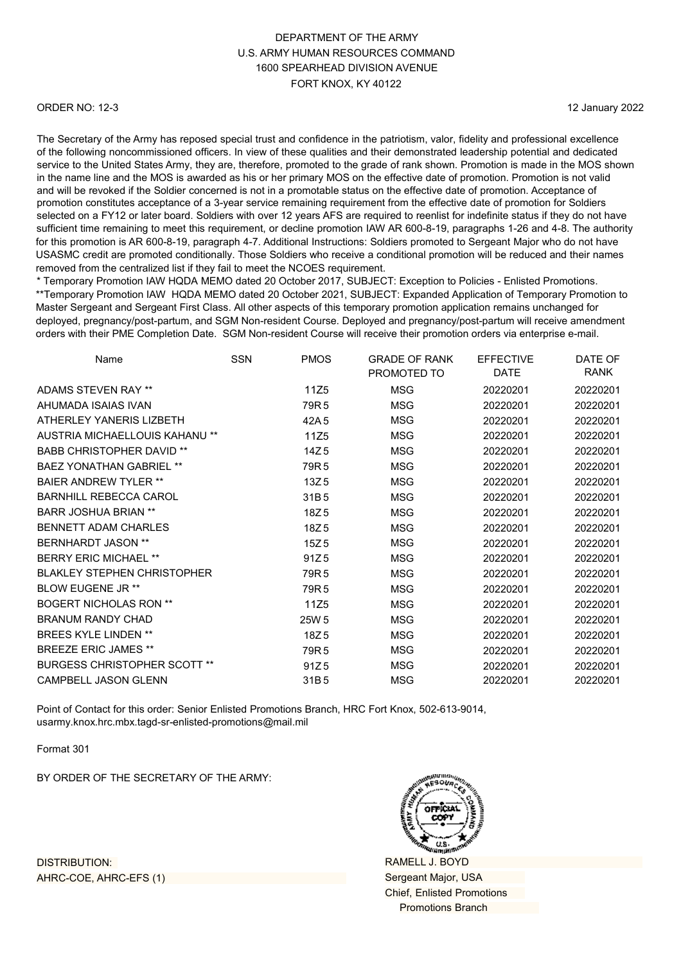#### ORDER NO: 12-3

12 January 2022

The Secretary of the Army has reposed special trust and confidence in the patriotism, valor, fidelity and professional excellence of the following noncommissioned officers. In view of these qualities and their demonstrated leadership potential and dedicated service to the United States Army, they are, therefore, promoted to the grade of rank shown. Promotion is made in the MOS shown in the name line and the MOS is awarded as his or her primary MOS on the effective date of promotion. Promotion is not valid and will be revoked if the Soldier concerned is not in a promotable status on the effective date of promotion. Acceptance of promotion constitutes acceptance of a 3-year service remaining requirement from the effective date of promotion for Soldiers selected on a FY12 or later board. Soldiers with over 12 years AFS are required to reenlist for indefinite status if they do not have sufficient time remaining to meet this requirement, or decline promotion IAW AR 600-8-19, paragraphs 1-26 and 4-8. The authority for this promotion is AR 600-8-19, paragraph 4-7. Additional Instructions: Soldiers promoted to Sergeant Major who do not have USASMC credit are promoted conditionally. Those Soldiers who receive a conditional promotion will be reduced and their names removed from the centralized list if they fail to meet the NCOES requirement.

\* Temporary Promotion IAW HQDA MEMO dated 20 October 2017, SUBJECT: Exception to Policies - Enlisted Promotions. \*\*Temporary Promotion IAW HQDA MEMO dated 20 October 2021, SUBJECT: Expanded Application of Temporary Promotion to Master Sergeant and Sergeant First Class. All other aspects of this temporary promotion application remains unchanged for deployed, pregnancy/post-partum, and SGM Non-resident Course. Deployed and pregnancy/post-partum will receive amendment orders with their PME Completion Date. SGM Non-resident Course will receive their promotion orders via enterprise e-mail.

| Name                                | <b>SSN</b> | <b>PMOS</b>      | <b>GRADE OF RANK</b><br>PROMOTED TO | <b>EFFECTIVE</b><br><b>DATE</b> | DATE OF<br><b>RANK</b> |
|-------------------------------------|------------|------------------|-------------------------------------|---------------------------------|------------------------|
| ADAMS STEVEN RAY **                 |            | 11Z5             | <b>MSG</b>                          | 20220201                        | 20220201               |
| AHUMADA ISAIAS IVAN                 |            | 79R <sub>5</sub> | MSG                                 | 20220201                        | 20220201               |
| ATHERI FY YANERIS I IZBETH          |            | 42A 5            | <b>MSG</b>                          | 20220201                        | 20220201               |
| AUSTRIA MICHAELLOUIS KAHANU **      |            | 11Z5             | MSG                                 | 20220201                        | 20220201               |
| <b>BABB CHRISTOPHER DAVID **</b>    |            | 14Z <sub>5</sub> | <b>MSG</b>                          | 20220201                        | 20220201               |
| <b>BAEZ YONATHAN GABRIEL **</b>     |            | 79R <sub>5</sub> | MSG                                 | 20220201                        | 20220201               |
| <b>BAIFR ANDREW TYLER **</b>        |            | 13Z <sub>5</sub> | <b>MSG</b>                          | 20220201                        | 20220201               |
| <b>BARNHILL REBECCA CAROL</b>       |            | 31B <sub>5</sub> | <b>MSG</b>                          | 20220201                        | 20220201               |
| <b>BARR JOSHUA BRIAN **</b>         |            | 18Z5             | <b>MSG</b>                          | 20220201                        | 20220201               |
| <b>BENNETT ADAM CHARLES</b>         |            | 18Z5             | <b>MSG</b>                          | 20220201                        | 20220201               |
| <b>BERNHARDT JASON **</b>           |            | 15Z <sub>5</sub> | MSG                                 | 20220201                        | 20220201               |
| <b>BERRY ERIC MICHAEL **</b>        |            | 91Z <sub>5</sub> | <b>MSG</b>                          | 20220201                        | 20220201               |
| <b>BLAKLEY STEPHEN CHRISTOPHER</b>  |            | 79R <sub>5</sub> | MSG                                 | 20220201                        | 20220201               |
| <b>BLOW EUGENE JR **</b>            |            | 79R <sub>5</sub> | MSG                                 | 20220201                        | 20220201               |
| <b>BOGERT NICHOLAS RON **</b>       |            | 11Z5             | <b>MSG</b>                          | 20220201                        | 20220201               |
| <b>BRANUM RANDY CHAD</b>            |            | 25W 5            | MSG                                 | 20220201                        | 20220201               |
| <b>BREES KYLE LINDEN **</b>         |            | 18Z <sub>5</sub> | <b>MSG</b>                          | 20220201                        | 20220201               |
| <b>BREEZE ERIC JAMES **</b>         |            | 79R <sub>5</sub> | <b>MSG</b>                          | 20220201                        | 20220201               |
| <b>BURGESS CHRISTOPHER SCOTT **</b> |            | 91Z <sub>5</sub> | MSG                                 | 20220201                        | 20220201               |
| <b>CAMPBELL JASON GLENN</b>         |            | 31B5             | MSG                                 | 20220201                        | 20220201               |

Point of Contact for this order: Senior Enlisted Promotions Branch, HRC Fort Knox, 502-613-9014, [usarmy.knox.hrc.mbx.tagd-sr-enlisted-promotions@mail.mil](mailto:usarmy.knox.hrc.mbx.tagd-sr-enlisted-promotions@mail.mil)

Format 301

BY ORDER OF THE SECRETARY OF THE ARMY:



RAMELL J. BOYD Sergeant Major, USA Chief, Enlisted Promotions Promotions Branch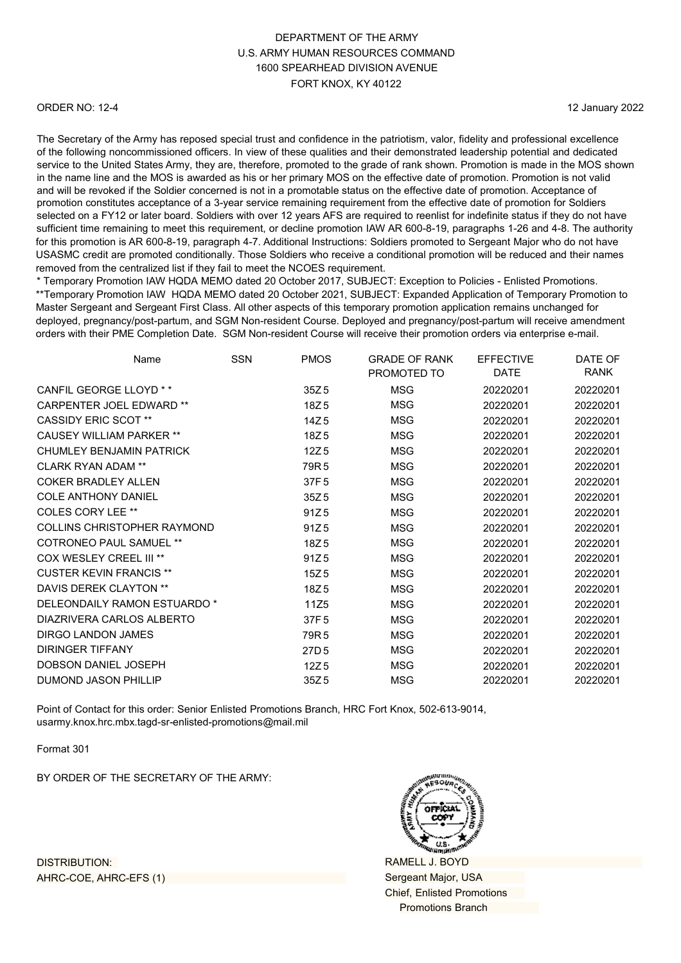#### ORDER NO: 12-4

12 January 2022

The Secretary of the Army has reposed special trust and confidence in the patriotism, valor, fidelity and professional excellence of the following noncommissioned officers. In view of these qualities and their demonstrated leadership potential and dedicated service to the United States Army, they are, therefore, promoted to the grade of rank shown. Promotion is made in the MOS shown in the name line and the MOS is awarded as his or her primary MOS on the effective date of promotion. Promotion is not valid and will be revoked if the Soldier concerned is not in a promotable status on the effective date of promotion. Acceptance of promotion constitutes acceptance of a 3-year service remaining requirement from the effective date of promotion for Soldiers selected on a FY12 or later board. Soldiers with over 12 years AFS are required to reenlist for indefinite status if they do not have sufficient time remaining to meet this requirement, or decline promotion IAW AR 600-8-19, paragraphs 1-26 and 4-8. The authority for this promotion is AR 600-8-19, paragraph 4-7. Additional Instructions: Soldiers promoted to Sergeant Major who do not have USASMC credit are promoted conditionally. Those Soldiers who receive a conditional promotion will be reduced and their names removed from the centralized list if they fail to meet the NCOES requirement.

\* Temporary Promotion IAW HQDA MEMO dated 20 October 2017, SUBJECT: Exception to Policies - Enlisted Promotions. \*\*Temporary Promotion IAW HQDA MEMO dated 20 October 2021, SUBJECT: Expanded Application of Temporary Promotion to Master Sergeant and Sergeant First Class. All other aspects of this temporary promotion application remains unchanged for deployed, pregnancy/post-partum, and SGM Non-resident Course. Deployed and pregnancy/post-partum will receive amendment orders with their PME Completion Date. SGM Non-resident Course will receive their promotion orders via enterprise e-mail.

| <b>RANK</b><br>DATE<br>PROMOTED TO<br>CANFIL GEORGE LLOYD * *<br><b>MSG</b><br>20220201<br>35Z <sub>5</sub><br>20220201<br><b>CARPENTER JOEL EDWARD **</b><br>18Z5<br>MSG<br>20220201<br>20220201<br><b>CASSIDY ERIC SCOT **</b><br>14Z <sub>5</sub><br><b>MSG</b><br>20220201<br>20220201<br><b>CAUSEY WILLIAM PARKER **</b><br>18Z5<br><b>MSG</b><br>20220201<br>20220201 | DATE OF |
|-----------------------------------------------------------------------------------------------------------------------------------------------------------------------------------------------------------------------------------------------------------------------------------------------------------------------------------------------------------------------------|---------|
|                                                                                                                                                                                                                                                                                                                                                                             |         |
|                                                                                                                                                                                                                                                                                                                                                                             |         |
|                                                                                                                                                                                                                                                                                                                                                                             |         |
|                                                                                                                                                                                                                                                                                                                                                                             |         |
|                                                                                                                                                                                                                                                                                                                                                                             |         |
| CHUMI FY BENJAMIN PATRICK<br>12Z <sub>5</sub><br><b>MSG</b><br>20220201<br>20220201                                                                                                                                                                                                                                                                                         |         |
| <b>CLARK RYAN ADAM **</b><br>79R <sub>5</sub><br>MSG<br>20220201<br>20220201                                                                                                                                                                                                                                                                                                |         |
| <b>COKER BRADLEY ALLEN</b><br><b>MSG</b><br>20220201<br>37F 5<br>20220201                                                                                                                                                                                                                                                                                                   |         |
| <b>COLE ANTHONY DANIEL</b><br>35Z <sub>5</sub><br><b>MSG</b><br>20220201<br>20220201                                                                                                                                                                                                                                                                                        |         |
| <b>COLES CORY LEE **</b><br>20220201<br>91Z <sub>5</sub><br>MSG<br>20220201                                                                                                                                                                                                                                                                                                 |         |
| <b>COLLINS CHRISTOPHER RAYMOND</b><br><b>MSG</b><br>20220201<br>91Z <sub>5</sub><br>20220201                                                                                                                                                                                                                                                                                |         |
| <b>COTRONEO PAUL SAMUEL **</b><br>18Z <sub>5</sub><br>MSG<br>20220201<br>20220201                                                                                                                                                                                                                                                                                           |         |
| COX WESLEY CREEL III **<br>91Z <sub>5</sub><br><b>MSG</b><br>20220201<br>20220201                                                                                                                                                                                                                                                                                           |         |
| <b>CUSTER KEVIN FRANCIS **</b><br>15Z <sub>5</sub><br><b>MSG</b><br>20220201<br>20220201                                                                                                                                                                                                                                                                                    |         |
| DAVIS DEREK CLAYTON **<br>MSG<br>20220201<br>18Z <sub>5</sub><br>20220201                                                                                                                                                                                                                                                                                                   |         |
| DELEONDAILY RAMON ESTUARDO *<br>11Z5<br><b>MSG</b><br>20220201<br>20220201                                                                                                                                                                                                                                                                                                  |         |
| DIAZRIVERA CARLOS ALBERTO<br>20220201<br>37F 5<br>MSG<br>20220201                                                                                                                                                                                                                                                                                                           |         |
| DIRGO LANDON JAMES<br>79R <sub>5</sub><br><b>MSG</b><br>20220201<br>20220201                                                                                                                                                                                                                                                                                                |         |
| <b>DIRINGER TIFFANY</b><br>MSG<br>27D <sub>5</sub><br>20220201<br>20220201                                                                                                                                                                                                                                                                                                  |         |
| <b>DOBSON DANIEL JOSEPH</b><br>12Z <sub>5</sub><br><b>MSG</b><br>20220201<br>20220201                                                                                                                                                                                                                                                                                       |         |
| DUMOND JASON PHILLIP<br>MSG<br>20220201<br>20220201<br>35Z <sub>5</sub>                                                                                                                                                                                                                                                                                                     |         |

Point of Contact for this order: Senior Enlisted Promotions Branch, HRC Fort Knox, 502-613-9014, [usarmy.knox.hrc.mbx.tagd-sr-enlisted-promotions@mail.mil](mailto:usarmy.knox.hrc.mbx.tagd-sr-enlisted-promotions@mail.mil)

Format 301

BY ORDER OF THE SECRETARY OF THE ARMY:



RAMELL J. BOYD Sergeant Major, USA Chief, Enlisted Promotions Promotions Branch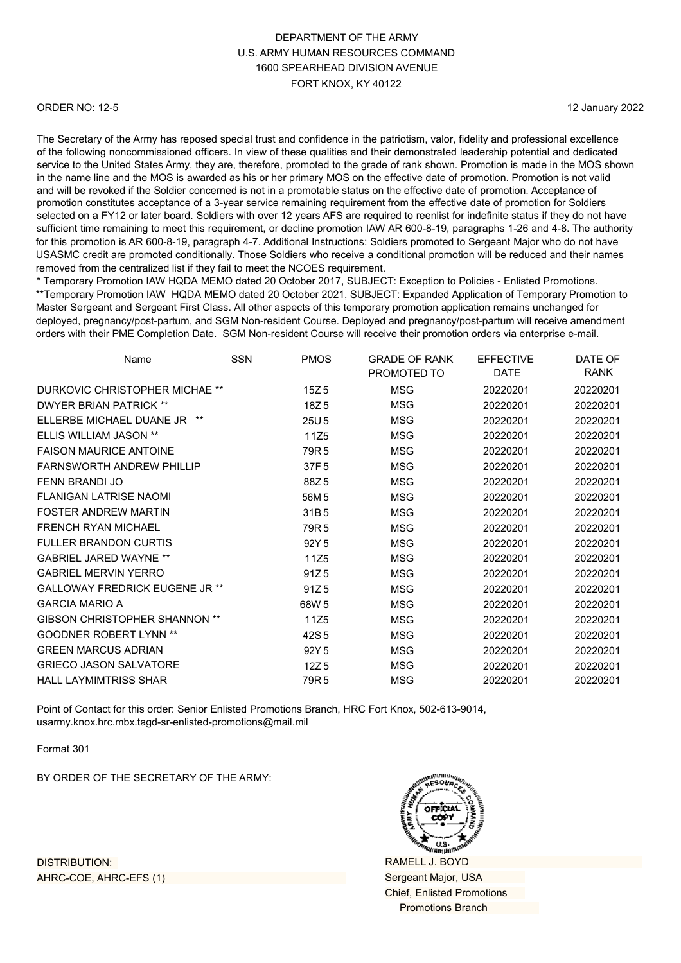#### ORDER NO: 12-5

12 January 2022

The Secretary of the Army has reposed special trust and confidence in the patriotism, valor, fidelity and professional excellence of the following noncommissioned officers. In view of these qualities and their demonstrated leadership potential and dedicated service to the United States Army, they are, therefore, promoted to the grade of rank shown. Promotion is made in the MOS shown in the name line and the MOS is awarded as his or her primary MOS on the effective date of promotion. Promotion is not valid and will be revoked if the Soldier concerned is not in a promotable status on the effective date of promotion. Acceptance of promotion constitutes acceptance of a 3-year service remaining requirement from the effective date of promotion for Soldiers selected on a FY12 or later board. Soldiers with over 12 years AFS are required to reenlist for indefinite status if they do not have sufficient time remaining to meet this requirement, or decline promotion IAW AR 600-8-19, paragraphs 1-26 and 4-8. The authority for this promotion is AR 600-8-19, paragraph 4-7. Additional Instructions: Soldiers promoted to Sergeant Major who do not have USASMC credit are promoted conditionally. Those Soldiers who receive a conditional promotion will be reduced and their names removed from the centralized list if they fail to meet the NCOES requirement.

\* Temporary Promotion IAW HQDA MEMO dated 20 October 2017, SUBJECT: Exception to Policies - Enlisted Promotions. \*\*Temporary Promotion IAW HQDA MEMO dated 20 October 2021, SUBJECT: Expanded Application of Temporary Promotion to Master Sergeant and Sergeant First Class. All other aspects of this temporary promotion application remains unchanged for deployed, pregnancy/post-partum, and SGM Non-resident Course. Deployed and pregnancy/post-partum will receive amendment orders with their PME Completion Date. SGM Non-resident Course will receive their promotion orders via enterprise e-mail.

| Name                                  | <b>SSN</b> | <b>PMOS</b>      | <b>GRADE OF RANK</b><br>PROMOTED TO | <b>EFFECTIVE</b><br><b>DATE</b> | DATE OF<br>RANK |
|---------------------------------------|------------|------------------|-------------------------------------|---------------------------------|-----------------|
| DURKOVIC CHRISTOPHER MICHAE **        |            | 15Z <sub>5</sub> | <b>MSG</b>                          | 20220201                        | 20220201        |
| <b>DWYER BRIAN PATRICK **</b>         |            | 18Z5             | MSG                                 | 20220201                        | 20220201        |
| FILERBE MICHAEL DUANE JR<br>**        |            | 25U <sub>5</sub> | <b>MSG</b>                          | 20220201                        | 20220201        |
| <b>ELLIS WILLIAM JASON **</b>         |            | 11Z5             | MSG                                 | 20220201                        | 20220201        |
| <b>FAISON MAURICE ANTOINE</b>         |            | 79R <sub>5</sub> | <b>MSG</b>                          | 20220201                        | 20220201        |
| <b>FARNSWORTH ANDREW PHILLIP</b>      |            | 37F 5            | MSG                                 | 20220201                        | 20220201        |
| FENN BRANDI JO                        |            | 88Z5             | MSG                                 | 20220201                        | 20220201        |
| <b>FLANIGAN LATRISE NAOMI</b>         |            | 56M 5            | <b>MSG</b>                          | 20220201                        | 20220201        |
| <b>FOSTER ANDREW MARTIN</b>           |            | 31B5             | <b>MSG</b>                          | 20220201                        | 20220201        |
| FRENCH RYAN MICHAEL                   |            | 79R <sub>5</sub> | <b>MSG</b>                          | 20220201                        | 20220201        |
| <b>FULLER BRANDON CURTIS</b>          |            | 92Y 5            | MSG                                 | 20220201                        | 20220201        |
| <b>GABRIEL JARED WAYNE **</b>         |            | 11Z5             | <b>MSG</b>                          | 20220201                        | 20220201        |
| <b>GABRIEL MERVIN YERRO</b>           |            | 91Z <sub>5</sub> | MSG                                 | 20220201                        | 20220201        |
| <b>GALLOWAY FREDRICK EUGENE JR **</b> |            | 91Z <sub>5</sub> | <b>MSG</b>                          | 20220201                        | 20220201        |
| <b>GARCIA MARIO A</b>                 |            | 68W 5            | <b>MSG</b>                          | 20220201                        | 20220201        |
| <b>GIBSON CHRISTOPHER SHANNON **</b>  |            | 11Z <sub>5</sub> | MSG                                 | 20220201                        | 20220201        |
| <b>GOODNER ROBERT LYNN **</b>         |            | 42S 5            | <b>MSG</b>                          | 20220201                        | 20220201        |
| <b>GREEN MARCUS ADRIAN</b>            |            | 92Y 5            | MSG                                 | 20220201                        | 20220201        |
| <b>GRIECO JASON SALVATORE</b>         |            | 12Z <sub>5</sub> | MSG                                 | 20220201                        | 20220201        |
| <b>HALL LAYMIMTRISS SHAR</b>          |            | 79R 5            | MSG                                 | 20220201                        | 20220201        |

Point of Contact for this order: Senior Enlisted Promotions Branch, HRC Fort Knox, 502-613-9014, [usarmy.knox.hrc.mbx.tagd-sr-enlisted-promotions@mail.mil](mailto:usarmy.knox.hrc.mbx.tagd-sr-enlisted-promotions@mail.mil)

Format 301

BY ORDER OF THE SECRETARY OF THE ARMY:



RAMELL J. BOYD Sergeant Major, USA Chief, Enlisted Promotions Promotions Branch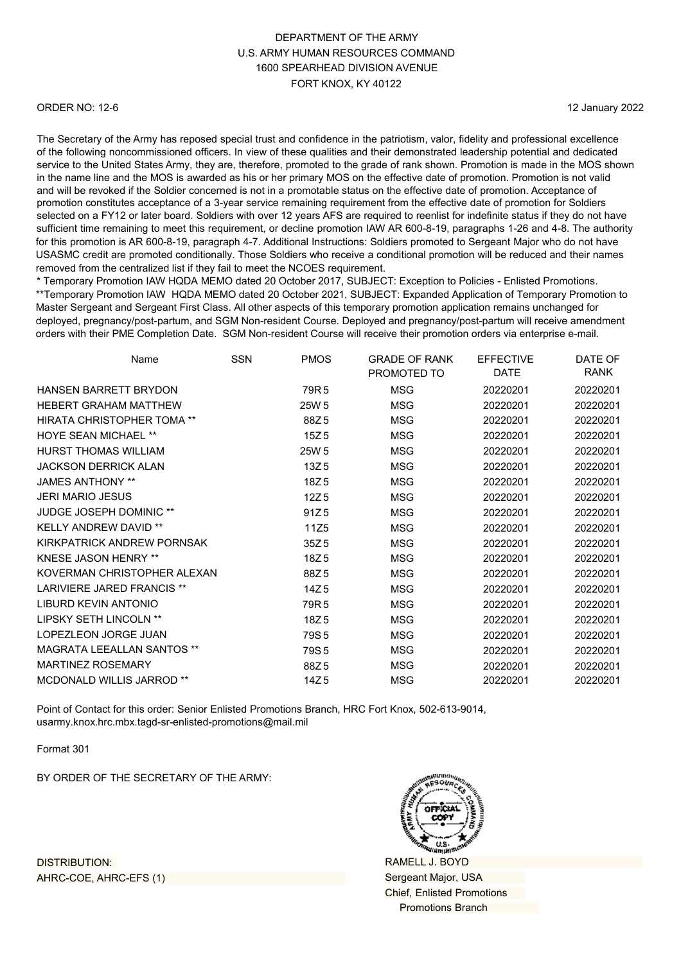#### ORDER NO: 12-6

12 January 2022

The Secretary of the Army has reposed special trust and confidence in the patriotism, valor, fidelity and professional excellence of the following noncommissioned officers. In view of these qualities and their demonstrated leadership potential and dedicated service to the United States Army, they are, therefore, promoted to the grade of rank shown. Promotion is made in the MOS shown in the name line and the MOS is awarded as his or her primary MOS on the effective date of promotion. Promotion is not valid and will be revoked if the Soldier concerned is not in a promotable status on the effective date of promotion. Acceptance of promotion constitutes acceptance of a 3-year service remaining requirement from the effective date of promotion for Soldiers selected on a FY12 or later board. Soldiers with over 12 years AFS are required to reenlist for indefinite status if they do not have sufficient time remaining to meet this requirement, or decline promotion IAW AR 600-8-19, paragraphs 1-26 and 4-8. The authority for this promotion is AR 600-8-19, paragraph 4-7. Additional Instructions: Soldiers promoted to Sergeant Major who do not have USASMC credit are promoted conditionally. Those Soldiers who receive a conditional promotion will be reduced and their names removed from the centralized list if they fail to meet the NCOES requirement.

\* Temporary Promotion IAW HQDA MEMO dated 20 October 2017, SUBJECT: Exception to Policies - Enlisted Promotions. \*\*Temporary Promotion IAW HQDA MEMO dated 20 October 2021, SUBJECT: Expanded Application of Temporary Promotion to Master Sergeant and Sergeant First Class. All other aspects of this temporary promotion application remains unchanged for deployed, pregnancy/post-partum, and SGM Non-resident Course. Deployed and pregnancy/post-partum will receive amendment orders with their PME Completion Date. SGM Non-resident Course will receive their promotion orders via enterprise e-mail.

| Name                              | <b>SSN</b> | <b>PMOS</b>      | <b>GRADE OF RANK</b><br>PROMOTED TO | <b>EFFECTIVE</b><br><b>DATE</b> | DATE OF<br>RANK |
|-----------------------------------|------------|------------------|-------------------------------------|---------------------------------|-----------------|
| <b>HANSEN BARRETT BRYDON</b>      |            | 79R <sub>5</sub> | <b>MSG</b>                          | 20220201                        | 20220201        |
| <b>HEBERT GRAHAM MATTHEW</b>      |            | 25W 5            | MSG                                 | 20220201                        | 20220201        |
| <b>HIRATA CHRISTOPHER TOMA**</b>  |            | 88Z5             | <b>MSG</b>                          | 20220201                        | 20220201        |
| <b>HOYE SEAN MICHAEL **</b>       |            | 15Z <sub>5</sub> | <b>MSG</b>                          | 20220201                        | 20220201        |
| HURST THOMAS WILLIAM              |            | 25W 5            | MSG                                 | 20220201                        | 20220201        |
| <b>JACKSON DERRICK ALAN</b>       |            | 13Z <sub>5</sub> | MSG                                 | 20220201                        | 20220201        |
| <b>JAMES ANTHONY **</b>           |            | 18Z5             | <b>MSG</b>                          | 20220201                        | 20220201        |
| <b>JERI MARIO JESUS</b>           |            | 12Z <sub>5</sub> | <b>MSG</b>                          | 20220201                        | 20220201        |
| <b>JUDGE JOSEPH DOMINIC **</b>    |            | 91Z <sub>5</sub> | MSG                                 | 20220201                        | 20220201        |
| <b>KELLY ANDREW DAVID **</b>      |            | 11Z5             | MSG                                 | 20220201                        | 20220201        |
| KIRKPATRICK ANDREW PORNSAK        |            | 35Z <sub>5</sub> | MSG                                 | 20220201                        | 20220201        |
| <b>KNESE JASON HENRY **</b>       |            | 18Z5             | <b>MSG</b>                          | 20220201                        | 20220201        |
| KOVERMAN CHRISTOPHER ALEXAN       |            | 88Z5             | MSG                                 | 20220201                        | 20220201        |
| LARIVIERE JARED FRANCIS **        |            | 14Z <sub>5</sub> | <b>MSG</b>                          | 20220201                        | 20220201        |
| <b>LIBURD KEVIN ANTONIO</b>       |            | 79R <sub>5</sub> | <b>MSG</b>                          | 20220201                        | 20220201        |
| LIPSKY SETH LINCOLN **            |            | 18Z5             | <b>MSG</b>                          | 20220201                        | 20220201        |
| LOPEZLEON JORGE JUAN              |            | 79S <sub>5</sub> | <b>MSG</b>                          | 20220201                        | 20220201        |
| <b>MAGRATA LEEALLAN SANTOS **</b> |            | 79S <sub>5</sub> | MSG                                 | 20220201                        | 20220201        |
| <b>MARTINEZ ROSEMARY</b>          |            | 88Z5             | <b>MSG</b>                          | 20220201                        | 20220201        |
| <b>MCDONALD WILLIS JARROD **</b>  |            | 14Z <sub>5</sub> | MSG                                 | 20220201                        | 20220201        |

Point of Contact for this order: Senior Enlisted Promotions Branch, HRC Fort Knox, 502-613-9014, [usarmy.knox.hrc.mbx.tagd-sr-enlisted-promotions@mail.mil](mailto:usarmy.knox.hrc.mbx.tagd-sr-enlisted-promotions@mail.mil)

Format 301

BY ORDER OF THE SECRETARY OF THE ARMY:



RAMELL J. BOYD Sergeant Major, USA Chief, Enlisted Promotions Promotions Branch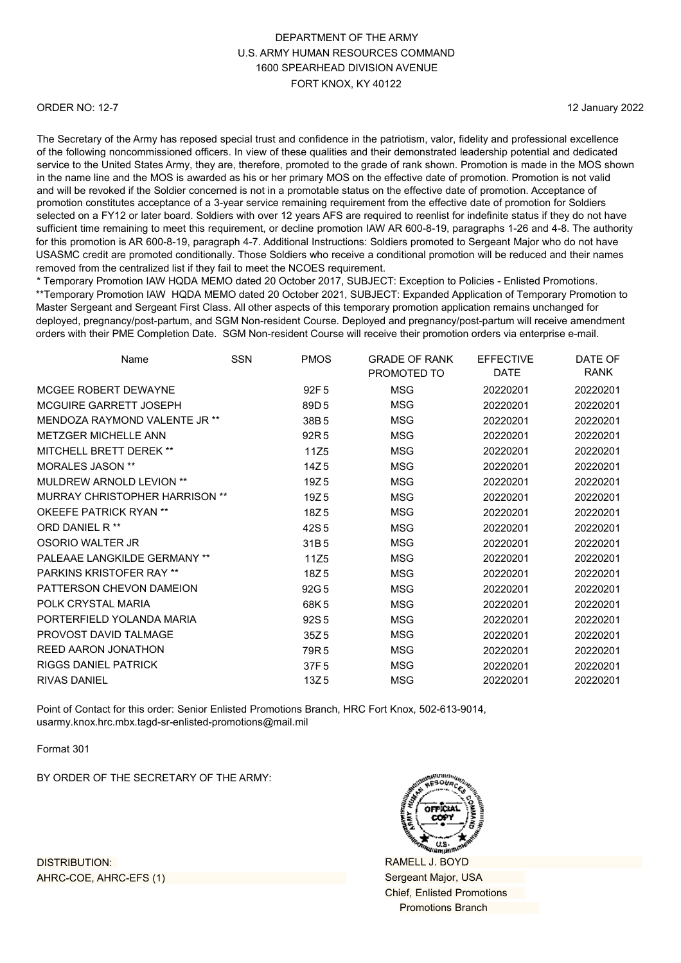#### ORDER NO: 12-7

12 January 2022

The Secretary of the Army has reposed special trust and confidence in the patriotism, valor, fidelity and professional excellence of the following noncommissioned officers. In view of these qualities and their demonstrated leadership potential and dedicated service to the United States Army, they are, therefore, promoted to the grade of rank shown. Promotion is made in the MOS shown in the name line and the MOS is awarded as his or her primary MOS on the effective date of promotion. Promotion is not valid and will be revoked if the Soldier concerned is not in a promotable status on the effective date of promotion. Acceptance of promotion constitutes acceptance of a 3-year service remaining requirement from the effective date of promotion for Soldiers selected on a FY12 or later board. Soldiers with over 12 years AFS are required to reenlist for indefinite status if they do not have sufficient time remaining to meet this requirement, or decline promotion IAW AR 600-8-19, paragraphs 1-26 and 4-8. The authority for this promotion is AR 600-8-19, paragraph 4-7. Additional Instructions: Soldiers promoted to Sergeant Major who do not have USASMC credit are promoted conditionally. Those Soldiers who receive a conditional promotion will be reduced and their names removed from the centralized list if they fail to meet the NCOES requirement.

\* Temporary Promotion IAW HQDA MEMO dated 20 October 2017, SUBJECT: Exception to Policies - Enlisted Promotions. \*\*Temporary Promotion IAW HQDA MEMO dated 20 October 2021, SUBJECT: Expanded Application of Temporary Promotion to Master Sergeant and Sergeant First Class. All other aspects of this temporary promotion application remains unchanged for deployed, pregnancy/post-partum, and SGM Non-resident Course. Deployed and pregnancy/post-partum will receive amendment orders with their PME Completion Date. SGM Non-resident Course will receive their promotion orders via enterprise e-mail.

| <b>SSN</b>                     | <b>PMOS</b>      | <b>GRADE OF RANK</b> | <b>EFFECTIVE</b> | DATE OF     |
|--------------------------------|------------------|----------------------|------------------|-------------|
|                                |                  | PROMOTED TO          | <b>DATE</b>      | <b>RANK</b> |
|                                | 92F <sub>5</sub> | <b>MSG</b>           | 20220201         | 20220201    |
|                                | 89D <sub>5</sub> | MSG                  | 20220201         | 20220201    |
|                                | 38B <sub>5</sub> | <b>MSG</b>           | 20220201         | 20220201    |
|                                | 92R <sub>5</sub> | <b>MSG</b>           | 20220201         | 20220201    |
|                                | 11Z5             | <b>MSG</b>           | 20220201         | 20220201    |
|                                | 14Z <sub>5</sub> | MSG                  | 20220201         | 20220201    |
|                                | 19Z <sub>5</sub> | <b>MSG</b>           | 20220201         | 20220201    |
| MURRAY CHRISTOPHER HARRISON ** | 19Z <sub>5</sub> | <b>MSG</b>           | 20220201         | 20220201    |
|                                | 18Z <sub>5</sub> | MSG                  | 20220201         | 20220201    |
|                                | 42S <sub>5</sub> | <b>MSG</b>           | 20220201         | 20220201    |
|                                | 31B5             | MSG                  | 20220201         | 20220201    |
|                                | 11Z5             | <b>MSG</b>           | 20220201         | 20220201    |
|                                | 18Z <sub>5</sub> | <b>MSG</b>           | 20220201         | 20220201    |
|                                | 92G 5            | <b>MSG</b>           | 20220201         | 20220201    |
|                                | 68K5             | <b>MSG</b>           | 20220201         | 20220201    |
|                                | 92S <sub>5</sub> | MSG                  | 20220201         | 20220201    |
|                                | 35Z <sub>5</sub> | MSG                  | 20220201         | 20220201    |
|                                | 79R <sub>5</sub> | <b>MSG</b>           | 20220201         | 20220201    |
|                                | 37F <sub>5</sub> | <b>MSG</b>           | 20220201         | 20220201    |
|                                | 13Z <sub>5</sub> | MSG                  | 20220201         | 20220201    |
|                                |                  |                      |                  |             |

Point of Contact for this order: Senior Enlisted Promotions Branch, HRC Fort Knox, 502-613-9014, [usarmy.knox.hrc.mbx.tagd-sr-enlisted-promotions@mail.mil](mailto:usarmy.knox.hrc.mbx.tagd-sr-enlisted-promotions@mail.mil)

Format 301

BY ORDER OF THE SECRETARY OF THE ARMY:



RAMELL J. BOYD Sergeant Major, USA Chief, Enlisted Promotions Promotions Branch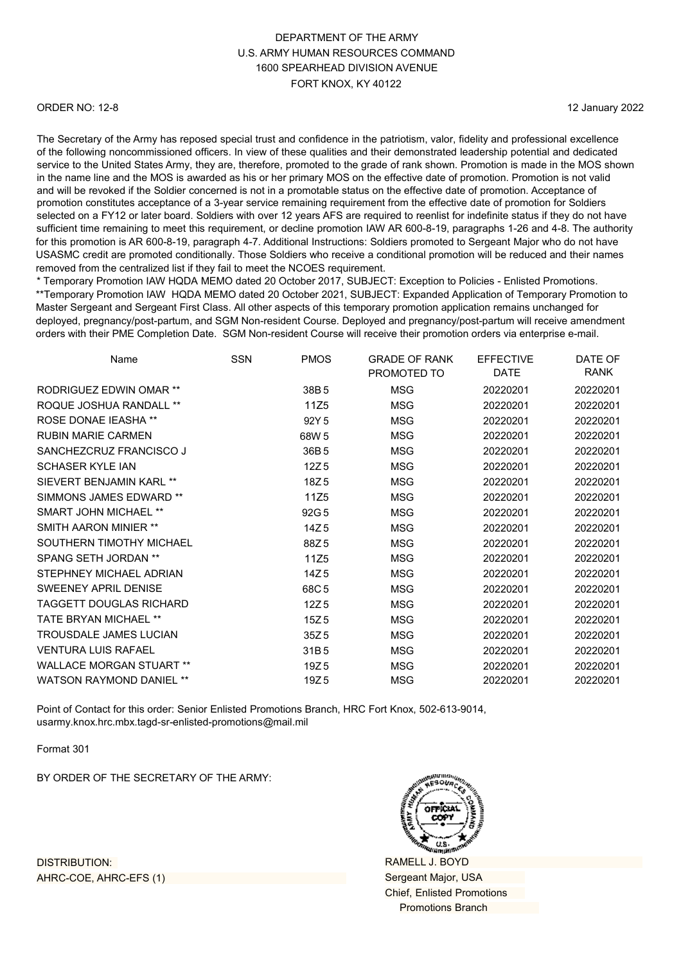#### ORDER NO: 12-8

12 January 2022

The Secretary of the Army has reposed special trust and confidence in the patriotism, valor, fidelity and professional excellence of the following noncommissioned officers. In view of these qualities and their demonstrated leadership potential and dedicated service to the United States Army, they are, therefore, promoted to the grade of rank shown. Promotion is made in the MOS shown in the name line and the MOS is awarded as his or her primary MOS on the effective date of promotion. Promotion is not valid and will be revoked if the Soldier concerned is not in a promotable status on the effective date of promotion. Acceptance of promotion constitutes acceptance of a 3-year service remaining requirement from the effective date of promotion for Soldiers selected on a FY12 or later board. Soldiers with over 12 years AFS are required to reenlist for indefinite status if they do not have sufficient time remaining to meet this requirement, or decline promotion IAW AR 600-8-19, paragraphs 1-26 and 4-8. The authority for this promotion is AR 600-8-19, paragraph 4-7. Additional Instructions: Soldiers promoted to Sergeant Major who do not have USASMC credit are promoted conditionally. Those Soldiers who receive a conditional promotion will be reduced and their names removed from the centralized list if they fail to meet the NCOES requirement.

\* Temporary Promotion IAW HQDA MEMO dated 20 October 2017, SUBJECT: Exception to Policies - Enlisted Promotions. \*\*Temporary Promotion IAW HQDA MEMO dated 20 October 2021, SUBJECT: Expanded Application of Temporary Promotion to Master Sergeant and Sergeant First Class. All other aspects of this temporary promotion application remains unchanged for deployed, pregnancy/post-partum, and SGM Non-resident Course. Deployed and pregnancy/post-partum will receive amendment orders with their PME Completion Date. SGM Non-resident Course will receive their promotion orders via enterprise e-mail.

| Name                            | <b>SSN</b> | <b>PMOS</b>      | <b>GRADE OF RANK</b> | <b>EFFECTIVE</b> | DATE OF     |
|---------------------------------|------------|------------------|----------------------|------------------|-------------|
|                                 |            |                  | PROMOTED TO          | DATE             | <b>RANK</b> |
| <b>RODRIGUEZ EDWIN OMAR **</b>  |            | 38B <sub>5</sub> | <b>MSG</b>           | 20220201         | 20220201    |
| <b>ROQUE JOSHUA RANDALL **</b>  |            | 11Z5             | <b>MSG</b>           | 20220201         | 20220201    |
| <b>ROSE DONAE IEASHA **</b>     |            | 92Y 5            | MSG                  | 20220201         | 20220201    |
| <b>RUBIN MARIE CARMEN</b>       |            | 68W 5            | <b>MSG</b>           | 20220201         | 20220201    |
| SANCHEZCRUZ FRANCISCO J         |            | 36B <sub>5</sub> | <b>MSG</b>           | 20220201         | 20220201    |
| <b>SCHASER KYLE IAN</b>         |            | 12Z <sub>5</sub> | MSG                  | 20220201         | 20220201    |
| SIFVERT BENJAMIN KARI **        |            | 18Z <sub>5</sub> | <b>MSG</b>           | 20220201         | 20220201    |
| SIMMONS JAMES EDWARD **         |            | 11Z5             | MSG                  | 20220201         | 20220201    |
| <b>SMART JOHN MICHAEL **</b>    |            | 92G 5            | <b>MSG</b>           | 20220201         | 20220201    |
| <b>SMITH AARON MINIER **</b>    |            | 14Z <sub>5</sub> | MSG                  | 20220201         | 20220201    |
| SOUTHERN TIMOTHY MICHAEL        |            | 88Z5             | <b>MSG</b>           | 20220201         | 20220201    |
| <b>SPANG SETH JORDAN **</b>     |            | 11Z5             | MSG                  | 20220201         | 20220201    |
| STEPHNEY MICHAEL ADRIAN         |            | 14Z <sub>5</sub> | <b>MSG</b>           | 20220201         | 20220201    |
| <b>SWEENEY APRIL DENISE</b>     |            | 68C5             | MSG                  | 20220201         | 20220201    |
| TAGGETT DOUGLAS RICHARD         |            | 12Z <sub>5</sub> | <b>MSG</b>           | 20220201         | 20220201    |
| <b>TATE BRYAN MICHAEL **</b>    |            | 15Z <sub>5</sub> | <b>MSG</b>           | 20220201         | 20220201    |
| <b>TROUSDALE JAMES LUCIAN</b>   |            | 35Z <sub>5</sub> | MSG                  | 20220201         | 20220201    |
| <b>VENTURA LUIS RAFAEL</b>      |            | 31B <sub>5</sub> | <b>MSG</b>           | 20220201         | 20220201    |
| <b>WALLACE MORGAN STUART **</b> |            | 19Z <sub>5</sub> | MSG                  | 20220201         | 20220201    |
| <b>WATSON RAYMOND DANIEL **</b> |            | 19Z <sub>5</sub> | MSG                  | 20220201         | 20220201    |
|                                 |            |                  |                      |                  |             |

Point of Contact for this order: Senior Enlisted Promotions Branch, HRC Fort Knox, 502-613-9014, [usarmy.knox.hrc.mbx.tagd-sr-enlisted-promotions@mail.mil](mailto:usarmy.knox.hrc.mbx.tagd-sr-enlisted-promotions@mail.mil)

Format 301

BY ORDER OF THE SECRETARY OF THE ARMY:



RAMELL J. BOYD Sergeant Major, USA Chief, Enlisted Promotions Promotions Branch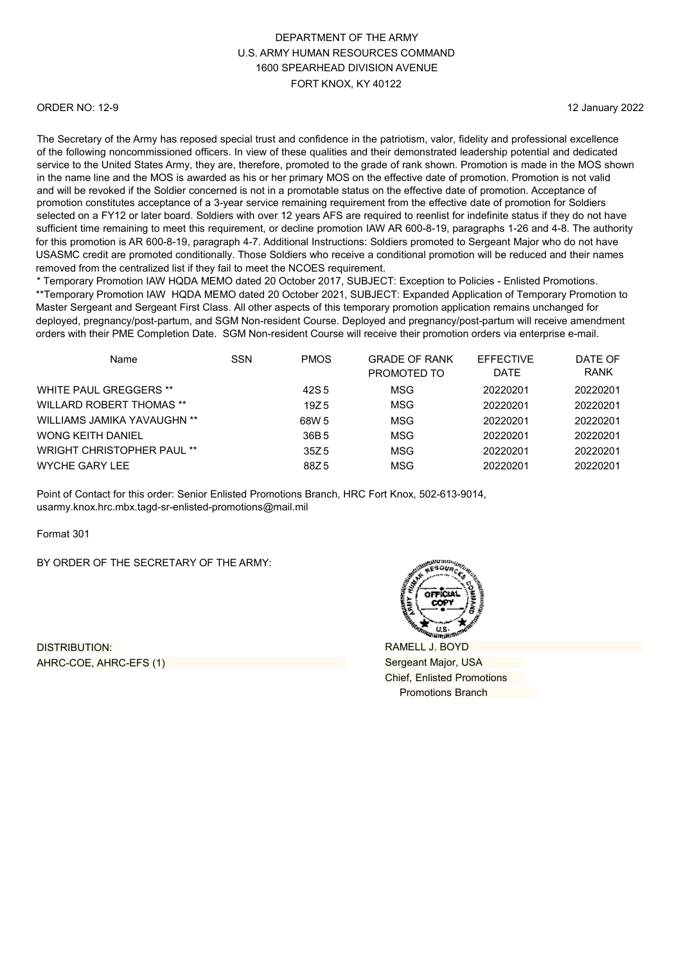#### ORDER NO: 12-9

12 January 2022

The Secretary of the Army has reposed special trust and confidence in the patriotism, valor, fidelity and professional excellence of the following noncommissioned officers. In view of these qualities and their demonstrated leadership potential and dedicated service to the United States Army, they are, therefore, promoted to the grade of rank shown. Promotion is made in the MOS shown in the name line and the MOS is awarded as his or her primary MOS on the effective date of promotion. Promotion is not valid and will be revoked if the Soldier concerned is not in a promotable status on the effective date of promotion. Acceptance of promotion constitutes acceptance of a 3-year service remaining requirement from the effective date of promotion for Soldiers selected on a FY12 or later board. Soldiers with over 12 years AFS are required to reenlist for indefinite status if they do not have sufficient time remaining to meet this requirement, or decline promotion IAW AR 600-8-19, paragraphs 1-26 and 4-8. The authority for this promotion is AR 600-8-19, paragraph 4-7. Additional Instructions: Soldiers promoted to Sergeant Major who do not have USASMC credit are promoted conditionally. Those Soldiers who receive a conditional promotion will be reduced and their names removed from the centralized list if they fail to meet the NCOES requirement.

\* Temporary Promotion IAW HQDA MEMO dated 20 October 2017, SUBJECT: Exception to Policies - Enlisted Promotions. \*\*Temporary Promotion IAW HQDA MEMO dated 20 October 2021, SUBJECT: Expanded Application of Temporary Promotion to Master Sergeant and Sergeant First Class. All other aspects of this temporary promotion application remains unchanged for deployed, pregnancy/post-partum, and SGM Non-resident Course. Deployed and pregnancy/post-partum will receive amendment orders with their PME Completion Date. SGM Non-resident Course will receive their promotion orders via enterprise e-mail.

| Name                              | <b>SSN</b> | <b>PMOS</b> | <b>GRADE OF RANK</b><br>PROMOTED TO | <b>EFFECTIVE</b><br><b>DATE</b> | DATE OF<br><b>RANK</b> |
|-----------------------------------|------------|-------------|-------------------------------------|---------------------------------|------------------------|
| WHITE PAUL GREGGERS **            |            | 42S 5       | MSG                                 | 20220201                        | 20220201               |
| <b>WILLARD ROBERT THOMAS **</b>   |            | 19Z 5       | MSG                                 | 20220201                        | 20220201               |
| WILLIAMS JAMIKA YAVAUGHN **       |            | 68W 5       | MSG                                 | 20220201                        | 20220201               |
| <b>WONG KEITH DANIEL</b>          |            | 36B 5       | MSG                                 | 20220201                        | 20220201               |
| <b>WRIGHT CHRISTOPHER PAUL **</b> |            | 35Z 5       | MSG                                 | 20220201                        | 20220201               |
| <b>WYCHE GARY LEE</b>             |            | 88Z 5       | MSG                                 | 20220201                        | 20220201               |

Point of Contact for this order: Senior Enlisted Promotions Branch, HRC Fort Knox, 502-613-9014, [usarmy.knox.hrc.mbx.tagd-sr-enlisted-promotions@mail.mil](mailto:usarmy.knox.hrc.mbx.tagd-sr-enlisted-promotions@mail.mil)

Format 301

BY ORDER OF THE SECRETARY OF THE ARMY:

DISTRIBUTION: AHRC-COE, AHRC-EFS (1)



RAMELL J. BOYD Sergeant Major, USA Chief, Enlisted Promotions Promotions Branch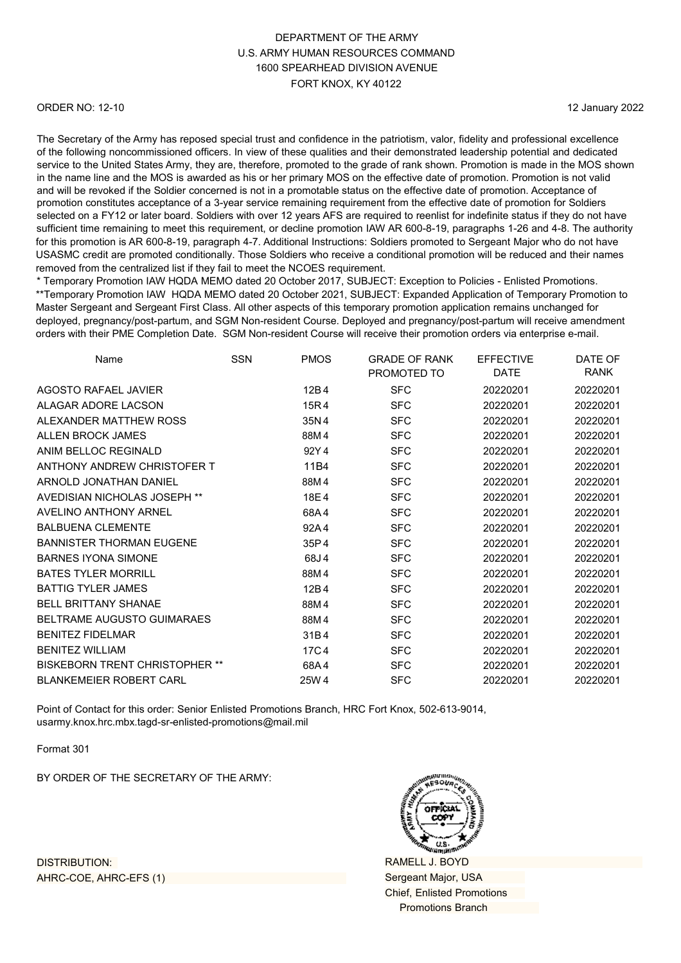#### ORDER NO: 12-10

12 January 2022

The Secretary of the Army has reposed special trust and confidence in the patriotism, valor, fidelity and professional excellence of the following noncommissioned officers. In view of these qualities and their demonstrated leadership potential and dedicated service to the United States Army, they are, therefore, promoted to the grade of rank shown. Promotion is made in the MOS shown in the name line and the MOS is awarded as his or her primary MOS on the effective date of promotion. Promotion is not valid and will be revoked if the Soldier concerned is not in a promotable status on the effective date of promotion. Acceptance of promotion constitutes acceptance of a 3-year service remaining requirement from the effective date of promotion for Soldiers selected on a FY12 or later board. Soldiers with over 12 years AFS are required to reenlist for indefinite status if they do not have sufficient time remaining to meet this requirement, or decline promotion IAW AR 600-8-19, paragraphs 1-26 and 4-8. The authority for this promotion is AR 600-8-19, paragraph 4-7. Additional Instructions: Soldiers promoted to Sergeant Major who do not have USASMC credit are promoted conditionally. Those Soldiers who receive a conditional promotion will be reduced and their names removed from the centralized list if they fail to meet the NCOES requirement.

\* Temporary Promotion IAW HQDA MEMO dated 20 October 2017, SUBJECT: Exception to Policies - Enlisted Promotions. \*\*Temporary Promotion IAW HQDA MEMO dated 20 October 2021, SUBJECT: Expanded Application of Temporary Promotion to Master Sergeant and Sergeant First Class. All other aspects of this temporary promotion application remains unchanged for deployed, pregnancy/post-partum, and SGM Non-resident Course. Deployed and pregnancy/post-partum will receive amendment orders with their PME Completion Date. SGM Non-resident Course will receive their promotion orders via enterprise e-mail.

| Name                                  | <b>SSN</b> | <b>PMOS</b> | <b>GRADE OF RANK</b><br>PROMOTED TO | <b>EFFECTIVE</b><br>DATE | DATE OF<br><b>RANK</b> |
|---------------------------------------|------------|-------------|-------------------------------------|--------------------------|------------------------|
| AGOSTO RAFAEL JAVIER                  |            | 12B4        | <b>SFC</b>                          | 20220201                 | 20220201               |
| ALAGAR ADORE LACSON                   |            | 15R4        | <b>SFC</b>                          | 20220201                 | 20220201               |
| ALEXANDER MATTHEW ROSS                |            | 35N4        | <b>SFC</b>                          | 20220201                 | 20220201               |
| ALLEN BROCK JAMES                     |            | 88M4        | <b>SFC</b>                          | 20220201                 | 20220201               |
| ANIM BELLOC REGINALD                  |            | 92Y4        | <b>SFC</b>                          | 20220201                 | 20220201               |
| ANTHONY ANDREW CHRISTOFER T           |            | 11B4        | <b>SFC</b>                          | 20220201                 | 20220201               |
| ARNOLD JONATHAN DANIEL                |            | 88M4        | <b>SFC</b>                          | 20220201                 | 20220201               |
| AVEDISIAN NICHOLAS JOSEPH **          |            | 18E4        | <b>SFC</b>                          | 20220201                 | 20220201               |
| AVELINO ANTHONY ARNEL                 |            | 68A4        | <b>SFC</b>                          | 20220201                 | 20220201               |
| <b>BALBUENA CLEMENTE</b>              |            | 92A4        | <b>SFC</b>                          | 20220201                 | 20220201               |
| <b>BANNISTER THORMAN EUGENE</b>       |            | 35P4        | <b>SFC</b>                          | 20220201                 | 20220201               |
| <b>BARNES IYONA SIMONE</b>            |            | 68J4        | <b>SFC</b>                          | 20220201                 | 20220201               |
| <b>BATES TYLER MORRILL</b>            |            | 88M4        | <b>SFC</b>                          | 20220201                 | 20220201               |
| <b>BATTIG TYLER JAMES</b>             |            | 12B4        | <b>SFC</b>                          | 20220201                 | 20220201               |
| <b>BELL BRITTANY SHANAF</b>           |            | 88M4        | <b>SFC</b>                          | 20220201                 | 20220201               |
| <b>BELTRAME AUGUSTO GUIMARAES</b>     |            | 88M4        | <b>SFC</b>                          | 20220201                 | 20220201               |
| <b>BENITEZ FIDELMAR</b>               |            | 31B4        | <b>SFC</b>                          | 20220201                 | 20220201               |
| <b>BENITEZ WILLIAM</b>                |            | 17C4        | <b>SFC</b>                          | 20220201                 | 20220201               |
| <b>BISKEBORN TRENT CHRISTOPHER **</b> |            | 68A4        | <b>SFC</b>                          | 20220201                 | 20220201               |
| <b>BLANKEMEIER ROBERT CARL</b>        |            | 25W 4       | <b>SFC</b>                          | 20220201                 | 20220201               |

Point of Contact for this order: Senior Enlisted Promotions Branch, HRC Fort Knox, 502-613-9014, [usarmy.knox.hrc.mbx.tagd-sr-enlisted-promotions@mail.mil](mailto:usarmy.knox.hrc.mbx.tagd-sr-enlisted-promotions@mail.mil)

Format 301

BY ORDER OF THE SECRETARY OF THE ARMY:



RAMELL J. BOYD Sergeant Major, USA Chief, Enlisted Promotions Promotions Branch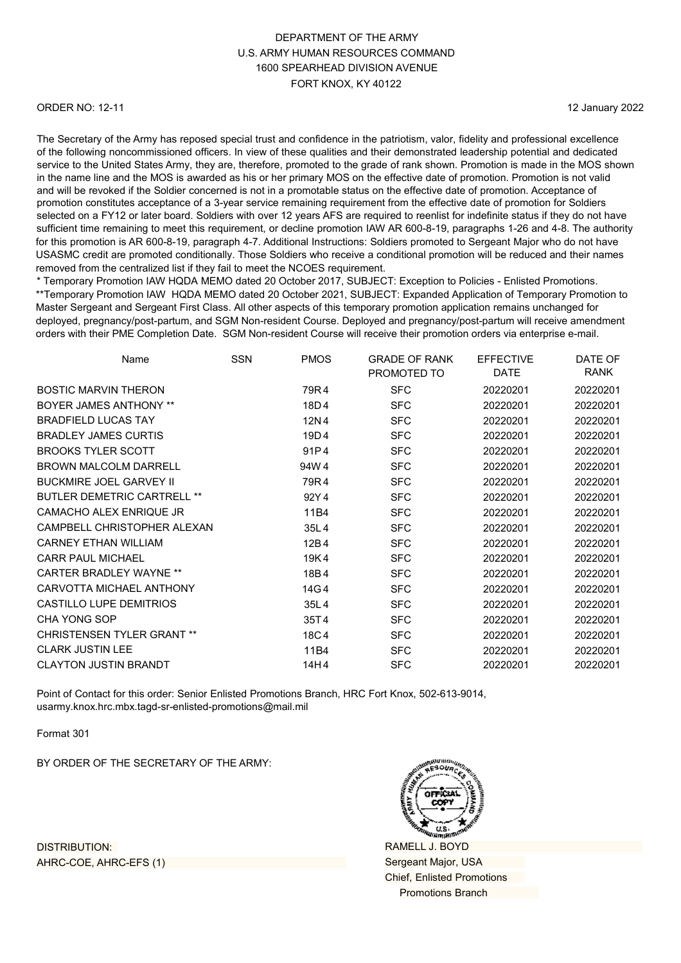#### ORDER NO: 12-11

12 January 2022

The Secretary of the Army has reposed special trust and confidence in the patriotism, valor, fidelity and professional excellence of the following noncommissioned officers. In view of these qualities and their demonstrated leadership potential and dedicated service to the United States Army, they are, therefore, promoted to the grade of rank shown. Promotion is made in the MOS shown in the name line and the MOS is awarded as his or her primary MOS on the effective date of promotion. Promotion is not valid and will be revoked if the Soldier concerned is not in a promotable status on the effective date of promotion. Acceptance of promotion constitutes acceptance of a 3-year service remaining requirement from the effective date of promotion for Soldiers selected on a FY12 or later board. Soldiers with over 12 years AFS are required to reenlist for indefinite status if they do not have sufficient time remaining to meet this requirement, or decline promotion IAW AR 600-8-19, paragraphs 1-26 and 4-8. The authority for this promotion is AR 600-8-19, paragraph 4-7. Additional Instructions: Soldiers promoted to Sergeant Major who do not have USASMC credit are promoted conditionally. Those Soldiers who receive a conditional promotion will be reduced and their names removed from the centralized list if they fail to meet the NCOES requirement.

\* Temporary Promotion IAW HQDA MEMO dated 20 October 2017, SUBJECT: Exception to Policies - Enlisted Promotions. \*\*Temporary Promotion IAW HQDA MEMO dated 20 October 2021, SUBJECT: Expanded Application of Temporary Promotion to Master Sergeant and Sergeant First Class. All other aspects of this temporary promotion application remains unchanged for deployed, pregnancy/post-partum, and SGM Non-resident Course. Deployed and pregnancy/post-partum will receive amendment orders with their PME Completion Date. SGM Non-resident Course will receive their promotion orders via enterprise e-mail.

| Name                               | <b>SSN</b> | <b>PMOS</b> | <b>GRADE OF RANK</b><br>PROMOTED TO | <b>EFFECTIVE</b><br>DATE | DATE OF<br><b>RANK</b> |
|------------------------------------|------------|-------------|-------------------------------------|--------------------------|------------------------|
| <b>BOSTIC MARVIN THERON</b>        |            | 79R4        | <b>SFC</b>                          | 20220201                 | 20220201               |
| <b>BOYER JAMES ANTHONY **</b>      |            | 18D4        | <b>SFC</b>                          | 20220201                 | 20220201               |
| <b>BRADFIELD LUCAS TAY</b>         |            | 12N4        | <b>SFC</b>                          | 20220201                 | 20220201               |
| <b>BRADLEY JAMES CURTIS</b>        |            | 19D4        | <b>SFC</b>                          | 20220201                 | 20220201               |
| <b>BROOKS TYLER SCOTT</b>          |            | 91P4        | <b>SFC</b>                          | 20220201                 | 20220201               |
| <b>BROWN MALCOLM DARRELL</b>       |            | 94W4        | <b>SFC</b>                          | 20220201                 | 20220201               |
| <b>BUCKMIRE JOEL GARVEY II</b>     |            | 79R4        | <b>SFC</b>                          | 20220201                 | 20220201               |
| <b>BUTLER DEMETRIC CARTRELL **</b> |            | 92Y4        | <b>SFC</b>                          | 20220201                 | 20220201               |
| CAMACHO ALEX ENRIQUE JR            |            | 11B4        | <b>SFC</b>                          | 20220201                 | 20220201               |
| CAMPBELL CHRISTOPHER ALEXAN        |            | 35L4        | <b>SFC</b>                          | 20220201                 | 20220201               |
| <b>CARNEY ETHAN WILLIAM</b>        |            | 12B4        | <b>SFC</b>                          | 20220201                 | 20220201               |
| <b>CARR PAUL MICHAEL</b>           |            | 19K4        | <b>SFC</b>                          | 20220201                 | 20220201               |
| CARTER BRADI FY WAYNE **           |            | 18B4        | <b>SFC</b>                          | 20220201                 | 20220201               |
| CARVOTTA MICHAEL ANTHONY           |            | 14G 4       | <b>SFC</b>                          | 20220201                 | 20220201               |
| <b>CASTILLO LUPE DEMITRIOS</b>     |            | 35L4        | <b>SFC</b>                          | 20220201                 | 20220201               |
| CHA YONG SOP                       |            | 35T4        | <b>SFC</b>                          | 20220201                 | 20220201               |
| <b>CHRISTENSEN TYLER GRANT **</b>  |            | 18C4        | <b>SFC</b>                          | 20220201                 | 20220201               |
| <b>CLARK JUSTIN LEE</b>            |            | 11B4        | <b>SFC</b>                          | 20220201                 | 20220201               |
| <b>CLAYTON JUSTIN BRANDT</b>       |            | 14H4        | <b>SFC</b>                          | 20220201                 | 20220201               |
|                                    |            |             |                                     |                          |                        |

Point of Contact for this order: Senior Enlisted Promotions Branch, HRC Fort Knox, 502-613-9014, [usarmy.knox.hrc.mbx.tagd-sr-enlisted-promotions@mail.mil](mailto:usarmy.knox.hrc.mbx.tagd-sr-enlisted-promotions@mail.mil)

Format 301

BY ORDER OF THE SECRETARY OF THE ARMY:

RAMELL J. BOYD Sergeant Major, USA Chief, Enlisted Promotions Promotions Branch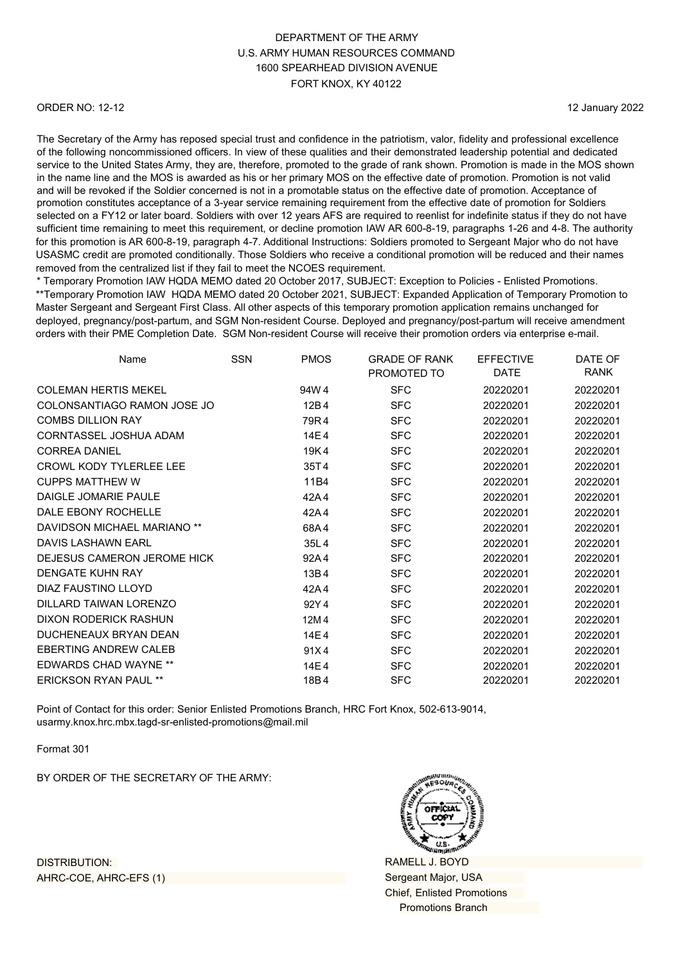#### ORDER NO: 12-12

12 January 2022

The Secretary of the Army has reposed special trust and confidence in the patriotism, valor, fidelity and professional excellence of the following noncommissioned officers. In view of these qualities and their demonstrated leadership potential and dedicated service to the United States Army, they are, therefore, promoted to the grade of rank shown. Promotion is made in the MOS shown in the name line and the MOS is awarded as his or her primary MOS on the effective date of promotion. Promotion is not valid and will be revoked if the Soldier concerned is not in a promotable status on the effective date of promotion. Acceptance of promotion constitutes acceptance of a 3-year service remaining requirement from the effective date of promotion for Soldiers selected on a FY12 or later board. Soldiers with over 12 years AFS are required to reenlist for indefinite status if they do not have sufficient time remaining to meet this requirement, or decline promotion IAW AR 600-8-19, paragraphs 1-26 and 4-8. The authority for this promotion is AR 600-8-19, paragraph 4-7. Additional Instructions: Soldiers promoted to Sergeant Major who do not have USASMC credit are promoted conditionally. Those Soldiers who receive a conditional promotion will be reduced and their names removed from the centralized list if they fail to meet the NCOES requirement.

\* Temporary Promotion IAW HQDA MEMO dated 20 October 2017, SUBJECT: Exception to Policies - Enlisted Promotions. \*\*Temporary Promotion IAW HQDA MEMO dated 20 October 2021, SUBJECT: Expanded Application of Temporary Promotion to Master Sergeant and Sergeant First Class. All other aspects of this temporary promotion application remains unchanged for deployed, pregnancy/post-partum, and SGM Non-resident Course. Deployed and pregnancy/post-partum will receive amendment orders with their PME Completion Date. SGM Non-resident Course will receive their promotion orders via enterprise e-mail.

| Name                           | <b>SSN</b> | <b>PMOS</b> | <b>GRADE OF RANK</b><br>PROMOTED TO | <b>EFFECTIVE</b><br><b>DATE</b> | DATE OF<br>RANK |
|--------------------------------|------------|-------------|-------------------------------------|---------------------------------|-----------------|
| <b>COLEMAN HERTIS MEKEL</b>    |            | 94W4        | <b>SFC</b>                          | 20220201                        | 20220201        |
| COLONSANTIAGO RAMON JOSE JO    |            | 12B4        | <b>SFC</b>                          | 20220201                        | 20220201        |
| <b>COMBS DILLION RAY</b>       |            | 79R4        | <b>SFC</b>                          | 20220201                        | 20220201        |
| CORNTASSEL JOSHUA ADAM         |            | 14E4        | <b>SFC</b>                          | 20220201                        | 20220201        |
| <b>CORREA DANIEL</b>           |            | 19K4        | <b>SFC</b>                          | 20220201                        | 20220201        |
| <b>CROWL KODY TYLERLEE LEE</b> |            | 35T4        | <b>SFC</b>                          | 20220201                        | 20220201        |
| <b>CUPPS MATTHEW W</b>         |            | 11B4        | <b>SFC</b>                          | 20220201                        | 20220201        |
| DAIGLE JOMARIE PAULE           |            | 42A4        | <b>SFC</b>                          | 20220201                        | 20220201        |
| DALE EBONY ROCHELLE            |            | 42A4        | <b>SFC</b>                          | 20220201                        | 20220201        |
| DAVIDSON MICHAEL MARIANO **    |            | 68A4        | <b>SFC</b>                          | 20220201                        | 20220201        |
| DAVIS LASHAWN EARL             |            | 35L4        | <b>SFC</b>                          | 20220201                        | 20220201        |
| DEJESUS CAMERON JEROME HICK    |            | 92A4        | <b>SFC</b>                          | 20220201                        | 20220201        |
| DENGATE KUHN RAY               |            | 13B4        | <b>SFC</b>                          | 20220201                        | 20220201        |
| DIAZ FAUSTINO LLOYD            |            | 42A4        | <b>SFC</b>                          | 20220201                        | 20220201        |
| DILLARD TAIWAN LORENZO         |            | 92Y4        | <b>SFC</b>                          | 20220201                        | 20220201        |
| DIXON RODERICK RASHUN          |            | 12M4        | <b>SFC</b>                          | 20220201                        | 20220201        |
| DUCHENEAUX BRYAN DEAN          |            | 14E4        | <b>SFC</b>                          | 20220201                        | 20220201        |
| <b>FBERTING ANDREW CALEB</b>   |            | 91X4        | <b>SFC</b>                          | 20220201                        | 20220201        |
| <b>EDWARDS CHAD WAYNE **</b>   |            | 14E4        | <b>SFC</b>                          | 20220201                        | 20220201        |
| <b>ERICKSON RYAN PAUL **</b>   |            | 18B4        | <b>SFC</b>                          | 20220201                        | 20220201        |

Point of Contact for this order: Senior Enlisted Promotions Branch, HRC Fort Knox, 502-613-9014, [usarmy.knox.hrc.mbx.tagd-sr-enlisted-promotions@mail.mil](mailto:usarmy.knox.hrc.mbx.tagd-sr-enlisted-promotions@mail.mil)

Format 301

BY ORDER OF THE SECRETARY OF THE ARMY:



RAMELL J. BOYD Sergeant Major, USA Chief, Enlisted Promotions Promotions Branch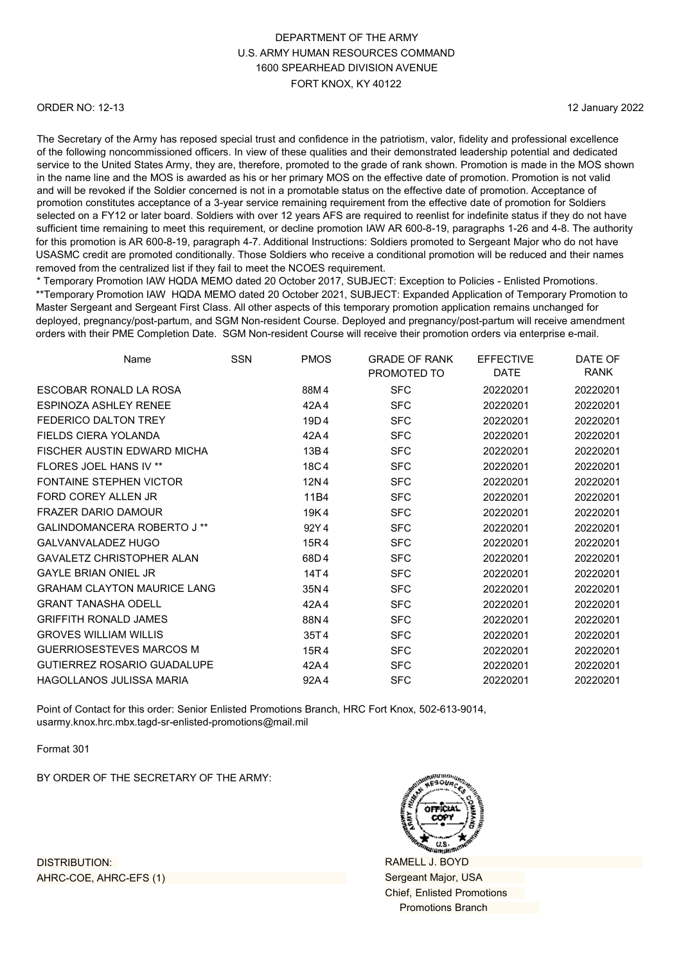#### ORDER NO: 12-13

12 January 2022

The Secretary of the Army has reposed special trust and confidence in the patriotism, valor, fidelity and professional excellence of the following noncommissioned officers. In view of these qualities and their demonstrated leadership potential and dedicated service to the United States Army, they are, therefore, promoted to the grade of rank shown. Promotion is made in the MOS shown in the name line and the MOS is awarded as his or her primary MOS on the effective date of promotion. Promotion is not valid and will be revoked if the Soldier concerned is not in a promotable status on the effective date of promotion. Acceptance of promotion constitutes acceptance of a 3-year service remaining requirement from the effective date of promotion for Soldiers selected on a FY12 or later board. Soldiers with over 12 years AFS are required to reenlist for indefinite status if they do not have sufficient time remaining to meet this requirement, or decline promotion IAW AR 600-8-19, paragraphs 1-26 and 4-8. The authority for this promotion is AR 600-8-19, paragraph 4-7. Additional Instructions: Soldiers promoted to Sergeant Major who do not have USASMC credit are promoted conditionally. Those Soldiers who receive a conditional promotion will be reduced and their names removed from the centralized list if they fail to meet the NCOES requirement.

\* Temporary Promotion IAW HQDA MEMO dated 20 October 2017, SUBJECT: Exception to Policies - Enlisted Promotions. \*\*Temporary Promotion IAW HQDA MEMO dated 20 October 2021, SUBJECT: Expanded Application of Temporary Promotion to Master Sergeant and Sergeant First Class. All other aspects of this temporary promotion application remains unchanged for deployed, pregnancy/post-partum, and SGM Non-resident Course. Deployed and pregnancy/post-partum will receive amendment orders with their PME Completion Date. SGM Non-resident Course will receive their promotion orders via enterprise e-mail.

| Name                               | <b>SSN</b> | <b>PMOS</b> | <b>GRADE OF RANK</b><br>PROMOTED TO | <b>EFFECTIVE</b><br><b>DATE</b> | DATE OF<br>RANK |
|------------------------------------|------------|-------------|-------------------------------------|---------------------------------|-----------------|
| ESCOBAR RONALD LA ROSA             |            | 88M4        | <b>SFC</b>                          | 20220201                        | 20220201        |
| <b>ESPINOZA ASHLEY RENEE</b>       |            | 42A4        | <b>SFC</b>                          | 20220201                        | 20220201        |
| FEDERICO DALTON TREY               |            | 19D4        | <b>SFC</b>                          | 20220201                        | 20220201        |
| FIELDS CIERA YOLANDA               |            | 42A4        | <b>SFC</b>                          | 20220201                        | 20220201        |
| FISCHER AUSTIN EDWARD MICHA        |            | 13B4        | <b>SFC</b>                          | 20220201                        | 20220201        |
| FLORES JOEL HANS IV **             |            | 18C4        | <b>SFC</b>                          | 20220201                        | 20220201        |
| <b>FONTAINE STEPHEN VICTOR</b>     |            | 12N4        | <b>SFC</b>                          | 20220201                        | 20220201        |
| FORD COREY ALLEN JR                |            | 11B4        | <b>SFC</b>                          | 20220201                        | 20220201        |
| <b>FRAZER DARIO DAMOUR</b>         |            | 19K4        | <b>SFC</b>                          | 20220201                        | 20220201        |
| GALINDOMANCERA ROBERTO J **        |            | 92Y4        | <b>SFC</b>                          | 20220201                        | 20220201        |
| <b>GALVANVALADEZ HUGO</b>          |            | 15R4        | <b>SFC</b>                          | 20220201                        | 20220201        |
| <b>GAVALETZ CHRISTOPHER ALAN</b>   |            | 68D4        | <b>SFC</b>                          | 20220201                        | 20220201        |
| <b>GAYLE BRIAN ONIEL JR</b>        |            | 14T4        | <b>SFC</b>                          | 20220201                        | 20220201        |
| <b>GRAHAM CLAYTON MAURICE LANG</b> |            | 35N4        | <b>SFC</b>                          | 20220201                        | 20220201        |
| <b>GRANT TANASHA ODELL</b>         |            | 42A4        | <b>SFC</b>                          | 20220201                        | 20220201        |
| <b>GRIFFITH RONALD JAMES</b>       |            | 88N4        | <b>SFC</b>                          | 20220201                        | 20220201        |
| GROVES WILLIAM WILLIS              |            | 35T4        | <b>SFC</b>                          | 20220201                        | 20220201        |
| <b>GUERRIOSESTEVES MARCOS M</b>    |            | 15R4        | <b>SFC</b>                          | 20220201                        | 20220201        |
| <b>GUTIERREZ ROSARIO GUADALUPE</b> |            | 42A4        | <b>SFC</b>                          | 20220201                        | 20220201        |
| <b>HAGOLLANOS JULISSA MARIA</b>    |            | 92A4        | <b>SFC</b>                          | 20220201                        | 20220201        |

Point of Contact for this order: Senior Enlisted Promotions Branch, HRC Fort Knox, 502-613-9014, [usarmy.knox.hrc.mbx.tagd-sr-enlisted-promotions@mail.mil](mailto:usarmy.knox.hrc.mbx.tagd-sr-enlisted-promotions@mail.mil)

Format 301

BY ORDER OF THE SECRETARY OF THE ARMY:



RAMELL J. BOYD Sergeant Major, USA Chief, Enlisted Promotions Promotions Branch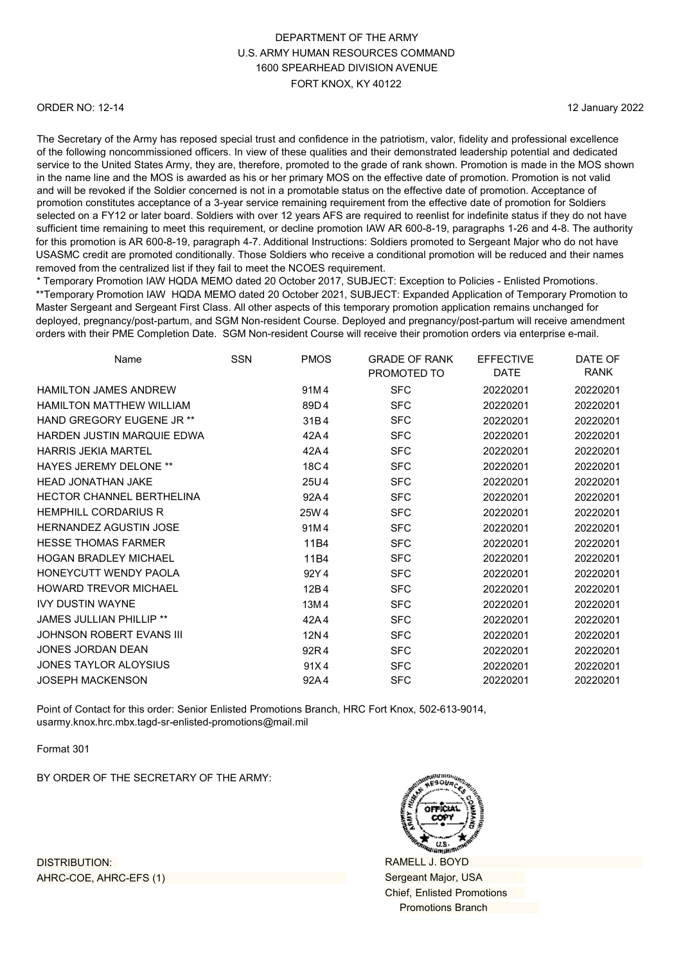#### ORDER NO: 12-14

12 January 2022

The Secretary of the Army has reposed special trust and confidence in the patriotism, valor, fidelity and professional excellence of the following noncommissioned officers. In view of these qualities and their demonstrated leadership potential and dedicated service to the United States Army, they are, therefore, promoted to the grade of rank shown. Promotion is made in the MOS shown in the name line and the MOS is awarded as his or her primary MOS on the effective date of promotion. Promotion is not valid and will be revoked if the Soldier concerned is not in a promotable status on the effective date of promotion. Acceptance of promotion constitutes acceptance of a 3-year service remaining requirement from the effective date of promotion for Soldiers selected on a FY12 or later board. Soldiers with over 12 years AFS are required to reenlist for indefinite status if they do not have sufficient time remaining to meet this requirement, or decline promotion IAW AR 600-8-19, paragraphs 1-26 and 4-8. The authority for this promotion is AR 600-8-19, paragraph 4-7. Additional Instructions: Soldiers promoted to Sergeant Major who do not have USASMC credit are promoted conditionally. Those Soldiers who receive a conditional promotion will be reduced and their names removed from the centralized list if they fail to meet the NCOES requirement.

\* Temporary Promotion IAW HQDA MEMO dated 20 October 2017, SUBJECT: Exception to Policies - Enlisted Promotions. \*\*Temporary Promotion IAW HQDA MEMO dated 20 October 2021, SUBJECT: Expanded Application of Temporary Promotion to Master Sergeant and Sergeant First Class. All other aspects of this temporary promotion application remains unchanged for deployed, pregnancy/post-partum, and SGM Non-resident Course. Deployed and pregnancy/post-partum will receive amendment orders with their PME Completion Date. SGM Non-resident Course will receive their promotion orders via enterprise e-mail.

| Name                             | <b>SSN</b> | <b>PMOS</b> | <b>GRADE OF RANK</b> | <b>EFFECTIVE</b> | DATE OF     |
|----------------------------------|------------|-------------|----------------------|------------------|-------------|
|                                  |            |             | PROMOTED TO          | <b>DATE</b>      | <b>RANK</b> |
| <b>HAMILTON JAMES ANDREW</b>     |            | 91M4        | <b>SFC</b>           | 20220201         | 20220201    |
| <b>HAMILTON MATTHEW WILLIAM</b>  |            | 89D4        | <b>SFC</b>           | 20220201         | 20220201    |
| HAND GREGORY EUGENE JR **        |            | 31B4        | <b>SFC</b>           | 20220201         | 20220201    |
| HARDEN JUSTIN MARQUIE EDWA       |            | 42A4        | <b>SFC</b>           | 20220201         | 20220201    |
| <b>HARRIS JFKIA MARTFI</b>       |            | 42A4        | <b>SFC</b>           | 20220201         | 20220201    |
| <b>HAYES JEREMY DELONE **</b>    |            | 18C4        | <b>SFC</b>           | 20220201         | 20220201    |
| <b>HEAD JONATHAN JAKE</b>        |            | 25U4        | <b>SFC</b>           | 20220201         | 20220201    |
| <b>HECTOR CHANNEL BERTHELINA</b> |            | 92A4        | <b>SFC</b>           | 20220201         | 20220201    |
| <b>HEMPHILL CORDARIUS R</b>      |            | 25W 4       | <b>SFC</b>           | 20220201         | 20220201    |
| <b>HERNANDEZ AGUSTIN JOSE</b>    |            | 91M4        | <b>SFC</b>           | 20220201         | 20220201    |
| <b>HESSE THOMAS FARMER</b>       |            | 11B4        | <b>SFC</b>           | 20220201         | 20220201    |
| <b>HOGAN BRADLEY MICHAEL</b>     |            | 11B4        | <b>SFC</b>           | 20220201         | 20220201    |
| <b>HONEYCUTT WENDY PAOLA</b>     |            | 92Y4        | <b>SFC</b>           | 20220201         | 20220201    |
| <b>HOWARD TREVOR MICHAEL</b>     |            | 12B4        | <b>SFC</b>           | 20220201         | 20220201    |
| <b>IVY DUSTIN WAYNE</b>          |            | 13M4        | <b>SFC</b>           | 20220201         | 20220201    |
| <b>JAMES JULLIAN PHILLIP **</b>  |            | 42A4        | <b>SFC</b>           | 20220201         | 20220201    |
| <b>JOHNSON ROBERT EVANS III</b>  |            | 12N4        | <b>SFC</b>           | 20220201         | 20220201    |
| <b>JONES JORDAN DEAN</b>         |            | 92R4        | <b>SFC</b>           | 20220201         | 20220201    |
| JONES TAYLOR ALOYSIUS            |            | 91X4        | <b>SFC</b>           | 20220201         | 20220201    |
| <b>JOSEPH MACKENSON</b>          |            | 92A4        | <b>SFC</b>           | 20220201         | 20220201    |
|                                  |            |             |                      |                  |             |

Point of Contact for this order: Senior Enlisted Promotions Branch, HRC Fort Knox, 502-613-9014, [usarmy.knox.hrc.mbx.tagd-sr-enlisted-promotions@mail.mil](mailto:usarmy.knox.hrc.mbx.tagd-sr-enlisted-promotions@mail.mil)

Format 301

BY ORDER OF THE SECRETARY OF THE ARMY:



RAMELL J. BOYD Sergeant Major, USA Chief, Enlisted Promotions Promotions Branch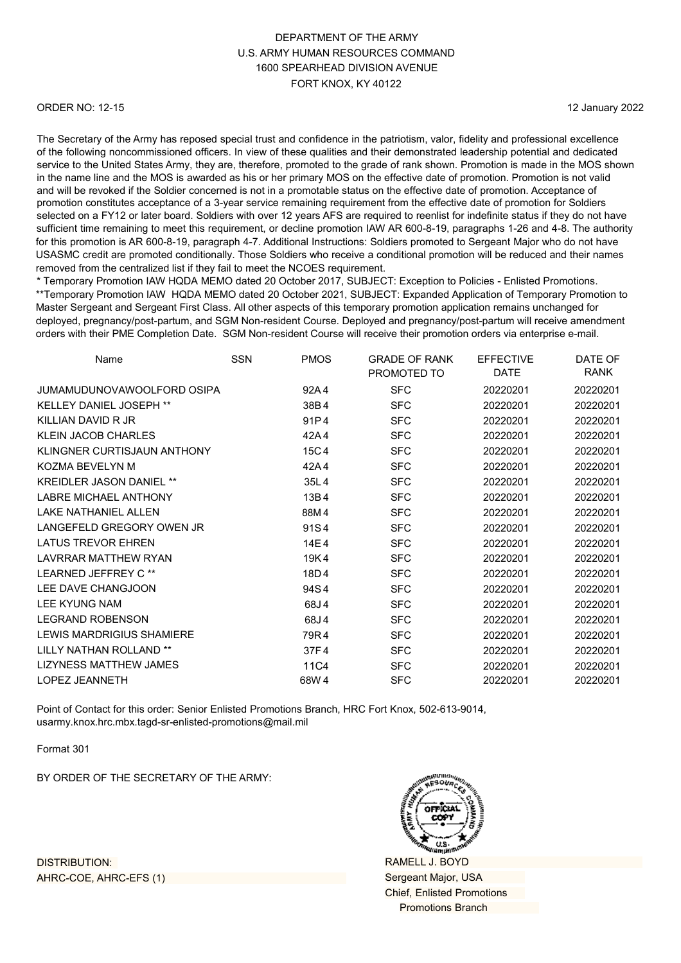#### ORDER NO: 12-15

12 January 2022

The Secretary of the Army has reposed special trust and confidence in the patriotism, valor, fidelity and professional excellence of the following noncommissioned officers. In view of these qualities and their demonstrated leadership potential and dedicated service to the United States Army, they are, therefore, promoted to the grade of rank shown. Promotion is made in the MOS shown in the name line and the MOS is awarded as his or her primary MOS on the effective date of promotion. Promotion is not valid and will be revoked if the Soldier concerned is not in a promotable status on the effective date of promotion. Acceptance of promotion constitutes acceptance of a 3-year service remaining requirement from the effective date of promotion for Soldiers selected on a FY12 or later board. Soldiers with over 12 years AFS are required to reenlist for indefinite status if they do not have sufficient time remaining to meet this requirement, or decline promotion IAW AR 600-8-19, paragraphs 1-26 and 4-8. The authority for this promotion is AR 600-8-19, paragraph 4-7. Additional Instructions: Soldiers promoted to Sergeant Major who do not have USASMC credit are promoted conditionally. Those Soldiers who receive a conditional promotion will be reduced and their names removed from the centralized list if they fail to meet the NCOES requirement.

\* Temporary Promotion IAW HQDA MEMO dated 20 October 2017, SUBJECT: Exception to Policies - Enlisted Promotions. \*\*Temporary Promotion IAW HQDA MEMO dated 20 October 2021, SUBJECT: Expanded Application of Temporary Promotion to Master Sergeant and Sergeant First Class. All other aspects of this temporary promotion application remains unchanged for deployed, pregnancy/post-partum, and SGM Non-resident Course. Deployed and pregnancy/post-partum will receive amendment orders with their PME Completion Date. SGM Non-resident Course will receive their promotion orders via enterprise e-mail.

| Name                            | <b>SSN</b> | <b>PMOS</b> | <b>GRADE OF RANK</b><br>PROMOTED TO | <b>EFFECTIVE</b><br>DATE | DATE OF<br><b>RANK</b> |
|---------------------------------|------------|-------------|-------------------------------------|--------------------------|------------------------|
| JUMAMUDUNOVAWOOLFORD OSIPA      |            | 92A4        | <b>SFC</b>                          | 20220201                 | 20220201               |
| <b>KELLEY DANIEL JOSEPH **</b>  |            | 38B4        | <b>SFC</b>                          | 20220201                 | 20220201               |
| KILLIAN DAVID R JR              |            | 91P4        | <b>SFC</b>                          | 20220201                 | 20220201               |
| <b>KLEIN JACOB CHARLES</b>      |            | 42A4        | <b>SFC</b>                          | 20220201                 | 20220201               |
| KLINGNER CURTISJAUN ANTHONY     |            | 15C4        | <b>SFC</b>                          | 20220201                 | 20220201               |
| KOZMA BEVELYN M                 |            | 42A4        | <b>SFC</b>                          | 20220201                 | 20220201               |
| <b>KREIDLER JASON DANIEL **</b> |            | 35L4        | <b>SFC</b>                          | 20220201                 | 20220201               |
| <b>LABRE MICHAEL ANTHONY</b>    |            | 13B4        | <b>SFC</b>                          | 20220201                 | 20220201               |
| <b>LAKE NATHANIEL ALLEN</b>     |            | 88M4        | <b>SFC</b>                          | 20220201                 | 20220201               |
| LANGEFELD GREGORY OWEN JR       |            | 91S4        | <b>SFC</b>                          | 20220201                 | 20220201               |
| <b>LATUS TREVOR EHREN</b>       |            | 14E4        | <b>SFC</b>                          | 20220201                 | 20220201               |
| <b>LAVRRAR MATTHEW RYAN</b>     |            | 19K4        | <b>SFC</b>                          | 20220201                 | 20220201               |
| LEARNED JEFFREY C**             |            | 18D4        | <b>SFC</b>                          | 20220201                 | 20220201               |
| LEE DAVE CHANGJOON              |            | 94S4        | <b>SFC</b>                          | 20220201                 | 20220201               |
| <b>LEE KYUNG NAM</b>            |            | 68J4        | <b>SFC</b>                          | 20220201                 | 20220201               |
| <b>LEGRAND ROBENSON</b>         |            | 68J4        | <b>SFC</b>                          | 20220201                 | 20220201               |
| LEWIS MARDRIGIUS SHAMIERE       |            | 79R4        | <b>SFC</b>                          | 20220201                 | 20220201               |
| LILLY NATHAN ROLLAND **         |            | 37F4        | <b>SFC</b>                          | 20220201                 | 20220201               |
| <b>LIZYNESS MATTHEW JAMES</b>   |            | 11C4        | <b>SFC</b>                          | 20220201                 | 20220201               |
| <b>LOPEZ JEANNETH</b>           |            | 68W4        | <b>SFC</b>                          | 20220201                 | 20220201               |

Point of Contact for this order: Senior Enlisted Promotions Branch, HRC Fort Knox, 502-613-9014, [usarmy.knox.hrc.mbx.tagd-sr-enlisted-promotions@mail.mil](mailto:usarmy.knox.hrc.mbx.tagd-sr-enlisted-promotions@mail.mil)

Format 301

BY ORDER OF THE SECRETARY OF THE ARMY:



RAMELL J. BOYD Sergeant Major, USA Chief, Enlisted Promotions Promotions Branch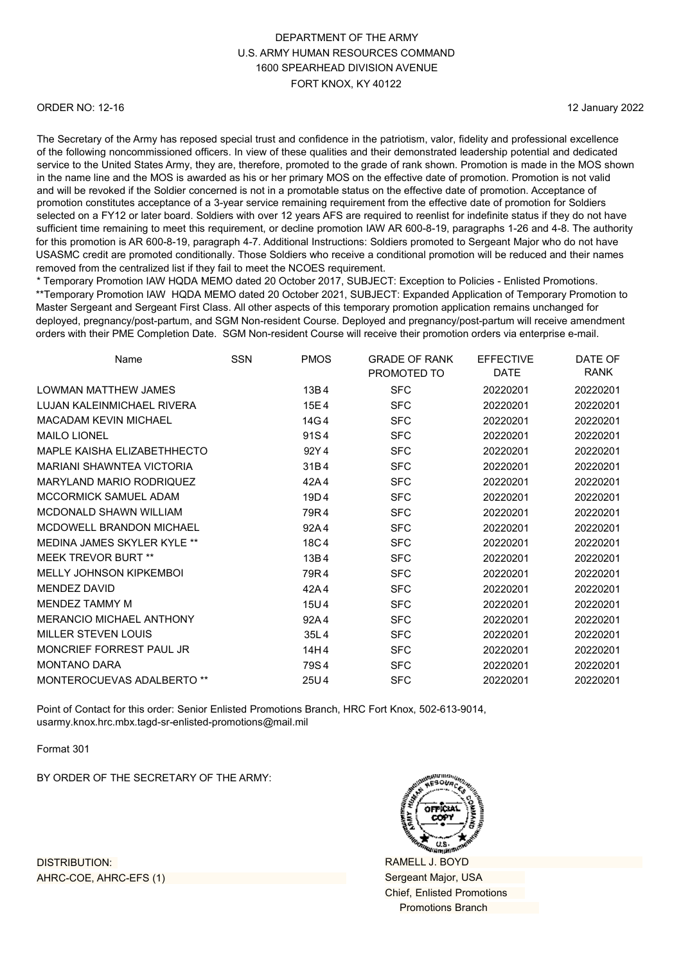#### ORDER NO: 12-16

12 January 2022

The Secretary of the Army has reposed special trust and confidence in the patriotism, valor, fidelity and professional excellence of the following noncommissioned officers. In view of these qualities and their demonstrated leadership potential and dedicated service to the United States Army, they are, therefore, promoted to the grade of rank shown. Promotion is made in the MOS shown in the name line and the MOS is awarded as his or her primary MOS on the effective date of promotion. Promotion is not valid and will be revoked if the Soldier concerned is not in a promotable status on the effective date of promotion. Acceptance of promotion constitutes acceptance of a 3-year service remaining requirement from the effective date of promotion for Soldiers selected on a FY12 or later board. Soldiers with over 12 years AFS are required to reenlist for indefinite status if they do not have sufficient time remaining to meet this requirement, or decline promotion IAW AR 600-8-19, paragraphs 1-26 and 4-8. The authority for this promotion is AR 600-8-19, paragraph 4-7. Additional Instructions: Soldiers promoted to Sergeant Major who do not have USASMC credit are promoted conditionally. Those Soldiers who receive a conditional promotion will be reduced and their names removed from the centralized list if they fail to meet the NCOES requirement.

\* Temporary Promotion IAW HQDA MEMO dated 20 October 2017, SUBJECT: Exception to Policies - Enlisted Promotions. \*\*Temporary Promotion IAW HQDA MEMO dated 20 October 2021, SUBJECT: Expanded Application of Temporary Promotion to Master Sergeant and Sergeant First Class. All other aspects of this temporary promotion application remains unchanged for deployed, pregnancy/post-partum, and SGM Non-resident Course. Deployed and pregnancy/post-partum will receive amendment orders with their PME Completion Date. SGM Non-resident Course will receive their promotion orders via enterprise e-mail.

| Name                             | <b>SSN</b> | <b>PMOS</b> | <b>GRADE OF RANK</b><br>PROMOTED TO | <b>EFFECTIVE</b><br><b>DATE</b> | DATE OF<br><b>RANK</b> |
|----------------------------------|------------|-------------|-------------------------------------|---------------------------------|------------------------|
| LOWMAN MATTHEW JAMES             |            | 13B4        | <b>SFC</b>                          | 20220201                        | 20220201               |
| LUJAN KALEINMICHAEL RIVERA       |            | 15E4        | <b>SFC</b>                          | 20220201                        | 20220201               |
| <b>MACADAM KEVIN MICHAEL</b>     |            | 14G4        | <b>SFC</b>                          | 20220201                        | 20220201               |
| <b>MAILO LIONEL</b>              |            | 91S4        | <b>SFC</b>                          | 20220201                        | 20220201               |
| MAPLE KAISHA ELIZABETHHECTO      |            | 92Y4        | <b>SFC</b>                          | 20220201                        | 20220201               |
| <b>MARIANI SHAWNTEA VICTORIA</b> |            | 31B4        | <b>SFC</b>                          | 20220201                        | 20220201               |
| <b>MARYLAND MARIO RODRIQUEZ</b>  |            | 42A4        | <b>SFC</b>                          | 20220201                        | 20220201               |
| MCCORMICK SAMUEL ADAM            |            | 19D4        | <b>SFC</b>                          | 20220201                        | 20220201               |
| MCDONALD SHAWN WILLIAM           |            | 79R4        | <b>SFC</b>                          | 20220201                        | 20220201               |
| MCDOWELL BRANDON MICHAEL         |            | 92A4        | <b>SFC</b>                          | 20220201                        | 20220201               |
| MEDINA JAMES SKYLER KYLE **      |            | 18C4        | <b>SFC</b>                          | 20220201                        | 20220201               |
| <b>MEEK TREVOR BURT **</b>       |            | 13B4        | <b>SFC</b>                          | 20220201                        | 20220201               |
| MELLY JOHNSON KIPKEMBOI          |            | 79R4        | <b>SFC</b>                          | 20220201                        | 20220201               |
| <b>MENDEZ DAVID</b>              |            | 42A4        | <b>SFC</b>                          | 20220201                        | 20220201               |
| MENDEZ TAMMY M                   |            | 15U4        | <b>SFC</b>                          | 20220201                        | 20220201               |
| <b>MERANCIO MICHAEL ANTHONY</b>  |            | 92A4        | <b>SFC</b>                          | 20220201                        | 20220201               |
| <b>MILLER STEVEN LOUIS</b>       |            | 35L4        | <b>SFC</b>                          | 20220201                        | 20220201               |
| MONCRIEF FORREST PAUL JR         |            | 14H4        | <b>SFC</b>                          | 20220201                        | 20220201               |
| <b>MONTANO DARA</b>              |            | 79S4        | <b>SFC</b>                          | 20220201                        | 20220201               |
| MONTEROCUEVAS ADALBERTO **       |            | 25U4        | <b>SFC</b>                          | 20220201                        | 20220201               |

Point of Contact for this order: Senior Enlisted Promotions Branch, HRC Fort Knox, 502-613-9014, [usarmy.knox.hrc.mbx.tagd-sr-enlisted-promotions@mail.mil](mailto:usarmy.knox.hrc.mbx.tagd-sr-enlisted-promotions@mail.mil)

Format 301

BY ORDER OF THE SECRETARY OF THE ARMY:



RAMELL J. BOYD Sergeant Major, USA Chief, Enlisted Promotions Promotions Branch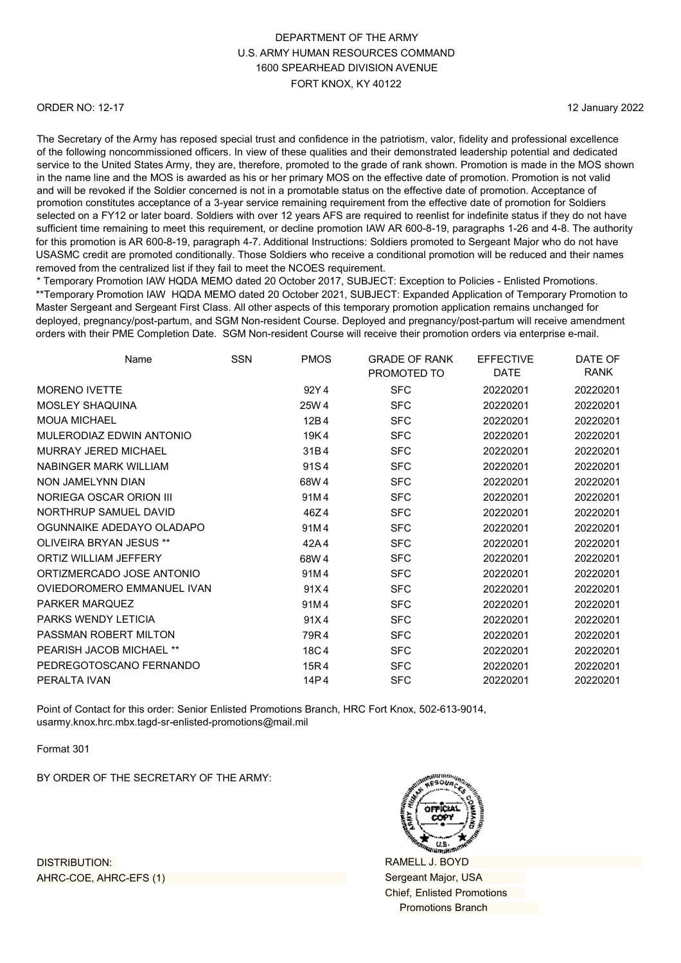#### ORDER NO: 12-17

12 January 2022

The Secretary of the Army has reposed special trust and confidence in the patriotism, valor, fidelity and professional excellence of the following noncommissioned officers. In view of these qualities and their demonstrated leadership potential and dedicated service to the United States Army, they are, therefore, promoted to the grade of rank shown. Promotion is made in the MOS shown in the name line and the MOS is awarded as his or her primary MOS on the effective date of promotion. Promotion is not valid and will be revoked if the Soldier concerned is not in a promotable status on the effective date of promotion. Acceptance of promotion constitutes acceptance of a 3-year service remaining requirement from the effective date of promotion for Soldiers selected on a FY12 or later board. Soldiers with over 12 years AFS are required to reenlist for indefinite status if they do not have sufficient time remaining to meet this requirement, or decline promotion IAW AR 600-8-19, paragraphs 1-26 and 4-8. The authority for this promotion is AR 600-8-19, paragraph 4-7. Additional Instructions: Soldiers promoted to Sergeant Major who do not have USASMC credit are promoted conditionally. Those Soldiers who receive a conditional promotion will be reduced and their names removed from the centralized list if they fail to meet the NCOES requirement.

\* Temporary Promotion IAW HQDA MEMO dated 20 October 2017, SUBJECT: Exception to Policies - Enlisted Promotions. \*\*Temporary Promotion IAW HQDA MEMO dated 20 October 2021, SUBJECT: Expanded Application of Temporary Promotion to Master Sergeant and Sergeant First Class. All other aspects of this temporary promotion application remains unchanged for deployed, pregnancy/post-partum, and SGM Non-resident Course. Deployed and pregnancy/post-partum will receive amendment orders with their PME Completion Date. SGM Non-resident Course will receive their promotion orders via enterprise e-mail.

| Name                       | <b>SSN</b> | <b>PMOS</b> | <b>GRADE OF RANK</b><br>PROMOTED TO | <b>EFFECTIVE</b><br>DATE | DATE OF<br>RANK |
|----------------------------|------------|-------------|-------------------------------------|--------------------------|-----------------|
| <b>MORENO IVETTE</b>       |            | 92Y4        | <b>SFC</b>                          | 20220201                 | 20220201        |
| <b>MOSLEY SHAQUINA</b>     |            | 25W 4       | <b>SFC</b>                          | 20220201                 | 20220201        |
| <b>MOUA MICHAEL</b>        |            | 12B4        | <b>SFC</b>                          | 20220201                 | 20220201        |
| MULERODIAZ EDWIN ANTONIO   |            | 19K4        | <b>SFC</b>                          | 20220201                 | 20220201        |
| MURRAY JERED MICHAEL       |            | 31B4        | <b>SFC</b>                          | 20220201                 | 20220201        |
| NABINGER MARK WILLIAM      |            | 91S4        | <b>SFC</b>                          | 20220201                 | 20220201        |
| NON JAMELYNN DIAN          |            | 68W 4       | <b>SFC</b>                          | 20220201                 | 20220201        |
| NORIEGA OSCAR ORION III    |            | 91M4        | <b>SFC</b>                          | 20220201                 | 20220201        |
| NORTHRUP SAMUEL DAVID      |            | 46Z4        | <b>SFC</b>                          | 20220201                 | 20220201        |
| OGUNNAIKE ADEDAYO OLADAPO  |            | 91M4        | <b>SFC</b>                          | 20220201                 | 20220201        |
| OLIVEIRA BRYAN JESUS **    |            | 42A4        | <b>SFC</b>                          | 20220201                 | 20220201        |
| ORTIZ WILLIAM JEFFERY      |            | 68W 4       | <b>SFC</b>                          | 20220201                 | 20220201        |
| ORTIZMERCADO JOSE ANTONIO  |            | 91M4        | <b>SFC</b>                          | 20220201                 | 20220201        |
| OVIEDOROMERO EMMANUEL IVAN |            | 91X4        | <b>SFC</b>                          | 20220201                 | 20220201        |
| PARKER MARQUEZ             |            | 91M4        | <b>SFC</b>                          | 20220201                 | 20220201        |
| <b>PARKS WENDY LETICIA</b> |            | 91X4        | <b>SFC</b>                          | 20220201                 | 20220201        |
| PASSMAN ROBERT MILTON      |            | 79R4        | <b>SFC</b>                          | 20220201                 | 20220201        |
| PEARISH JACOB MICHAEL **   |            | 18C4        | <b>SFC</b>                          | 20220201                 | 20220201        |
| PEDREGOTOSCANO FERNANDO    |            | 15R4        | <b>SFC</b>                          | 20220201                 | 20220201        |
| PERALTA IVAN               |            | 14P4        | <b>SFC</b>                          | 20220201                 | 20220201        |

Point of Contact for this order: Senior Enlisted Promotions Branch, HRC Fort Knox, 502-613-9014, [usarmy.knox.hrc.mbx.tagd-sr-enlisted-promotions@mail.mil](mailto:usarmy.knox.hrc.mbx.tagd-sr-enlisted-promotions@mail.mil)

Format 301

BY ORDER OF THE SECRETARY OF THE ARMY:



RAMELL J. BOYD Sergeant Major, USA Chief, Enlisted Promotions Promotions Branch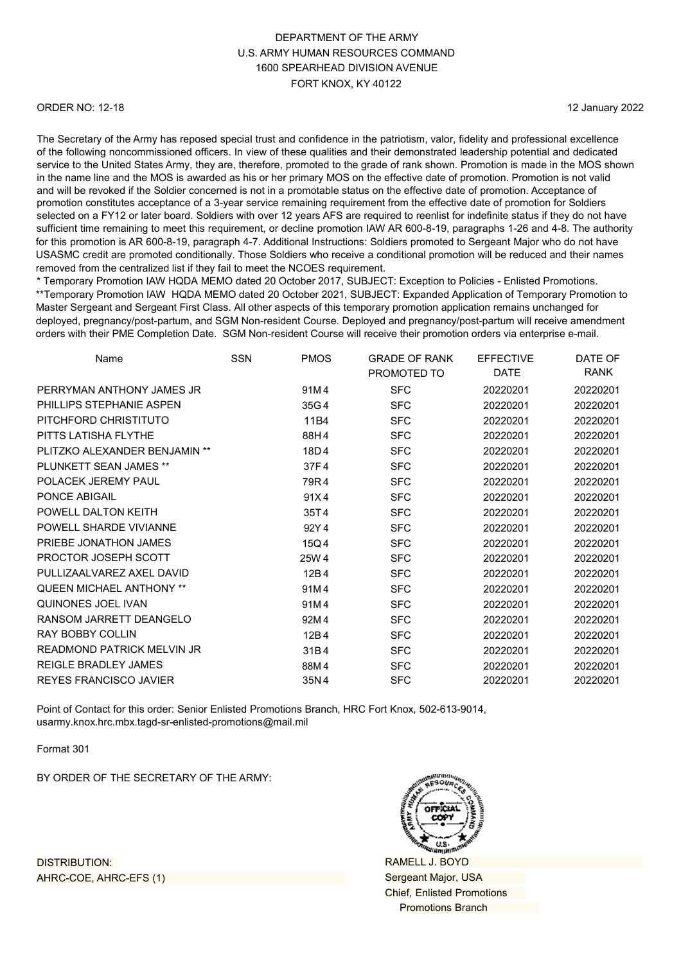#### ORDER NO: 12-18

12 January 2022

The Secretary of the Army has reposed special trust and confidence in the patriotism, valor, fidelity and professional excellence of the following noncommissioned officers. In view of these qualities and their demonstrated leadership potential and dedicated service to the United States Army, they are, therefore, promoted to the grade of rank shown. Promotion is made in the MOS shown in the name line and the MOS is awarded as his or her primary MOS on the effective date of promotion. Promotion is not valid and will be revoked if the Soldier concerned is not in a promotable status on the effective date of promotion. Acceptance of promotion constitutes acceptance of a 3-year service remaining requirement from the effective date of promotion for Soldiers selected on a FY12 or later board. Soldiers with over 12 years AFS are required to reenlist for indefinite status if they do not have sufficient time remaining to meet this requirement, or decline promotion IAW AR 600-8-19, paragraphs 1-26 and 4-8. The authority for this promotion is AR 600-8-19, paragraph 4-7. Additional Instructions: Soldiers promoted to Sergeant Major who do not have USASMC credit are promoted conditionally. Those Soldiers who receive a conditional promotion will be reduced and their names removed from the centralized list if they fail to meet the NCOES requirement.

\* Temporary Promotion IAW HQDA MEMO dated 20 October 2017, SUBJECT: Exception to Policies - Enlisted Promotions. \*\*Temporary Promotion IAW HQDA MEMO dated 20 October 2021, SUBJECT: Expanded Application of Temporary Promotion to Master Sergeant and Sergeant First Class. All other aspects of this temporary promotion application remains unchanged for deployed, pregnancy/post-partum, and SGM Non-resident Course. Deployed and pregnancy/post-partum will receive amendment orders with their PME Completion Date. SGM Non-resident Course will receive their promotion orders via enterprise e-mail.

| <b>SSN</b> | <b>PMOS</b> | <b>GRADE OF RANK</b> | <b>EFFECTIVE</b> | DATE OF     |
|------------|-------------|----------------------|------------------|-------------|
|            |             | PROMOTED TO          | <b>DATE</b>      | <b>RANK</b> |
|            | 91M4        | <b>SFC</b>           | 20220201         | 20220201    |
|            | 35G4        | <b>SFC</b>           | 20220201         | 20220201    |
|            | 11B4        | <b>SFC</b>           | 20220201         | 20220201    |
|            | 88H4        | <b>SFC</b>           | 20220201         | 20220201    |
|            | 18D4        | <b>SFC</b>           | 20220201         | 20220201    |
|            | 37F4        | <b>SFC</b>           | 20220201         | 20220201    |
|            | 79R4        | <b>SFC</b>           | 20220201         | 20220201    |
|            | 91X4        | <b>SFC</b>           | 20220201         | 20220201    |
|            | 35T4        | <b>SFC</b>           | 20220201         | 20220201    |
|            | 92Y4        | <b>SFC</b>           | 20220201         | 20220201    |
|            | 15Q4        | <b>SFC</b>           | 20220201         | 20220201    |
|            | 25W 4       | <b>SFC</b>           | 20220201         | 20220201    |
|            | 12B4        | <b>SFC</b>           | 20220201         | 20220201    |
|            | 91M4        | <b>SFC</b>           | 20220201         | 20220201    |
|            | 91M4        | <b>SFC</b>           | 20220201         | 20220201    |
|            | 92M4        | <b>SFC</b>           | 20220201         | 20220201    |
|            | 12B4        | <b>SFC</b>           | 20220201         | 20220201    |
|            | 31B4        | <b>SFC</b>           | 20220201         | 20220201    |
|            | 88M4        | <b>SFC</b>           | 20220201         | 20220201    |
|            | 35N4        | <b>SFC</b>           | 20220201         | 20220201    |
|            |             |                      |                  |             |

Point of Contact for this order: Senior Enlisted Promotions Branch, HRC Fort Knox, 502-613-9014, [usarmy.knox.hrc.mbx.tagd-sr-enlisted-promotions@mail.mil](mailto:usarmy.knox.hrc.mbx.tagd-sr-enlisted-promotions@mail.mil)

Format 301

BY ORDER OF THE SECRETARY OF THE ARMY:



RAMELL J. BOYD Sergeant Major, USA Chief, Enlisted Promotions Promotions Branch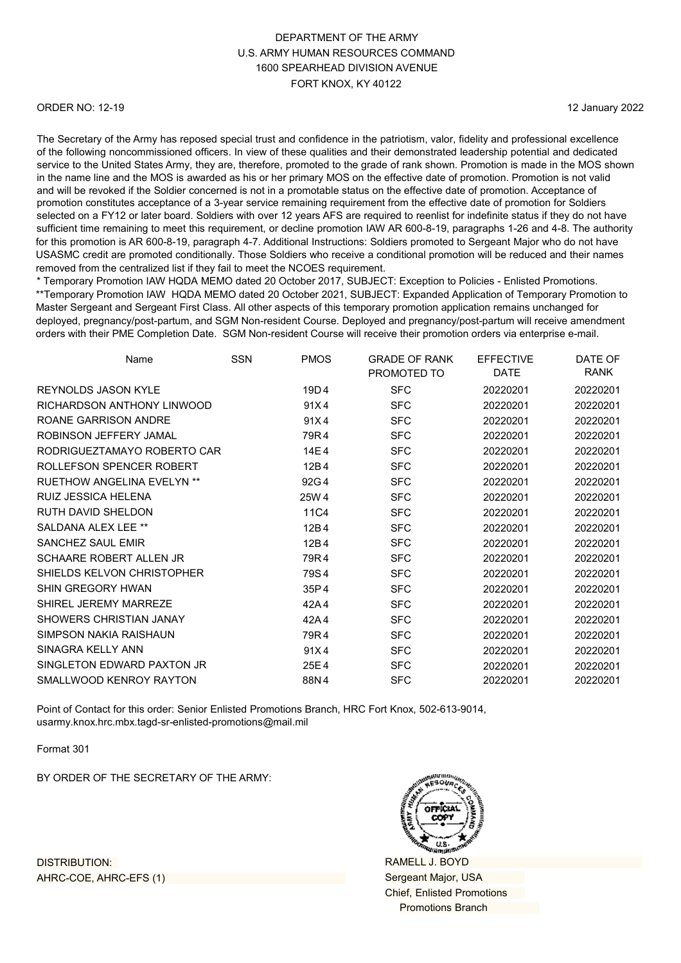#### ORDER NO: 12-19

12 January 2022

The Secretary of the Army has reposed special trust and confidence in the patriotism, valor, fidelity and professional excellence of the following noncommissioned officers. In view of these qualities and their demonstrated leadership potential and dedicated service to the United States Army, they are, therefore, promoted to the grade of rank shown. Promotion is made in the MOS shown in the name line and the MOS is awarded as his or her primary MOS on the effective date of promotion. Promotion is not valid and will be revoked if the Soldier concerned is not in a promotable status on the effective date of promotion. Acceptance of promotion constitutes acceptance of a 3-year service remaining requirement from the effective date of promotion for Soldiers selected on a FY12 or later board. Soldiers with over 12 years AFS are required to reenlist for indefinite status if they do not have sufficient time remaining to meet this requirement, or decline promotion IAW AR 600-8-19, paragraphs 1-26 and 4-8. The authority for this promotion is AR 600-8-19, paragraph 4-7. Additional Instructions: Soldiers promoted to Sergeant Major who do not have USASMC credit are promoted conditionally. Those Soldiers who receive a conditional promotion will be reduced and their names removed from the centralized list if they fail to meet the NCOES requirement.

\* Temporary Promotion IAW HQDA MEMO dated 20 October 2017, SUBJECT: Exception to Policies - Enlisted Promotions. \*\*Temporary Promotion IAW HQDA MEMO dated 20 October 2021, SUBJECT: Expanded Application of Temporary Promotion to Master Sergeant and Sergeant First Class. All other aspects of this temporary promotion application remains unchanged for deployed, pregnancy/post-partum, and SGM Non-resident Course. Deployed and pregnancy/post-partum will receive amendment orders with their PME Completion Date. SGM Non-resident Course will receive their promotion orders via enterprise e-mail.

| Name                         | <b>SSN</b> | <b>PMOS</b> | <b>GRADE OF RANK</b><br>PROMOTED TO | <b>EFFECTIVE</b><br><b>DATE</b> | DATE OF<br>RANK |
|------------------------------|------------|-------------|-------------------------------------|---------------------------------|-----------------|
|                              |            |             |                                     |                                 |                 |
| REYNOLDS JASON KYLE          |            | 19D4        | <b>SFC</b>                          | 20220201                        | 20220201        |
| RICHARDSON ANTHONY LINWOOD   |            | 91X4        | <b>SFC</b>                          | 20220201                        | 20220201        |
| ROANE GARRISON ANDRE         |            | 91X4        | <b>SFC</b>                          | 20220201                        | 20220201        |
| ROBINSON JEFFERY JAMAL       |            | 79R4        | <b>SFC</b>                          | 20220201                        | 20220201        |
| RODRIGUEZTAMAYO ROBERTO CAR  |            | 14E4        | <b>SFC</b>                          | 20220201                        | 20220201        |
| ROLLEFSON SPENCER ROBERT     |            | 12B4        | <b>SFC</b>                          | 20220201                        | 20220201        |
| RUFTHOW ANGFI INA FVFI YN ** |            | 92G4        | <b>SFC</b>                          | 20220201                        | 20220201        |
| RUIZ JESSICA HELENA          |            | 25W 4       | <b>SFC</b>                          | 20220201                        | 20220201        |
| <b>RUTH DAVID SHELDON</b>    |            | 11C4        | <b>SFC</b>                          | 20220201                        | 20220201        |
| SALDANA ALEX LEE **          |            | 12B4        | <b>SFC</b>                          | 20220201                        | 20220201        |
| <b>SANCHEZ SAUL EMIR</b>     |            | 12B4        | <b>SFC</b>                          | 20220201                        | 20220201        |
| SCHAARE ROBERT ALLEN JR      |            | 79R4        | <b>SFC</b>                          | 20220201                        | 20220201        |
| SHIELDS KELVON CHRISTOPHER   |            | 79S4        | <b>SFC</b>                          | 20220201                        | 20220201        |
| <b>SHIN GREGORY HWAN</b>     |            | 35P4        | <b>SFC</b>                          | 20220201                        | 20220201        |
| SHIREL JEREMY MARREZE        |            | 42A4        | <b>SFC</b>                          | 20220201                        | 20220201        |
| SHOWERS CHRISTIAN JANAY      |            | 42A4        | <b>SFC</b>                          | 20220201                        | 20220201        |
| SIMPSON NAKIA RAISHAUN       |            | 79R4        | <b>SFC</b>                          | 20220201                        | 20220201        |
| SINAGRA KELLY ANN            |            | 91X4        | <b>SFC</b>                          | 20220201                        | 20220201        |
| SINGLETON EDWARD PAXTON JR   |            | 25E4        | <b>SFC</b>                          | 20220201                        | 20220201        |
| SMALLWOOD KENROY RAYTON      |            | 88N4        | <b>SFC</b>                          | 20220201                        | 20220201        |
|                              |            |             |                                     |                                 |                 |

Point of Contact for this order: Senior Enlisted Promotions Branch, HRC Fort Knox, 502-613-9014, [usarmy.knox.hrc.mbx.tagd-sr-enlisted-promotions@mail.mil](mailto:usarmy.knox.hrc.mbx.tagd-sr-enlisted-promotions@mail.mil)

Format 301

BY ORDER OF THE SECRETARY OF THE ARMY:



RAMELL J. BOYD Sergeant Major, USA Chief, Enlisted Promotions Promotions Branch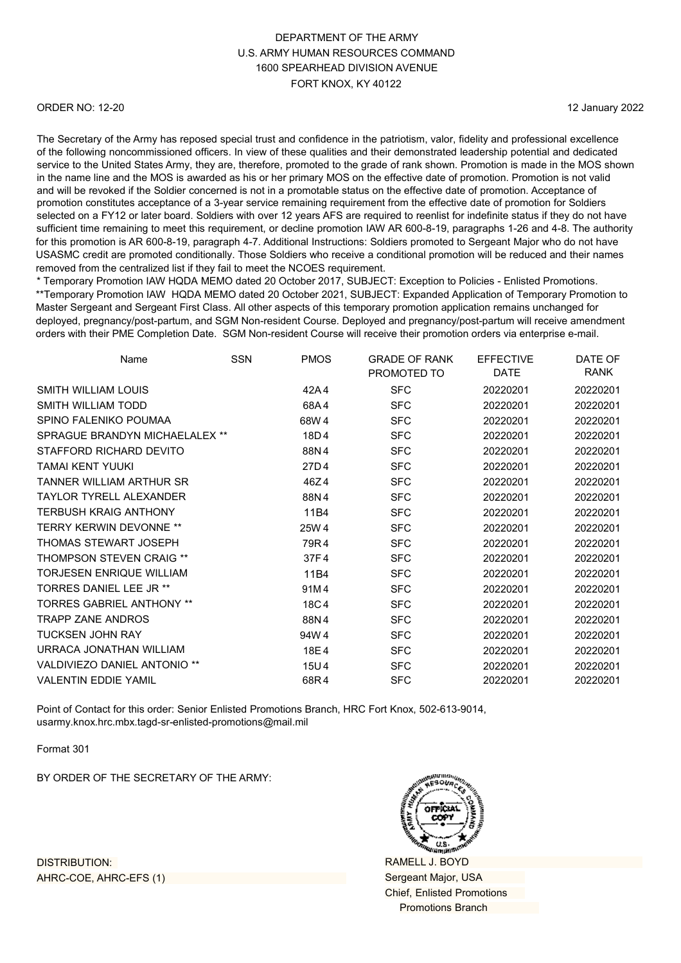#### ORDER NO: 12-20

12 January 2022

The Secretary of the Army has reposed special trust and confidence in the patriotism, valor, fidelity and professional excellence of the following noncommissioned officers. In view of these qualities and their demonstrated leadership potential and dedicated service to the United States Army, they are, therefore, promoted to the grade of rank shown. Promotion is made in the MOS shown in the name line and the MOS is awarded as his or her primary MOS on the effective date of promotion. Promotion is not valid and will be revoked if the Soldier concerned is not in a promotable status on the effective date of promotion. Acceptance of promotion constitutes acceptance of a 3-year service remaining requirement from the effective date of promotion for Soldiers selected on a FY12 or later board. Soldiers with over 12 years AFS are required to reenlist for indefinite status if they do not have sufficient time remaining to meet this requirement, or decline promotion IAW AR 600-8-19, paragraphs 1-26 and 4-8. The authority for this promotion is AR 600-8-19, paragraph 4-7. Additional Instructions: Soldiers promoted to Sergeant Major who do not have USASMC credit are promoted conditionally. Those Soldiers who receive a conditional promotion will be reduced and their names removed from the centralized list if they fail to meet the NCOES requirement.

\* Temporary Promotion IAW HQDA MEMO dated 20 October 2017, SUBJECT: Exception to Policies - Enlisted Promotions. \*\*Temporary Promotion IAW HQDA MEMO dated 20 October 2021, SUBJECT: Expanded Application of Temporary Promotion to Master Sergeant and Sergeant First Class. All other aspects of this temporary promotion application remains unchanged for deployed, pregnancy/post-partum, and SGM Non-resident Course. Deployed and pregnancy/post-partum will receive amendment orders with their PME Completion Date. SGM Non-resident Course will receive their promotion orders via enterprise e-mail.

| Name                                | <b>SSN</b> | <b>PMOS</b> | <b>GRADE OF RANK</b><br>PROMOTED TO | <b>EFFECTIVE</b><br><b>DATE</b> | DATE OF<br>RANK |
|-------------------------------------|------------|-------------|-------------------------------------|---------------------------------|-----------------|
| <b>SMITH WILLIAM LOUIS</b>          |            | 42A4        | <b>SFC</b>                          | 20220201                        | 20220201        |
| SMITH WILLIAM TODD                  |            | 68A4        | <b>SFC</b>                          | 20220201                        | 20220201        |
| SPINO FALENIKO POUMAA               |            | 68W 4       | <b>SFC</b>                          | 20220201                        | 20220201        |
| SPRAGUE BRANDYN MICHAELALEX **      |            | 18D4        | <b>SFC</b>                          | 20220201                        | 20220201        |
| STAFFORD RICHARD DEVITO             |            | 88N4        | <b>SFC</b>                          | 20220201                        | 20220201        |
| TAMAI KENT YUUKI                    |            | 27D4        | <b>SFC</b>                          | 20220201                        | 20220201        |
| TANNER WILLIAM ARTHUR SR            |            | 46Z4        | <b>SFC</b>                          | 20220201                        | 20220201        |
| <b>TAYLOR TYRELL ALEXANDER</b>      |            | 88N4        | <b>SFC</b>                          | 20220201                        | 20220201        |
| <b>TERBUSH KRAIG ANTHONY</b>        |            | 11B4        | <b>SFC</b>                          | 20220201                        | 20220201        |
| <b>TERRY KERWIN DEVONNE **</b>      |            | 25W 4       | <b>SFC</b>                          | 20220201                        | 20220201        |
| THOMAS STEWART JOSEPH               |            | 79R4        | <b>SFC</b>                          | 20220201                        | 20220201        |
| <b>THOMPSON STEVEN CRAIG **</b>     |            | 37F4        | <b>SFC</b>                          | 20220201                        | 20220201        |
| <b>TORJESEN ENRIQUE WILLIAM</b>     |            | 11B4        | <b>SFC</b>                          | 20220201                        | 20220201        |
| <b>TORRES DANIEL LEE JR **</b>      |            | 91M4        | <b>SFC</b>                          | 20220201                        | 20220201        |
| <b>TORRES GABRIEL ANTHONY **</b>    |            | 18C4        | <b>SFC</b>                          | 20220201                        | 20220201        |
| <b>TRAPP ZANF ANDROS</b>            |            | 88N4        | <b>SFC</b>                          | 20220201                        | 20220201        |
| <b>TUCKSEN JOHN RAY</b>             |            | 94W4        | <b>SFC</b>                          | 20220201                        | 20220201        |
| URRACA JONATHAN WILLIAM             |            | 18E4        | <b>SFC</b>                          | 20220201                        | 20220201        |
| <b>VALDIVIEZO DANIEL ANTONIO **</b> |            | 15U4        | <b>SFC</b>                          | 20220201                        | 20220201        |
| <b>VALENTIN EDDIE YAMIL</b>         |            | 68R4        | <b>SFC</b>                          | 20220201                        | 20220201        |

Point of Contact for this order: Senior Enlisted Promotions Branch, HRC Fort Knox, 502-613-9014, [usarmy.knox.hrc.mbx.tagd-sr-enlisted-promotions@mail.mil](mailto:usarmy.knox.hrc.mbx.tagd-sr-enlisted-promotions@mail.mil)

Format 301

BY ORDER OF THE SECRETARY OF THE ARMY:



RAMELL J. BOYD Sergeant Major, USA Chief, Enlisted Promotions Promotions Branch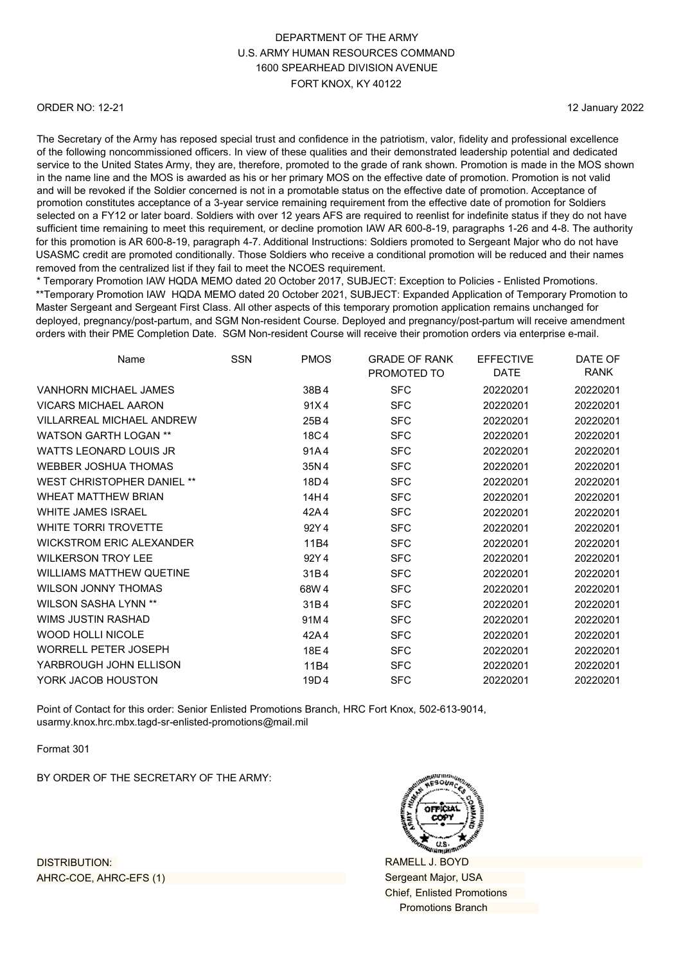#### ORDER NO: 12-21

12 January 2022

The Secretary of the Army has reposed special trust and confidence in the patriotism, valor, fidelity and professional excellence of the following noncommissioned officers. In view of these qualities and their demonstrated leadership potential and dedicated service to the United States Army, they are, therefore, promoted to the grade of rank shown. Promotion is made in the MOS shown in the name line and the MOS is awarded as his or her primary MOS on the effective date of promotion. Promotion is not valid and will be revoked if the Soldier concerned is not in a promotable status on the effective date of promotion. Acceptance of promotion constitutes acceptance of a 3-year service remaining requirement from the effective date of promotion for Soldiers selected on a FY12 or later board. Soldiers with over 12 years AFS are required to reenlist for indefinite status if they do not have sufficient time remaining to meet this requirement, or decline promotion IAW AR 600-8-19, paragraphs 1-26 and 4-8. The authority for this promotion is AR 600-8-19, paragraph 4-7. Additional Instructions: Soldiers promoted to Sergeant Major who do not have USASMC credit are promoted conditionally. Those Soldiers who receive a conditional promotion will be reduced and their names removed from the centralized list if they fail to meet the NCOES requirement.

\* Temporary Promotion IAW HQDA MEMO dated 20 October 2017, SUBJECT: Exception to Policies - Enlisted Promotions. \*\*Temporary Promotion IAW HQDA MEMO dated 20 October 2021, SUBJECT: Expanded Application of Temporary Promotion to Master Sergeant and Sergeant First Class. All other aspects of this temporary promotion application remains unchanged for deployed, pregnancy/post-partum, and SGM Non-resident Course. Deployed and pregnancy/post-partum will receive amendment orders with their PME Completion Date. SGM Non-resident Course will receive their promotion orders via enterprise e-mail.

| Name                              | <b>SSN</b> | <b>PMOS</b> | <b>GRADE OF RANK</b><br>PROMOTED TO | <b>EFFECTIVE</b><br>DATE | DATE OF<br>RANK |
|-----------------------------------|------------|-------------|-------------------------------------|--------------------------|-----------------|
| <b>VANHORN MICHAEL JAMES</b>      |            | 38B4        | <b>SFC</b>                          | 20220201                 | 20220201        |
| <b>VICARS MICHAFI AARON</b>       |            | 91X4        | <b>SFC</b>                          | 20220201                 | 20220201        |
| <b>VILLARREAL MICHAEL ANDREW</b>  |            | 25B4        | <b>SFC</b>                          | 20220201                 | 20220201        |
| WATSON GARTH LOGAN **             |            | 18C4        | <b>SFC</b>                          | 20220201                 | 20220201        |
| <b>WATTS LEONARD LOUIS JR</b>     |            | 91A4        | <b>SFC</b>                          | 20220201                 | 20220201        |
| <b>WEBBER JOSHUA THOMAS</b>       |            | 35N4        | <b>SFC</b>                          | 20220201                 | 20220201        |
| <b>WEST CHRISTOPHER DANIEL **</b> |            | 18D4        | <b>SFC</b>                          | 20220201                 | 20220201        |
| <b>WHEAT MATTHEW BRIAN</b>        |            | 14H4        | <b>SFC</b>                          | 20220201                 | 20220201        |
| <b>WHITE JAMES ISRAEL</b>         |            | 42A4        | <b>SFC</b>                          | 20220201                 | 20220201        |
| WHITE TORRI TROVETTE              |            | 92Y4        | <b>SFC</b>                          | 20220201                 | 20220201        |
| <b>WICKSTROM ERIC ALEXANDER</b>   |            | 11B4        | <b>SFC</b>                          | 20220201                 | 20220201        |
| <b>WILKERSON TROY LEE</b>         |            | 92Y4        | <b>SFC</b>                          | 20220201                 | 20220201        |
| <b>WILLIAMS MATTHEW QUETINE</b>   |            | 31B4        | <b>SFC</b>                          | 20220201                 | 20220201        |
| <b>WILSON JONNY THOMAS</b>        |            | 68W 4       | <b>SFC</b>                          | 20220201                 | 20220201        |
| <b>WILSON SASHA LYNN **</b>       |            | 31B4        | <b>SFC</b>                          | 20220201                 | 20220201        |
| WIMS JUSTIN RASHAD                |            | 91M4        | <b>SFC</b>                          | 20220201                 | 20220201        |
| <b>WOOD HOLLI NICOLE</b>          |            | 42A4        | <b>SFC</b>                          | 20220201                 | 20220201        |
| <b>WORRELL PETER JOSEPH</b>       |            | 18E4        | <b>SFC</b>                          | 20220201                 | 20220201        |
| YARBROUGH JOHN ELLISON            |            | 11B4        | <b>SFC</b>                          | 20220201                 | 20220201        |
| YORK JACOB HOUSTON                |            | 19D4        | <b>SFC</b>                          | 20220201                 | 20220201        |

Point of Contact for this order: Senior Enlisted Promotions Branch, HRC Fort Knox, 502-613-9014, [usarmy.knox.hrc.mbx.tagd-sr-enlisted-promotions@mail.mil](mailto:usarmy.knox.hrc.mbx.tagd-sr-enlisted-promotions@mail.mil)

Format 301

BY ORDER OF THE SECRETARY OF THE ARMY:



RAMELL J. BOYD Sergeant Major, USA Chief, Enlisted Promotions Promotions Branch